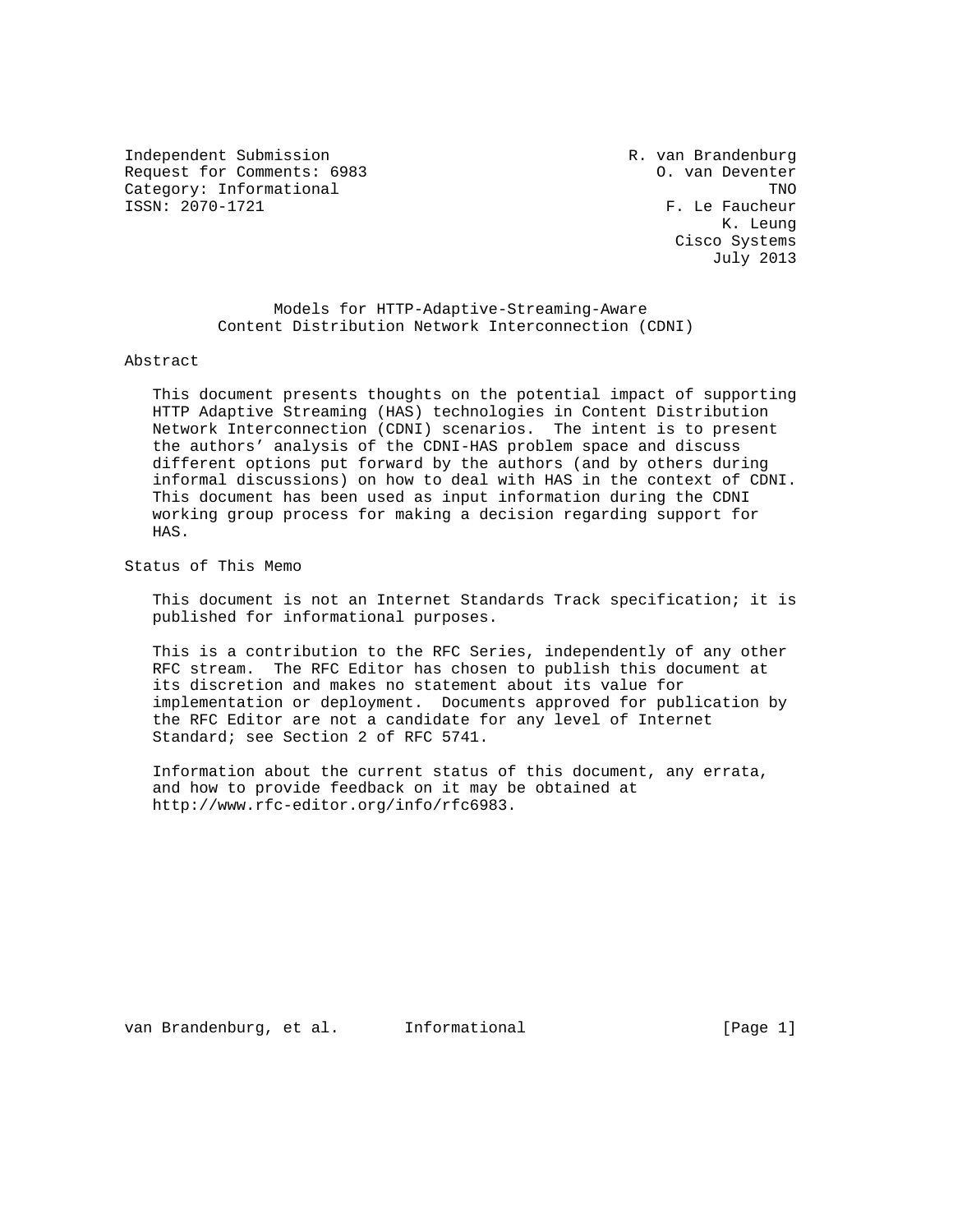Independent Submission and R. van Brandenburg Request for Comments: 6983 O. van Deventer Category: Informational TNO<br>
ISSN: 2070-1721<br>
TSSN: 2070-1721

F. Le Faucheur K. Leung Cisco Systems July 2013

 Models for HTTP-Adaptive-Streaming-Aware Content Distribution Network Interconnection (CDNI)

#### Abstract

 This document presents thoughts on the potential impact of supporting HTTP Adaptive Streaming (HAS) technologies in Content Distribution Network Interconnection (CDNI) scenarios. The intent is to present the authors' analysis of the CDNI-HAS problem space and discuss different options put forward by the authors (and by others during informal discussions) on how to deal with HAS in the context of CDNI. This document has been used as input information during the CDNI working group process for making a decision regarding support for HAS.

Status of This Memo

 This document is not an Internet Standards Track specification; it is published for informational purposes.

 This is a contribution to the RFC Series, independently of any other RFC stream. The RFC Editor has chosen to publish this document at its discretion and makes no statement about its value for implementation or deployment. Documents approved for publication by the RFC Editor are not a candidate for any level of Internet Standard; see Section 2 of RFC 5741.

 Information about the current status of this document, any errata, and how to provide feedback on it may be obtained at http://www.rfc-editor.org/info/rfc6983.

van Brandenburg, et al. Informational (Page 1)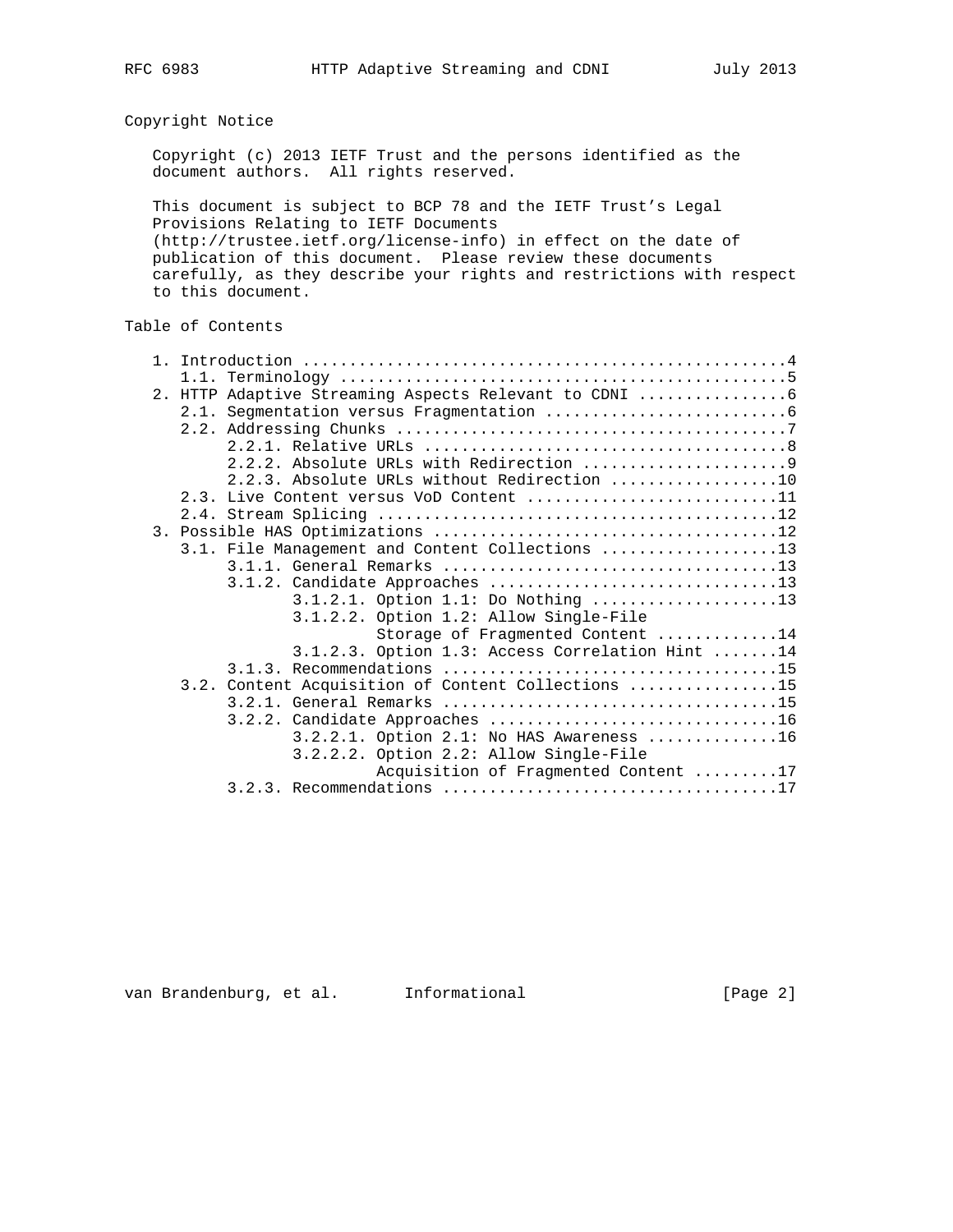Copyright Notice

 Copyright (c) 2013 IETF Trust and the persons identified as the document authors. All rights reserved.

 This document is subject to BCP 78 and the IETF Trust's Legal Provisions Relating to IETF Documents (http://trustee.ietf.org/license-info) in effect on the date of publication of this document. Please review these documents carefully, as they describe your rights and restrictions with respect to this document.

# Table of Contents

|  | 2. HTTP Adaptive Streaming Aspects Relevant to CDNI |
|--|-----------------------------------------------------|
|  |                                                     |
|  |                                                     |
|  |                                                     |
|  |                                                     |
|  | 2.2.3. Absolute URLs without Redirection 10         |
|  |                                                     |
|  | 2.3. Live Content versus VoD Content 11             |
|  |                                                     |
|  |                                                     |
|  | 3.1. File Management and Content Collections 13     |
|  |                                                     |
|  |                                                     |
|  | $3.1.2.1.$ Option 1.1: Do Nothing 13                |
|  | 3.1.2.2. Option 1.2: Allow Single-File              |
|  | Storage of Fragmented Content 14                    |
|  | 3.1.2.3. Option 1.3: Access Correlation Hint 14     |
|  |                                                     |
|  | 3.2. Content Acquisition of Content Collections 15  |
|  |                                                     |
|  |                                                     |
|  | $3.2.2.1.$ Option $2.1:$ No HAS Awareness 16        |
|  | 3.2.2.2. Option 2.2: Allow Single-File              |
|  | Acquisition of Fragmented Content 17                |
|  |                                                     |
|  |                                                     |

van Brandenburg, et al. Informational (Page 2)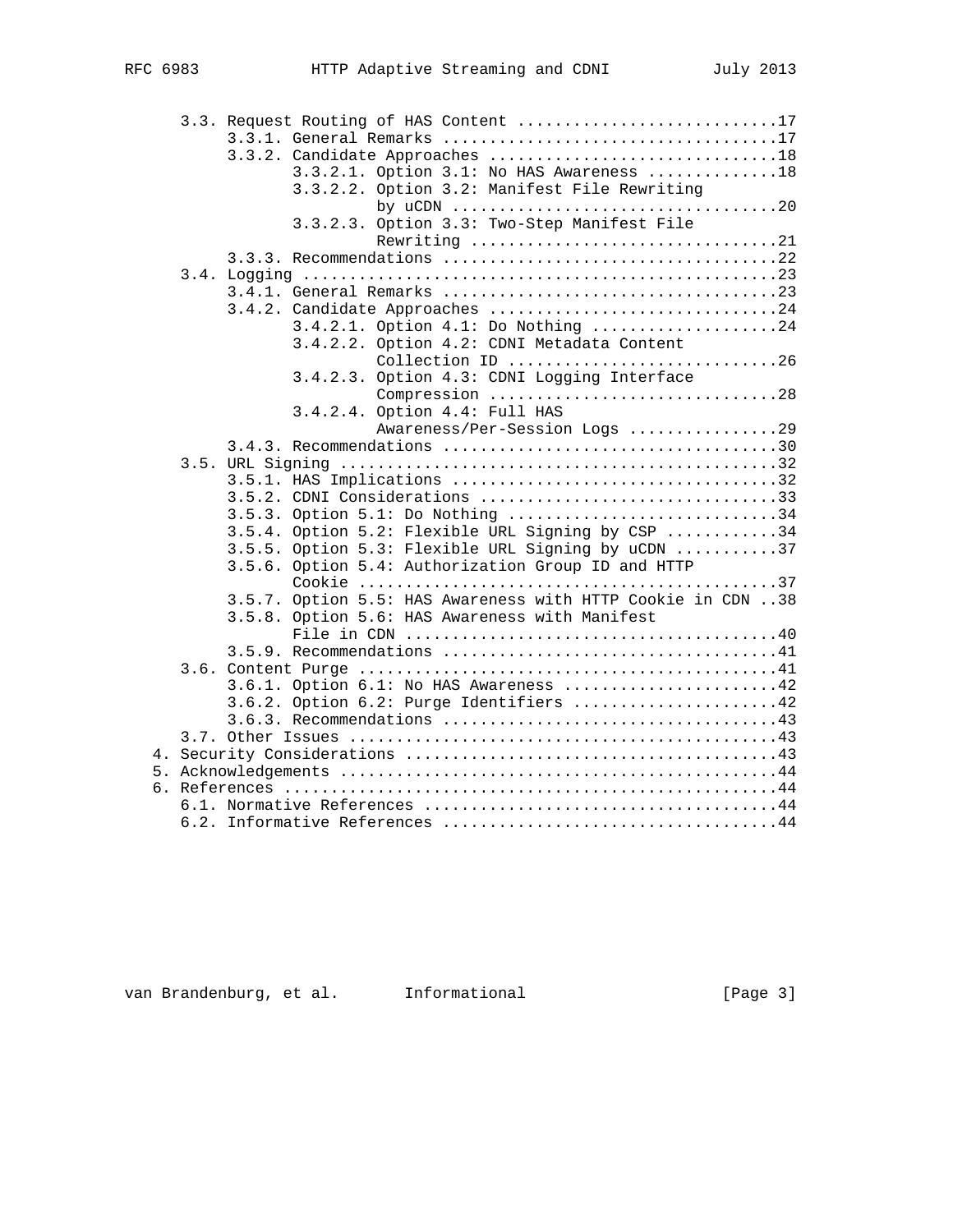|  | 3.3. Request Routing of HAS Content 17                                                           |
|--|--------------------------------------------------------------------------------------------------|
|  |                                                                                                  |
|  |                                                                                                  |
|  | 3.3.2.1. Option 3.1: No HAS Awareness 18                                                         |
|  | 3.3.2.2. Option 3.2: Manifest File Rewriting                                                     |
|  | by uCDN $\ldots \ldots \ldots \ldots \ldots \ldots \ldots \ldots \ldots \ldots \ldots \ldots 20$ |
|  | 3.3.2.3. Option 3.3: Two-Step Manifest File                                                      |
|  | Rewriting 21                                                                                     |
|  |                                                                                                  |
|  |                                                                                                  |
|  |                                                                                                  |
|  | 3.4.2. Candidate Approaches 24                                                                   |
|  | 3.4.2.1. Option 4.1: Do Nothing 24                                                               |
|  | 3.4.2.2. Option 4.2: CDNI Metadata Content                                                       |
|  | Collection ID 26                                                                                 |
|  | 3.4.2.3. Option 4.3: CDNI Logging Interface                                                      |
|  | Compression 28                                                                                   |
|  | 3.4.2.4. Option 4.4: Full HAS                                                                    |
|  | Awareness/Per-Session Logs 29                                                                    |
|  |                                                                                                  |
|  |                                                                                                  |
|  |                                                                                                  |
|  | 3.5.2. CDNI Considerations 33                                                                    |
|  | 3.5.3. Option 5.1: Do Nothing 34                                                                 |
|  | 3.5.4. Option 5.2: Flexible URL Signing by CSP 34                                                |
|  | 3.5.5. Option 5.3: Flexible URL Signing by uCDN 37                                               |
|  | 3.5.6. Option 5.4: Authorization Group ID and HTTP                                               |
|  |                                                                                                  |
|  | 3.5.7. Option 5.5: HAS Awareness with HTTP Cookie in CDN 38                                      |
|  | 3.5.8. Option 5.6: HAS Awareness with Manifest                                                   |
|  |                                                                                                  |
|  |                                                                                                  |
|  |                                                                                                  |
|  |                                                                                                  |
|  | 3.6.1. Option 6.1: No HAS Awareness 42                                                           |
|  | 3.6.2. Option 6.2: Purge Identifiers 42                                                          |
|  |                                                                                                  |
|  |                                                                                                  |
|  |                                                                                                  |
|  |                                                                                                  |
|  |                                                                                                  |
|  |                                                                                                  |
|  |                                                                                                  |

van Brandenburg, et al. Informational (Page 3)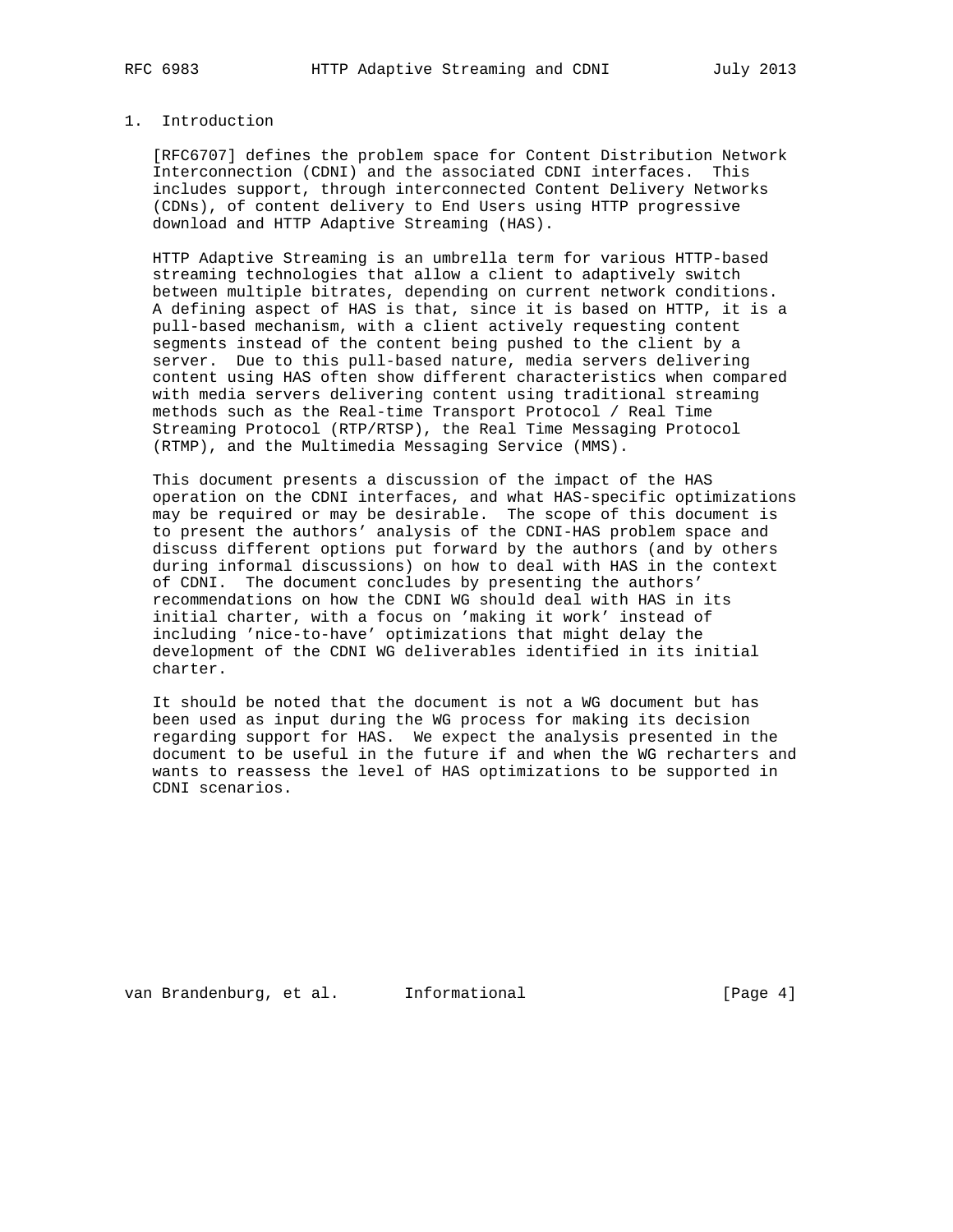# 1. Introduction

 [RFC6707] defines the problem space for Content Distribution Network Interconnection (CDNI) and the associated CDNI interfaces. This includes support, through interconnected Content Delivery Networks (CDNs), of content delivery to End Users using HTTP progressive download and HTTP Adaptive Streaming (HAS).

 HTTP Adaptive Streaming is an umbrella term for various HTTP-based streaming technologies that allow a client to adaptively switch between multiple bitrates, depending on current network conditions. A defining aspect of HAS is that, since it is based on HTTP, it is a pull-based mechanism, with a client actively requesting content segments instead of the content being pushed to the client by a server. Due to this pull-based nature, media servers delivering content using HAS often show different characteristics when compared with media servers delivering content using traditional streaming methods such as the Real-time Transport Protocol / Real Time Streaming Protocol (RTP/RTSP), the Real Time Messaging Protocol (RTMP), and the Multimedia Messaging Service (MMS).

 This document presents a discussion of the impact of the HAS operation on the CDNI interfaces, and what HAS-specific optimizations may be required or may be desirable. The scope of this document is to present the authors' analysis of the CDNI-HAS problem space and discuss different options put forward by the authors (and by others during informal discussions) on how to deal with HAS in the context of CDNI. The document concludes by presenting the authors' recommendations on how the CDNI WG should deal with HAS in its initial charter, with a focus on 'making it work' instead of including 'nice-to-have' optimizations that might delay the development of the CDNI WG deliverables identified in its initial charter.

 It should be noted that the document is not a WG document but has been used as input during the WG process for making its decision regarding support for HAS. We expect the analysis presented in the document to be useful in the future if and when the WG recharters and wants to reassess the level of HAS optimizations to be supported in CDNI scenarios.

van Brandenburg, et al. Informational (Page 4)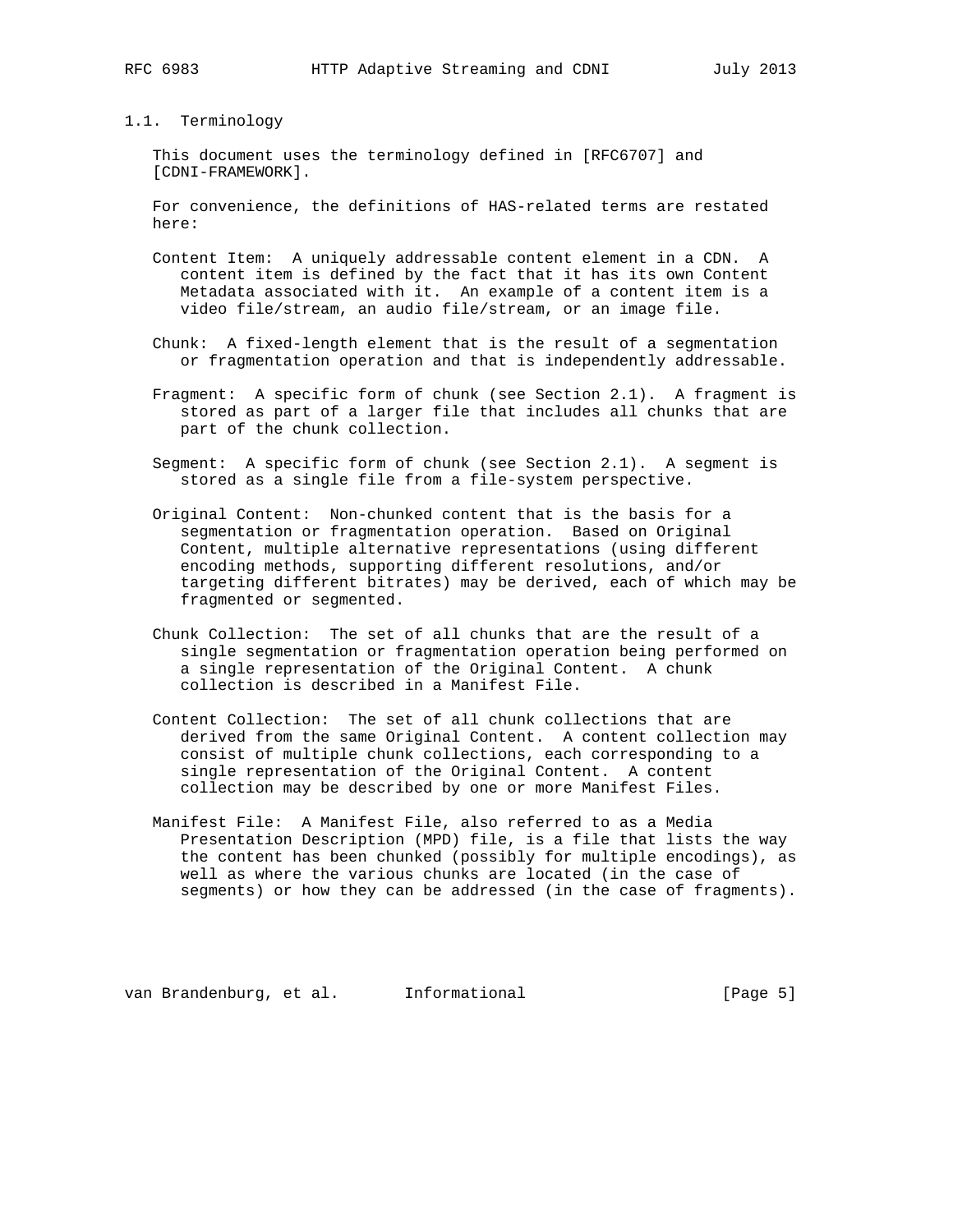#### 1.1. Terminology

 This document uses the terminology defined in [RFC6707] and [CDNI-FRAMEWORK].

 For convenience, the definitions of HAS-related terms are restated here:

- Content Item: A uniquely addressable content element in a CDN. A content item is defined by the fact that it has its own Content Metadata associated with it. An example of a content item is a video file/stream, an audio file/stream, or an image file.
- Chunk: A fixed-length element that is the result of a segmentation or fragmentation operation and that is independently addressable.
- Fragment: A specific form of chunk (see Section 2.1). A fragment is stored as part of a larger file that includes all chunks that are part of the chunk collection.
- Segment: A specific form of chunk (see Section 2.1). A segment is stored as a single file from a file-system perspective.
- Original Content: Non-chunked content that is the basis for a segmentation or fragmentation operation. Based on Original Content, multiple alternative representations (using different encoding methods, supporting different resolutions, and/or targeting different bitrates) may be derived, each of which may be fragmented or segmented.
- Chunk Collection: The set of all chunks that are the result of a single segmentation or fragmentation operation being performed on a single representation of the Original Content. A chunk collection is described in a Manifest File.
- Content Collection: The set of all chunk collections that are derived from the same Original Content. A content collection may consist of multiple chunk collections, each corresponding to a single representation of the Original Content. A content collection may be described by one or more Manifest Files.
- Manifest File: A Manifest File, also referred to as a Media Presentation Description (MPD) file, is a file that lists the way the content has been chunked (possibly for multiple encodings), as well as where the various chunks are located (in the case of segments) or how they can be addressed (in the case of fragments).

van Brandenburg, et al. Informational (Page 5)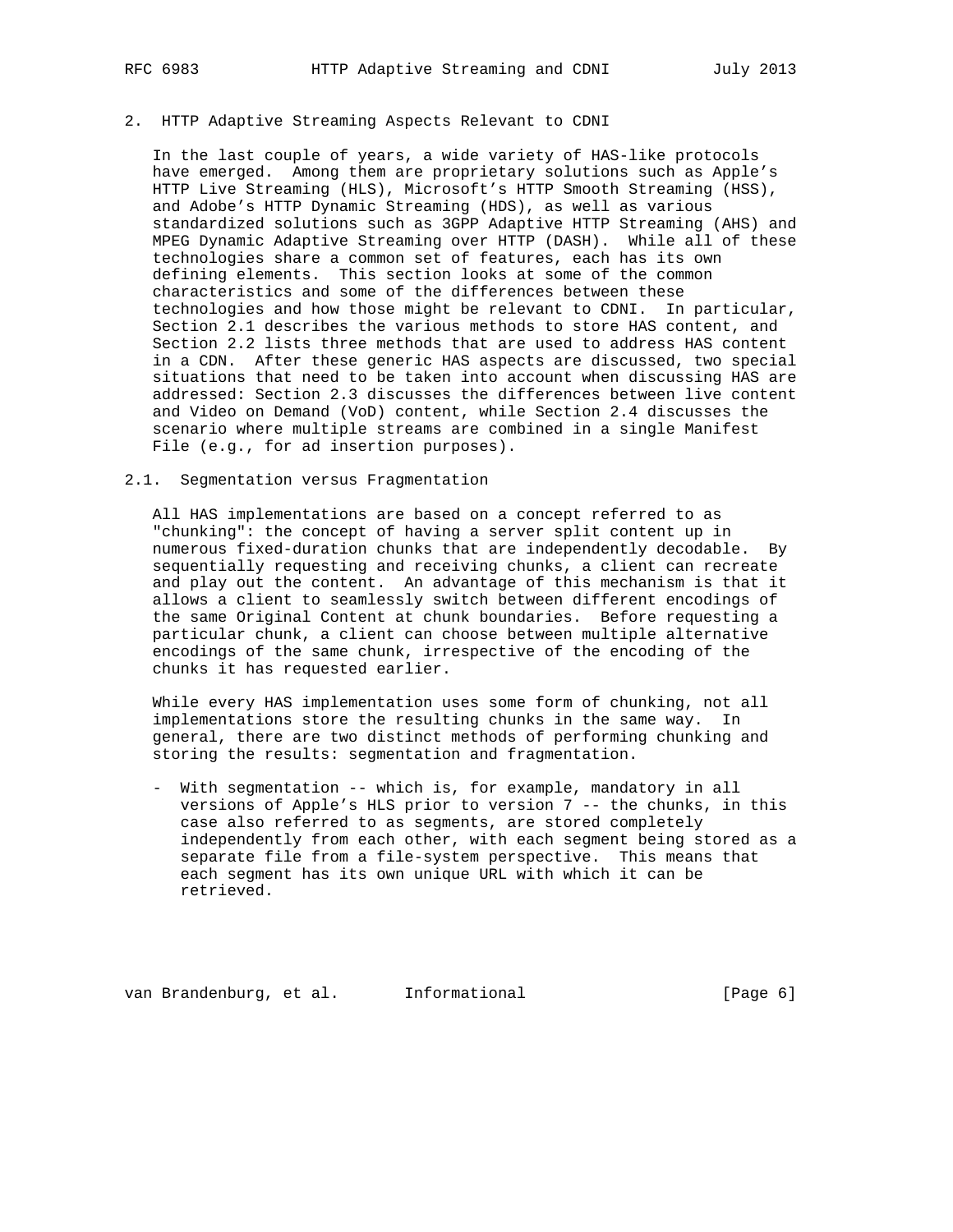#### 2. HTTP Adaptive Streaming Aspects Relevant to CDNI

 In the last couple of years, a wide variety of HAS-like protocols have emerged. Among them are proprietary solutions such as Apple's HTTP Live Streaming (HLS), Microsoft's HTTP Smooth Streaming (HSS), and Adobe's HTTP Dynamic Streaming (HDS), as well as various standardized solutions such as 3GPP Adaptive HTTP Streaming (AHS) and MPEG Dynamic Adaptive Streaming over HTTP (DASH). While all of these technologies share a common set of features, each has its own defining elements. This section looks at some of the common characteristics and some of the differences between these technologies and how those might be relevant to CDNI. In particular, Section 2.1 describes the various methods to store HAS content, and Section 2.2 lists three methods that are used to address HAS content in a CDN. After these generic HAS aspects are discussed, two special situations that need to be taken into account when discussing HAS are addressed: Section 2.3 discusses the differences between live content and Video on Demand (VoD) content, while Section 2.4 discusses the scenario where multiple streams are combined in a single Manifest File (e.g., for ad insertion purposes).

## 2.1. Segmentation versus Fragmentation

 All HAS implementations are based on a concept referred to as "chunking": the concept of having a server split content up in numerous fixed-duration chunks that are independently decodable. By sequentially requesting and receiving chunks, a client can recreate and play out the content. An advantage of this mechanism is that it allows a client to seamlessly switch between different encodings of the same Original Content at chunk boundaries. Before requesting a particular chunk, a client can choose between multiple alternative encodings of the same chunk, irrespective of the encoding of the chunks it has requested earlier.

 While every HAS implementation uses some form of chunking, not all implementations store the resulting chunks in the same way. In general, there are two distinct methods of performing chunking and storing the results: segmentation and fragmentation.

 - With segmentation -- which is, for example, mandatory in all versions of Apple's HLS prior to version 7 -- the chunks, in this case also referred to as segments, are stored completely independently from each other, with each segment being stored as a separate file from a file-system perspective. This means that each segment has its own unique URL with which it can be retrieved.

van Brandenburg, et al. Informational (Page 6)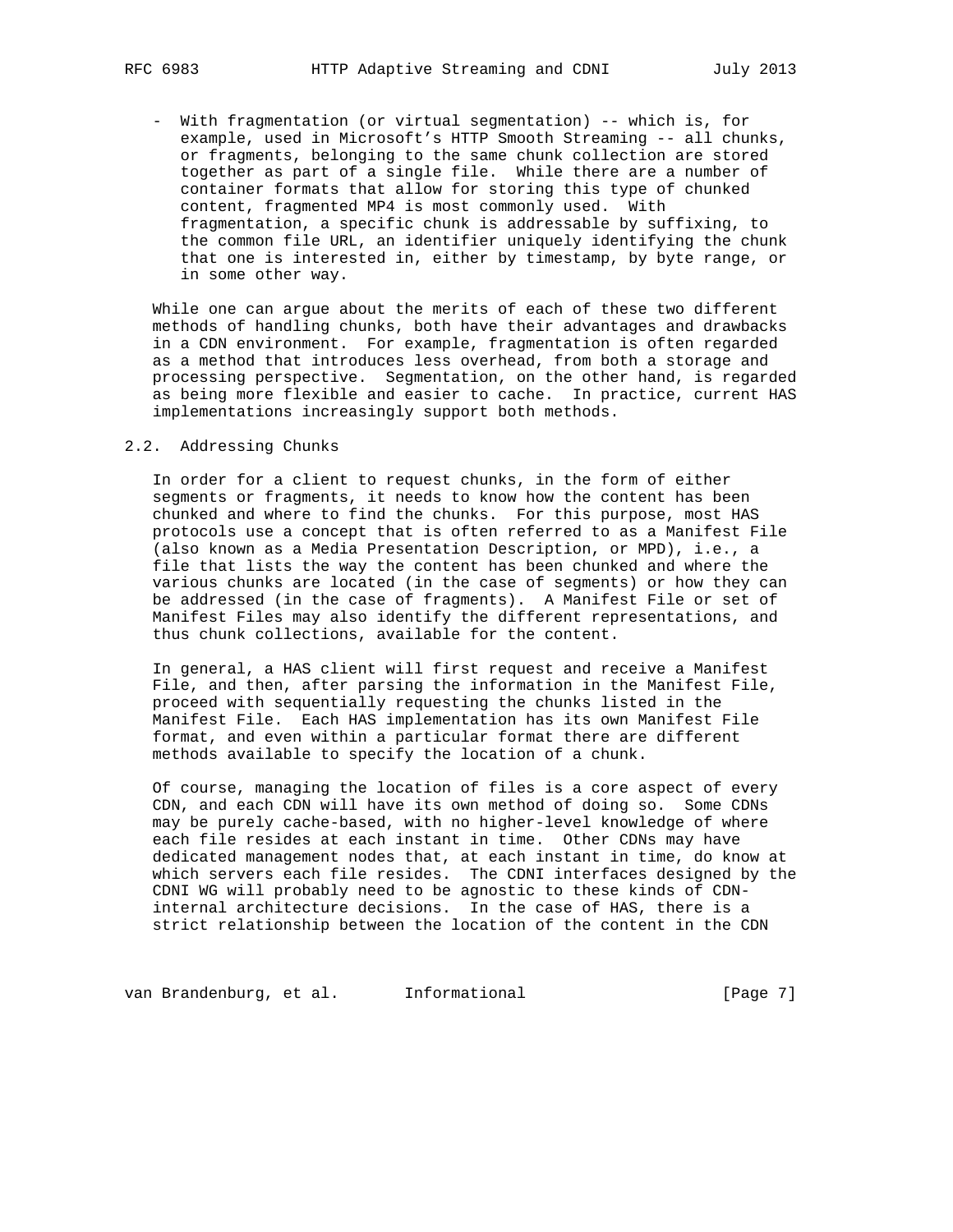- With fragmentation (or virtual segmentation) -- which is, for example, used in Microsoft's HTTP Smooth Streaming -- all chunks, or fragments, belonging to the same chunk collection are stored together as part of a single file. While there are a number of container formats that allow for storing this type of chunked content, fragmented MP4 is most commonly used. With fragmentation, a specific chunk is addressable by suffixing, to the common file URL, an identifier uniquely identifying the chunk that one is interested in, either by timestamp, by byte range, or in some other way.

 While one can argue about the merits of each of these two different methods of handling chunks, both have their advantages and drawbacks in a CDN environment. For example, fragmentation is often regarded as a method that introduces less overhead, from both a storage and processing perspective. Segmentation, on the other hand, is regarded as being more flexible and easier to cache. In practice, current HAS implementations increasingly support both methods.

#### 2.2. Addressing Chunks

 In order for a client to request chunks, in the form of either segments or fragments, it needs to know how the content has been chunked and where to find the chunks. For this purpose, most HAS protocols use a concept that is often referred to as a Manifest File (also known as a Media Presentation Description, or MPD), i.e., a file that lists the way the content has been chunked and where the various chunks are located (in the case of segments) or how they can be addressed (in the case of fragments). A Manifest File or set of Manifest Files may also identify the different representations, and thus chunk collections, available for the content.

 In general, a HAS client will first request and receive a Manifest File, and then, after parsing the information in the Manifest File, proceed with sequentially requesting the chunks listed in the Manifest File. Each HAS implementation has its own Manifest File format, and even within a particular format there are different methods available to specify the location of a chunk.

 Of course, managing the location of files is a core aspect of every CDN, and each CDN will have its own method of doing so. Some CDNs may be purely cache-based, with no higher-level knowledge of where each file resides at each instant in time. Other CDNs may have dedicated management nodes that, at each instant in time, do know at which servers each file resides. The CDNI interfaces designed by the CDNI WG will probably need to be agnostic to these kinds of CDN internal architecture decisions. In the case of HAS, there is a strict relationship between the location of the content in the CDN

van Brandenburg, et al. Informational (Page 7)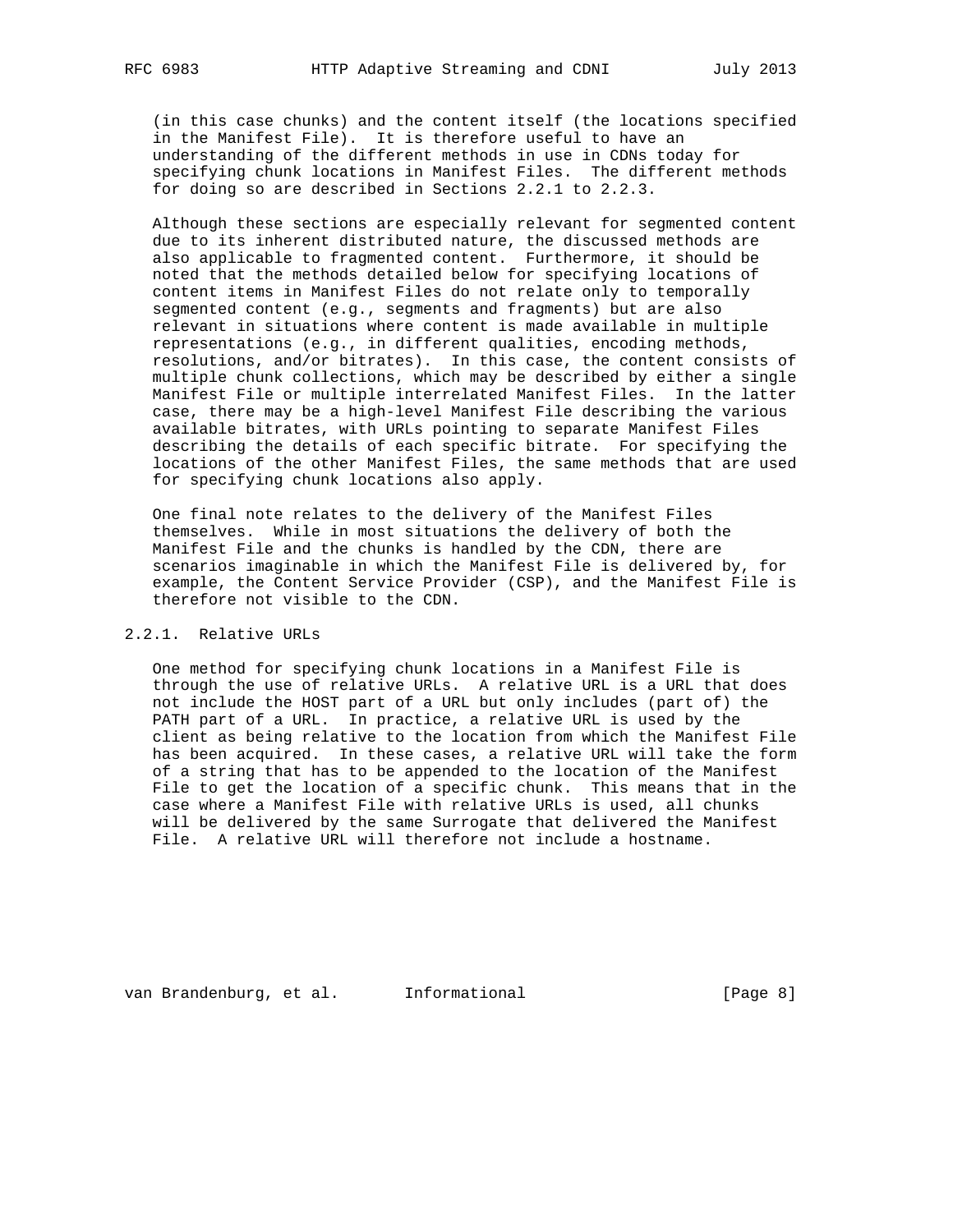(in this case chunks) and the content itself (the locations specified in the Manifest File). It is therefore useful to have an understanding of the different methods in use in CDNs today for specifying chunk locations in Manifest Files. The different methods for doing so are described in Sections 2.2.1 to 2.2.3.

 Although these sections are especially relevant for segmented content due to its inherent distributed nature, the discussed methods are also applicable to fragmented content. Furthermore, it should be noted that the methods detailed below for specifying locations of content items in Manifest Files do not relate only to temporally segmented content (e.g., segments and fragments) but are also relevant in situations where content is made available in multiple representations (e.g., in different qualities, encoding methods, resolutions, and/or bitrates). In this case, the content consists of multiple chunk collections, which may be described by either a single Manifest File or multiple interrelated Manifest Files. In the latter case, there may be a high-level Manifest File describing the various available bitrates, with URLs pointing to separate Manifest Files describing the details of each specific bitrate. For specifying the locations of the other Manifest Files, the same methods that are used for specifying chunk locations also apply.

 One final note relates to the delivery of the Manifest Files themselves. While in most situations the delivery of both the Manifest File and the chunks is handled by the CDN, there are scenarios imaginable in which the Manifest File is delivered by, for example, the Content Service Provider (CSP), and the Manifest File is therefore not visible to the CDN.

# 2.2.1. Relative URLs

 One method for specifying chunk locations in a Manifest File is through the use of relative URLs. A relative URL is a URL that does not include the HOST part of a URL but only includes (part of) the PATH part of a URL. In practice, a relative URL is used by the client as being relative to the location from which the Manifest File has been acquired. In these cases, a relative URL will take the form of a string that has to be appended to the location of the Manifest File to get the location of a specific chunk. This means that in the case where a Manifest File with relative URLs is used, all chunks will be delivered by the same Surrogate that delivered the Manifest File. A relative URL will therefore not include a hostname.

van Brandenburg, et al. Informational (Page 8)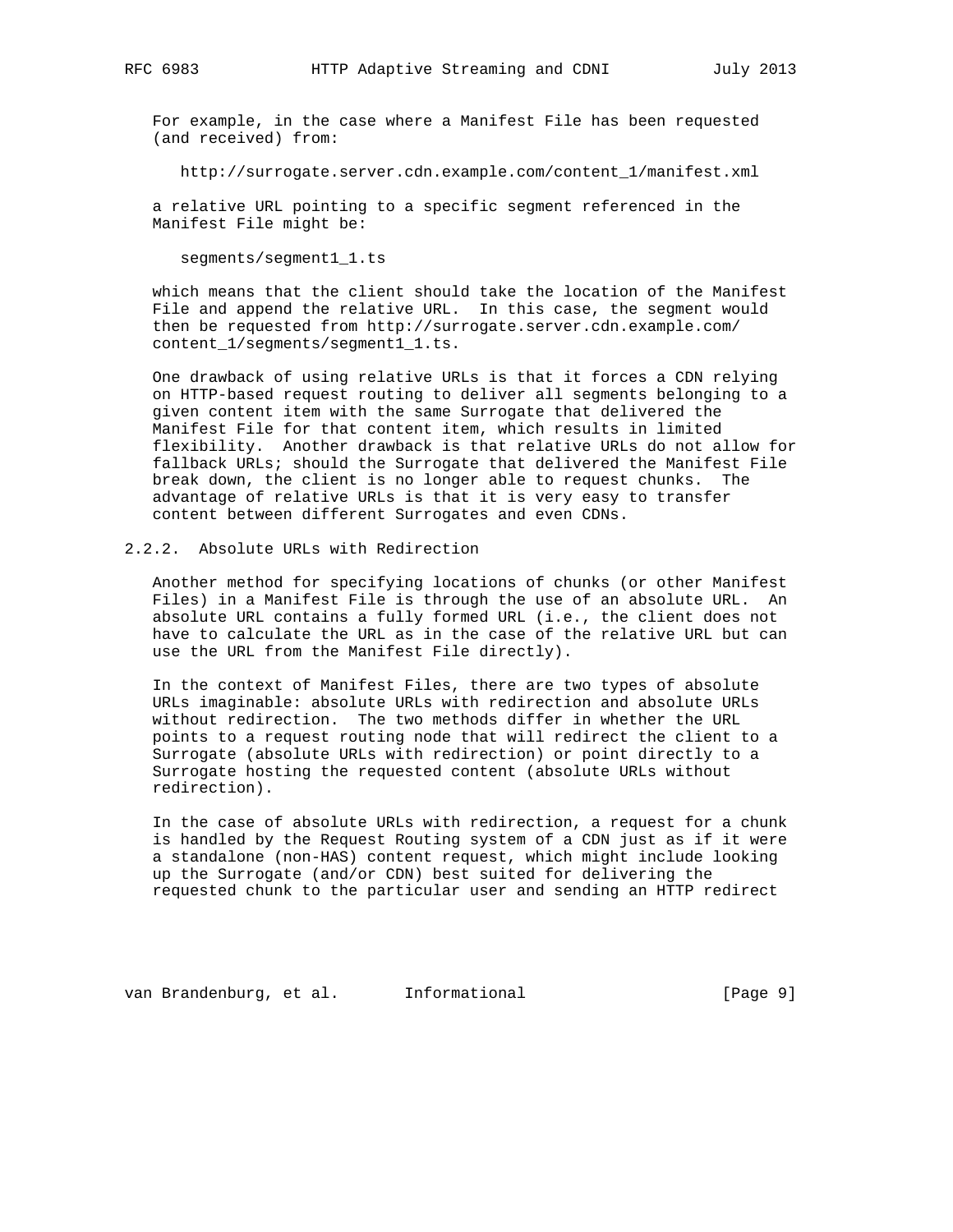For example, in the case where a Manifest File has been requested (and received) from:

http://surrogate.server.cdn.example.com/content\_1/manifest.xml

 a relative URL pointing to a specific segment referenced in the Manifest File might be:

segments/segment1\_1.ts

 which means that the client should take the location of the Manifest File and append the relative URL. In this case, the segment would then be requested from http://surrogate.server.cdn.example.com/ content\_1/segments/segment1\_1.ts.

 One drawback of using relative URLs is that it forces a CDN relying on HTTP-based request routing to deliver all segments belonging to a given content item with the same Surrogate that delivered the Manifest File for that content item, which results in limited flexibility. Another drawback is that relative URLs do not allow for fallback URLs; should the Surrogate that delivered the Manifest File break down, the client is no longer able to request chunks. The advantage of relative URLs is that it is very easy to transfer content between different Surrogates and even CDNs.

## 2.2.2. Absolute URLs with Redirection

 Another method for specifying locations of chunks (or other Manifest Files) in a Manifest File is through the use of an absolute URL. An absolute URL contains a fully formed URL (i.e., the client does not have to calculate the URL as in the case of the relative URL but can use the URL from the Manifest File directly).

 In the context of Manifest Files, there are two types of absolute URLs imaginable: absolute URLs with redirection and absolute URLs without redirection. The two methods differ in whether the URL points to a request routing node that will redirect the client to a Surrogate (absolute URLs with redirection) or point directly to a Surrogate hosting the requested content (absolute URLs without redirection).

 In the case of absolute URLs with redirection, a request for a chunk is handled by the Request Routing system of a CDN just as if it were a standalone (non-HAS) content request, which might include looking up the Surrogate (and/or CDN) best suited for delivering the requested chunk to the particular user and sending an HTTP redirect

van Brandenburg, et al. Informational (Page 9)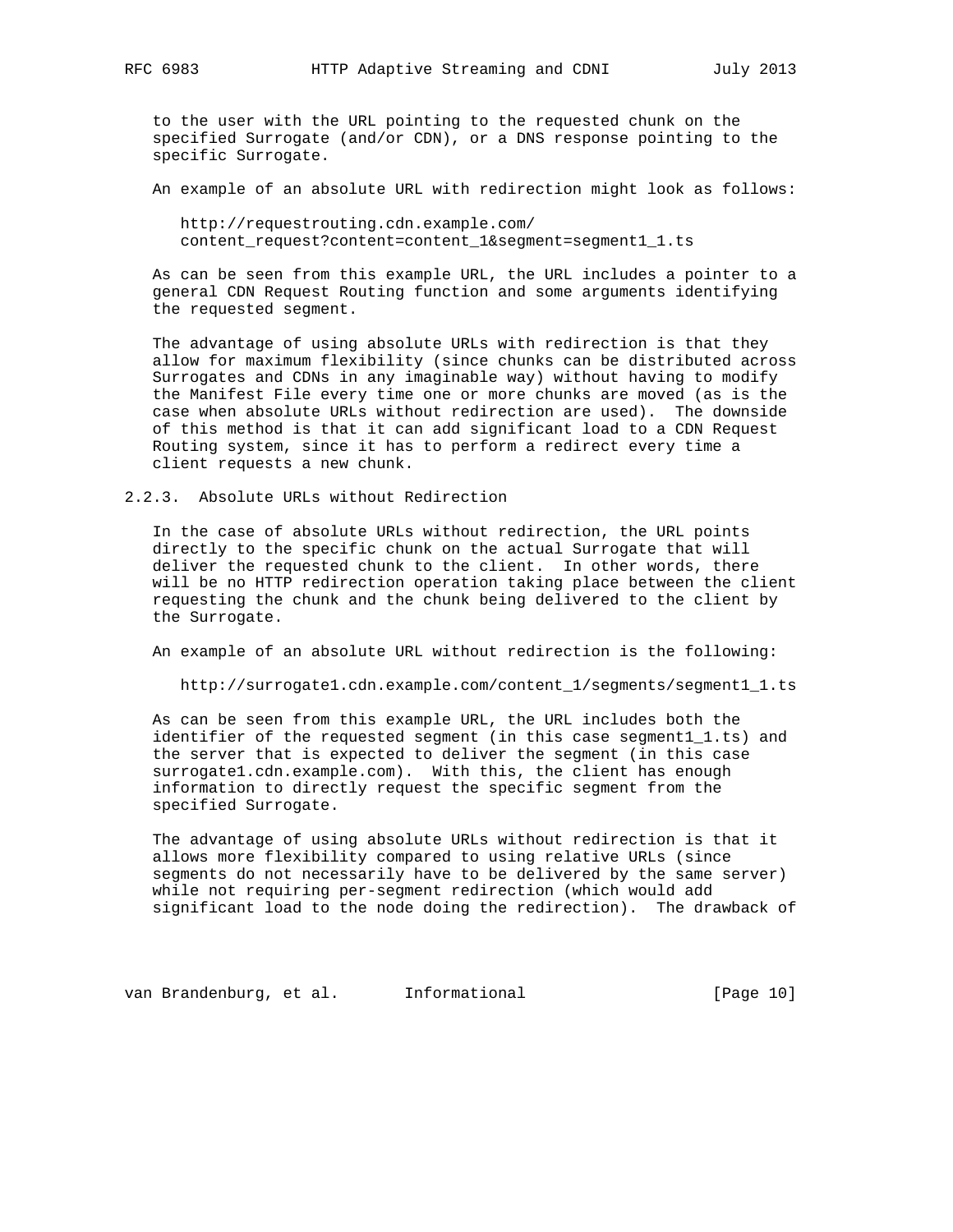to the user with the URL pointing to the requested chunk on the specified Surrogate (and/or CDN), or a DNS response pointing to the specific Surrogate.

An example of an absolute URL with redirection might look as follows:

 http://requestrouting.cdn.example.com/ content\_request?content=content\_1&segment=segment1\_1.ts

 As can be seen from this example URL, the URL includes a pointer to a general CDN Request Routing function and some arguments identifying the requested segment.

 The advantage of using absolute URLs with redirection is that they allow for maximum flexibility (since chunks can be distributed across Surrogates and CDNs in any imaginable way) without having to modify the Manifest File every time one or more chunks are moved (as is the case when absolute URLs without redirection are used). The downside of this method is that it can add significant load to a CDN Request Routing system, since it has to perform a redirect every time a client requests a new chunk.

#### 2.2.3. Absolute URLs without Redirection

 In the case of absolute URLs without redirection, the URL points directly to the specific chunk on the actual Surrogate that will deliver the requested chunk to the client. In other words, there will be no HTTP redirection operation taking place between the client requesting the chunk and the chunk being delivered to the client by the Surrogate.

An example of an absolute URL without redirection is the following:

http://surrogate1.cdn.example.com/content\_1/segments/segment1\_1.ts

 As can be seen from this example URL, the URL includes both the identifier of the requested segment (in this case segment1\_1.ts) and the server that is expected to deliver the segment (in this case surrogate1.cdn.example.com). With this, the client has enough information to directly request the specific segment from the specified Surrogate.

 The advantage of using absolute URLs without redirection is that it allows more flexibility compared to using relative URLs (since segments do not necessarily have to be delivered by the same server) while not requiring per-segment redirection (which would add significant load to the node doing the redirection). The drawback of

van Brandenburg, et al. 1nformational (Page 10)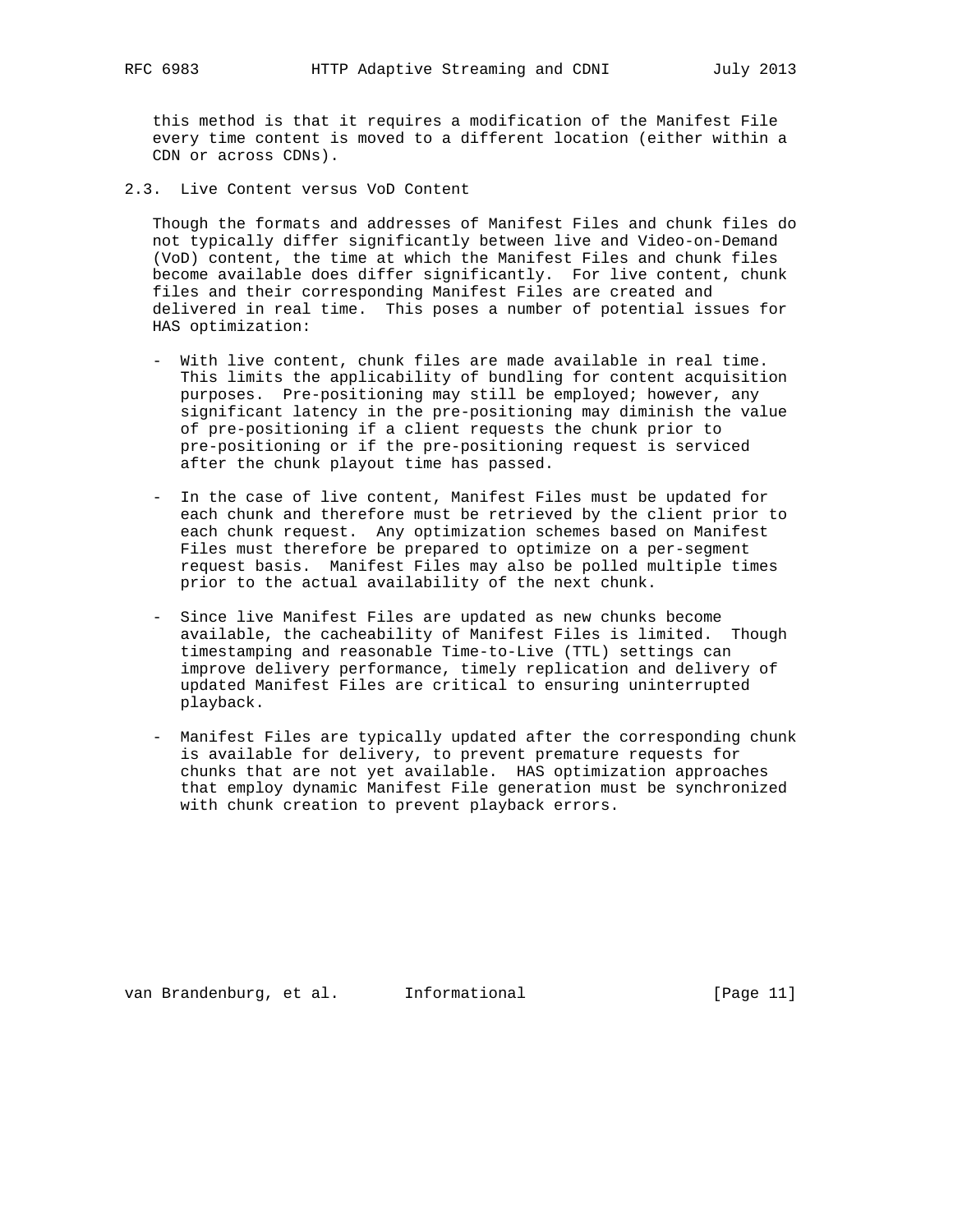this method is that it requires a modification of the Manifest File every time content is moved to a different location (either within a CDN or across CDNs).

2.3. Live Content versus VoD Content

 Though the formats and addresses of Manifest Files and chunk files do not typically differ significantly between live and Video-on-Demand (VoD) content, the time at which the Manifest Files and chunk files become available does differ significantly. For live content, chunk files and their corresponding Manifest Files are created and delivered in real time. This poses a number of potential issues for HAS optimization:

- With live content, chunk files are made available in real time. This limits the applicability of bundling for content acquisition purposes. Pre-positioning may still be employed; however, any significant latency in the pre-positioning may diminish the value of pre-positioning if a client requests the chunk prior to pre-positioning or if the pre-positioning request is serviced after the chunk playout time has passed.
- In the case of live content, Manifest Files must be updated for each chunk and therefore must be retrieved by the client prior to each chunk request. Any optimization schemes based on Manifest Files must therefore be prepared to optimize on a per-segment request basis. Manifest Files may also be polled multiple times prior to the actual availability of the next chunk.
- Since live Manifest Files are updated as new chunks become available, the cacheability of Manifest Files is limited. Though timestamping and reasonable Time-to-Live (TTL) settings can improve delivery performance, timely replication and delivery of updated Manifest Files are critical to ensuring uninterrupted playback.
- Manifest Files are typically updated after the corresponding chunk is available for delivery, to prevent premature requests for chunks that are not yet available. HAS optimization approaches that employ dynamic Manifest File generation must be synchronized with chunk creation to prevent playback errors.

van Brandenburg, et al. 1nformational (Page 11)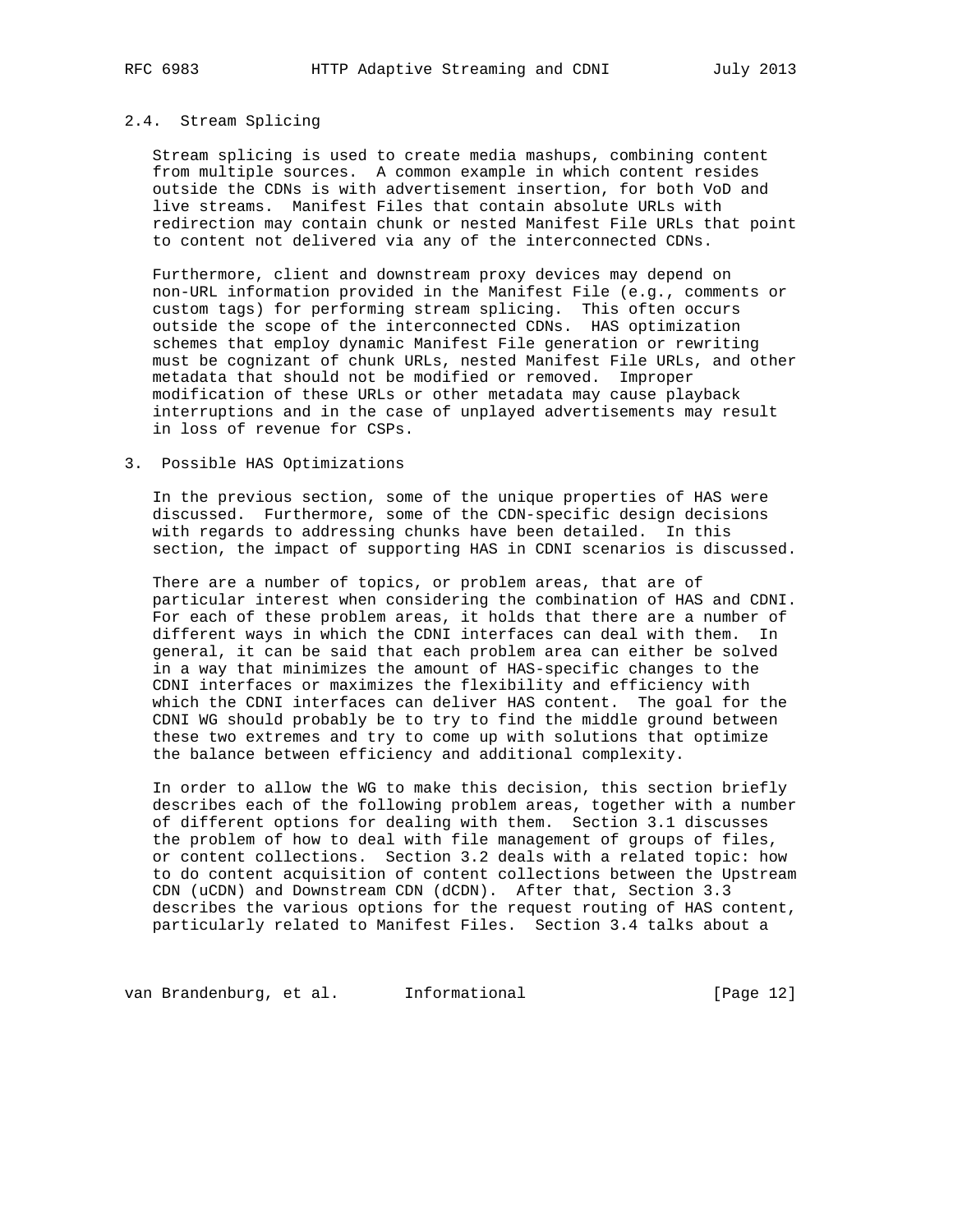#### 2.4. Stream Splicing

 Stream splicing is used to create media mashups, combining content from multiple sources. A common example in which content resides outside the CDNs is with advertisement insertion, for both VoD and live streams. Manifest Files that contain absolute URLs with redirection may contain chunk or nested Manifest File URLs that point to content not delivered via any of the interconnected CDNs.

 Furthermore, client and downstream proxy devices may depend on non-URL information provided in the Manifest File (e.g., comments or custom tags) for performing stream splicing. This often occurs outside the scope of the interconnected CDNs. HAS optimization schemes that employ dynamic Manifest File generation or rewriting must be cognizant of chunk URLs, nested Manifest File URLs, and other metadata that should not be modified or removed. Improper modification of these URLs or other metadata may cause playback interruptions and in the case of unplayed advertisements may result in loss of revenue for CSPs.

#### 3. Possible HAS Optimizations

 In the previous section, some of the unique properties of HAS were discussed. Furthermore, some of the CDN-specific design decisions with regards to addressing chunks have been detailed. In this section, the impact of supporting HAS in CDNI scenarios is discussed.

 There are a number of topics, or problem areas, that are of particular interest when considering the combination of HAS and CDNI. For each of these problem areas, it holds that there are a number of different ways in which the CDNI interfaces can deal with them. In general, it can be said that each problem area can either be solved in a way that minimizes the amount of HAS-specific changes to the CDNI interfaces or maximizes the flexibility and efficiency with which the CDNI interfaces can deliver HAS content. The goal for the CDNI WG should probably be to try to find the middle ground between these two extremes and try to come up with solutions that optimize the balance between efficiency and additional complexity.

 In order to allow the WG to make this decision, this section briefly describes each of the following problem areas, together with a number of different options for dealing with them. Section 3.1 discusses the problem of how to deal with file management of groups of files, or content collections. Section 3.2 deals with a related topic: how to do content acquisition of content collections between the Upstream CDN (uCDN) and Downstream CDN (dCDN). After that, Section 3.3 describes the various options for the request routing of HAS content, particularly related to Manifest Files. Section 3.4 talks about a

van Brandenburg, et al. 1nformational (Page 12)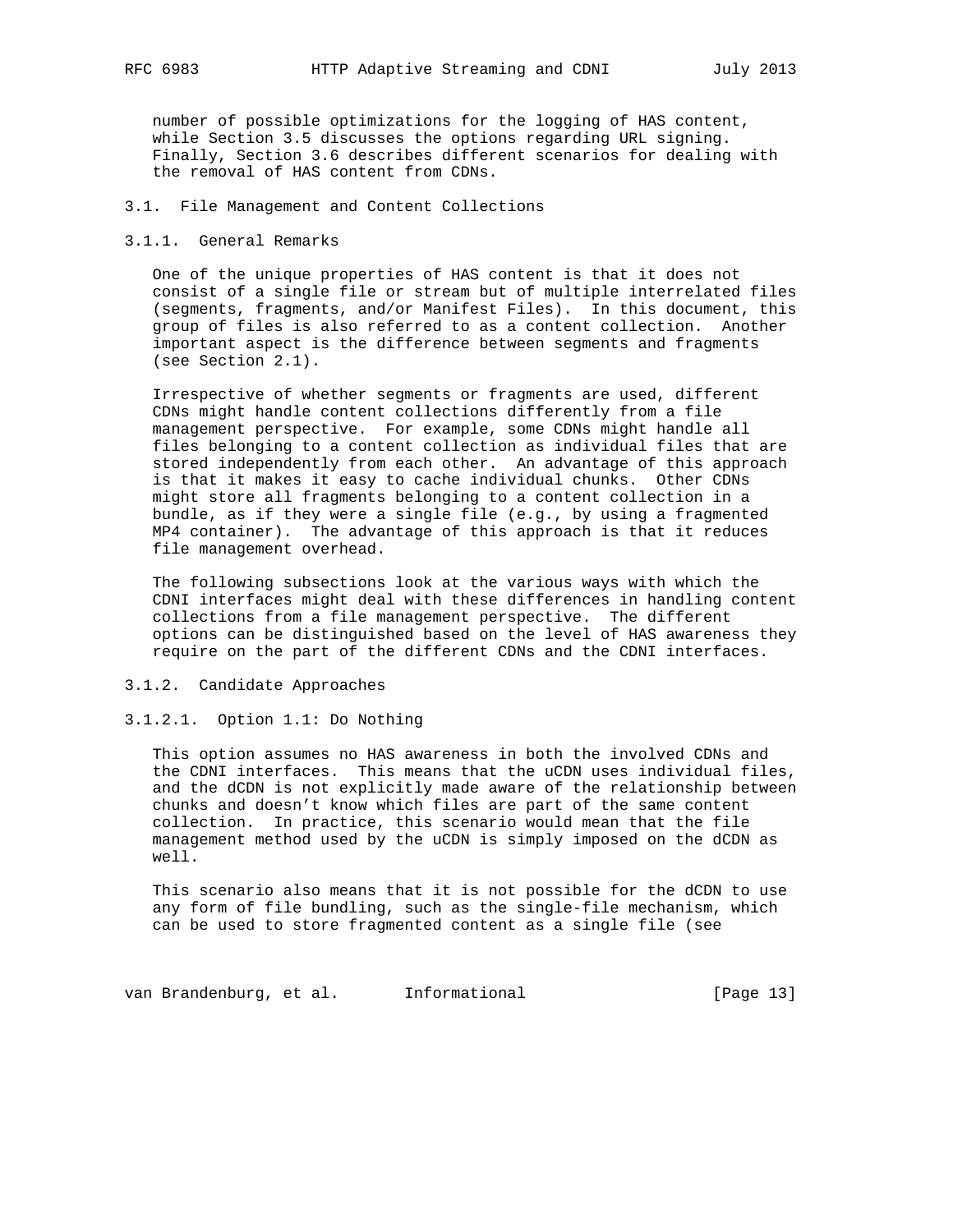number of possible optimizations for the logging of HAS content, while Section 3.5 discusses the options regarding URL signing. Finally, Section 3.6 describes different scenarios for dealing with the removal of HAS content from CDNs.

#### 3.1. File Management and Content Collections

## 3.1.1. General Remarks

 One of the unique properties of HAS content is that it does not consist of a single file or stream but of multiple interrelated files (segments, fragments, and/or Manifest Files). In this document, this group of files is also referred to as a content collection. Another important aspect is the difference between segments and fragments (see Section 2.1).

 Irrespective of whether segments or fragments are used, different CDNs might handle content collections differently from a file management perspective. For example, some CDNs might handle all files belonging to a content collection as individual files that are stored independently from each other. An advantage of this approach is that it makes it easy to cache individual chunks. Other CDNs might store all fragments belonging to a content collection in a bundle, as if they were a single file (e.g., by using a fragmented MP4 container). The advantage of this approach is that it reduces file management overhead.

 The following subsections look at the various ways with which the CDNI interfaces might deal with these differences in handling content collections from a file management perspective. The different options can be distinguished based on the level of HAS awareness they require on the part of the different CDNs and the CDNI interfaces.

## 3.1.2. Candidate Approaches

#### 3.1.2.1. Option 1.1: Do Nothing

 This option assumes no HAS awareness in both the involved CDNs and the CDNI interfaces. This means that the uCDN uses individual files, and the dCDN is not explicitly made aware of the relationship between chunks and doesn't know which files are part of the same content collection. In practice, this scenario would mean that the file management method used by the uCDN is simply imposed on the dCDN as well.

 This scenario also means that it is not possible for the dCDN to use any form of file bundling, such as the single-file mechanism, which can be used to store fragmented content as a single file (see

van Brandenburg, et al. 1nformational (Page 13)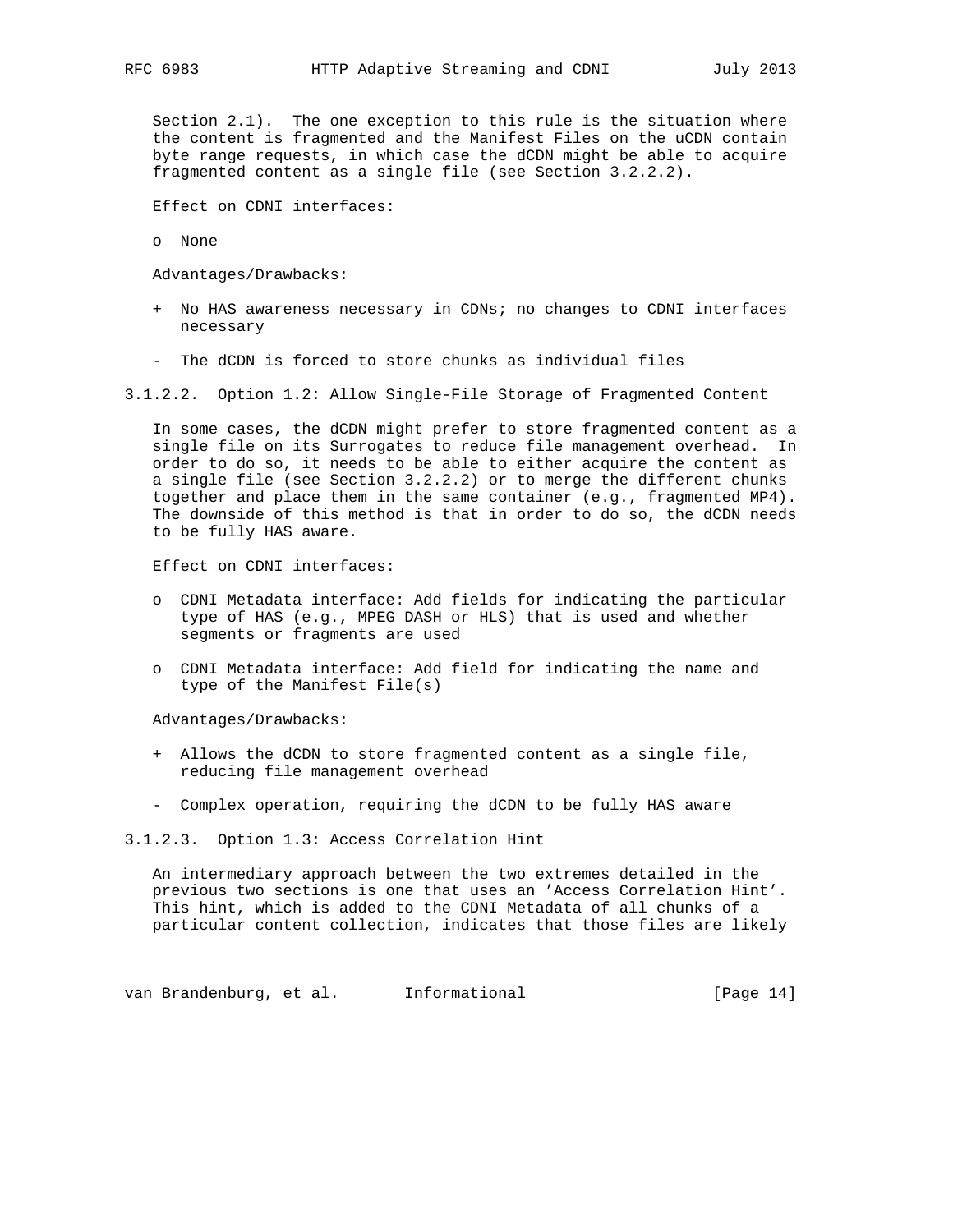Section 2.1). The one exception to this rule is the situation where the content is fragmented and the Manifest Files on the uCDN contain byte range requests, in which case the dCDN might be able to acquire fragmented content as a single file (see Section 3.2.2.2).

Effect on CDNI interfaces:

o None

Advantages/Drawbacks:

- + No HAS awareness necessary in CDNs; no changes to CDNI interfaces necessary
- The dCDN is forced to store chunks as individual files

3.1.2.2. Option 1.2: Allow Single-File Storage of Fragmented Content

 In some cases, the dCDN might prefer to store fragmented content as a single file on its Surrogates to reduce file management overhead. In order to do so, it needs to be able to either acquire the content as a single file (see Section 3.2.2.2) or to merge the different chunks together and place them in the same container (e.g., fragmented MP4). The downside of this method is that in order to do so, the dCDN needs to be fully HAS aware.

Effect on CDNI interfaces:

- o CDNI Metadata interface: Add fields for indicating the particular type of HAS (e.g., MPEG DASH or HLS) that is used and whether segments or fragments are used
- o CDNI Metadata interface: Add field for indicating the name and type of the Manifest File(s)

Advantages/Drawbacks:

- + Allows the dCDN to store fragmented content as a single file, reducing file management overhead
- Complex operation, requiring the dCDN to be fully HAS aware

3.1.2.3. Option 1.3: Access Correlation Hint

 An intermediary approach between the two extremes detailed in the previous two sections is one that uses an 'Access Correlation Hint'. This hint, which is added to the CDNI Metadata of all chunks of a particular content collection, indicates that those files are likely

van Brandenburg, et al. 1nformational (Page 14)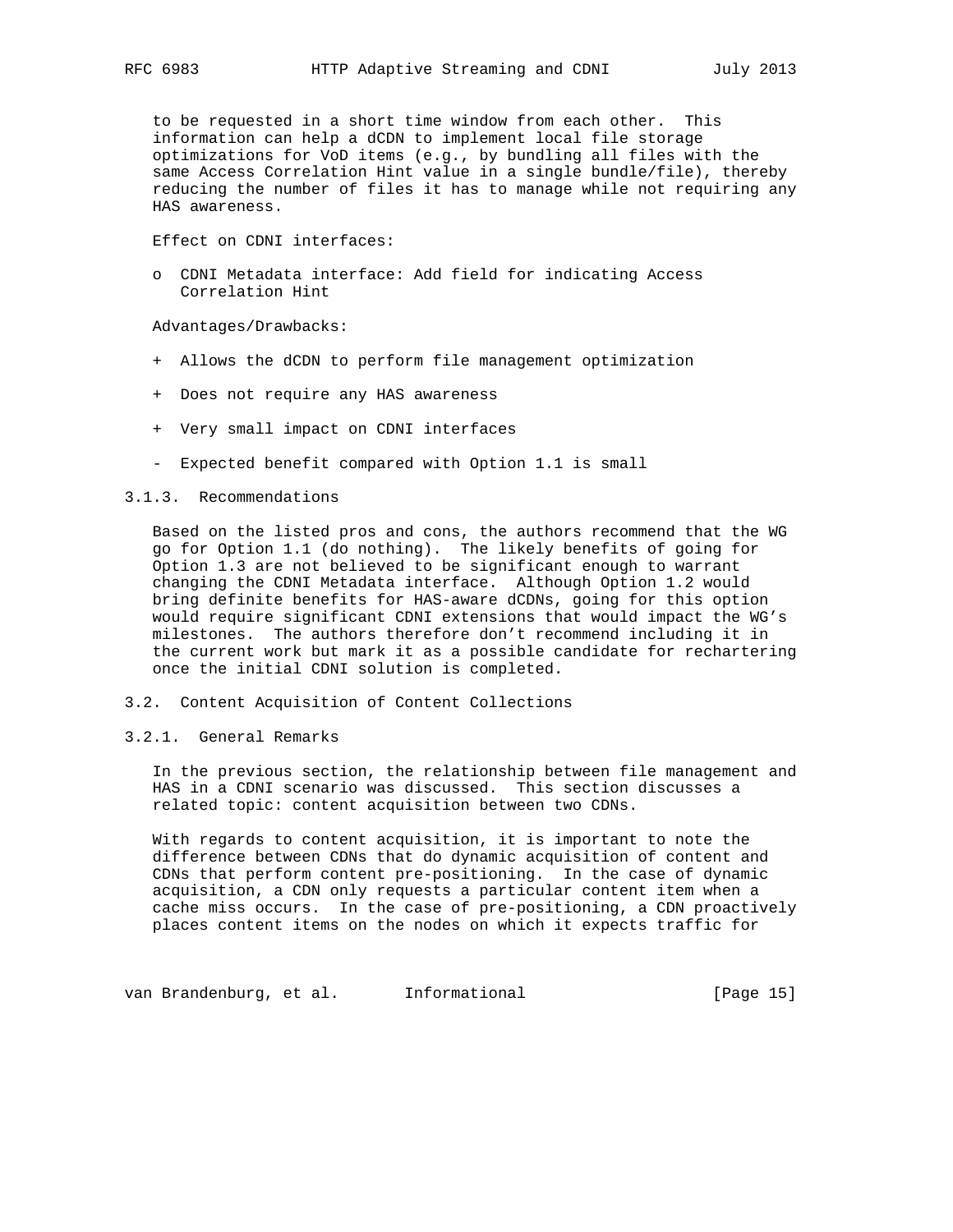to be requested in a short time window from each other. This information can help a dCDN to implement local file storage optimizations for VoD items (e.g., by bundling all files with the same Access Correlation Hint value in a single bundle/file), thereby reducing the number of files it has to manage while not requiring any HAS awareness.

Effect on CDNI interfaces:

 o CDNI Metadata interface: Add field for indicating Access Correlation Hint

Advantages/Drawbacks:

- + Allows the dCDN to perform file management optimization
- + Does not require any HAS awareness
- + Very small impact on CDNI interfaces
- Expected benefit compared with Option 1.1 is small

#### 3.1.3. Recommendations

 Based on the listed pros and cons, the authors recommend that the WG go for Option 1.1 (do nothing). The likely benefits of going for Option 1.3 are not believed to be significant enough to warrant changing the CDNI Metadata interface. Although Option 1.2 would bring definite benefits for HAS-aware dCDNs, going for this option would require significant CDNI extensions that would impact the WG's milestones. The authors therefore don't recommend including it in the current work but mark it as a possible candidate for rechartering once the initial CDNI solution is completed.

- 3.2. Content Acquisition of Content Collections
- 3.2.1. General Remarks

 In the previous section, the relationship between file management and HAS in a CDNI scenario was discussed. This section discusses a related topic: content acquisition between two CDNs.

 With regards to content acquisition, it is important to note the difference between CDNs that do dynamic acquisition of content and CDNs that perform content pre-positioning. In the case of dynamic acquisition, a CDN only requests a particular content item when a cache miss occurs. In the case of pre-positioning, a CDN proactively places content items on the nodes on which it expects traffic for

van Brandenburg, et al. 1nformational (Page 15)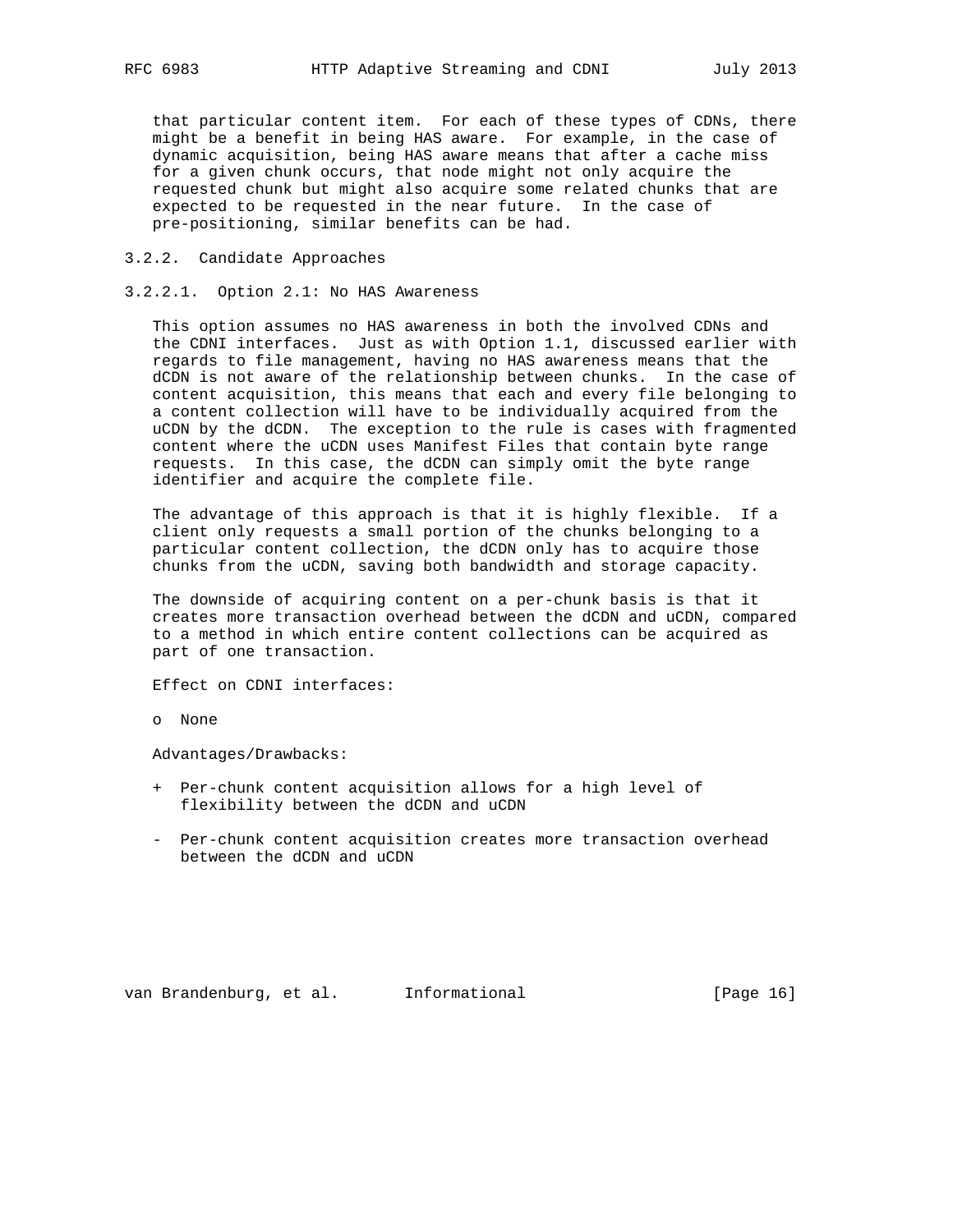that particular content item. For each of these types of CDNs, there might be a benefit in being HAS aware. For example, in the case of dynamic acquisition, being HAS aware means that after a cache miss for a given chunk occurs, that node might not only acquire the requested chunk but might also acquire some related chunks that are expected to be requested in the near future. In the case of pre-positioning, similar benefits can be had.

- 3.2.2. Candidate Approaches
- 3.2.2.1. Option 2.1: No HAS Awareness

 This option assumes no HAS awareness in both the involved CDNs and the CDNI interfaces. Just as with Option 1.1, discussed earlier with regards to file management, having no HAS awareness means that the dCDN is not aware of the relationship between chunks. In the case of content acquisition, this means that each and every file belonging to a content collection will have to be individually acquired from the uCDN by the dCDN. The exception to the rule is cases with fragmented content where the uCDN uses Manifest Files that contain byte range requests. In this case, the dCDN can simply omit the byte range identifier and acquire the complete file.

 The advantage of this approach is that it is highly flexible. If a client only requests a small portion of the chunks belonging to a particular content collection, the dCDN only has to acquire those chunks from the uCDN, saving both bandwidth and storage capacity.

 The downside of acquiring content on a per-chunk basis is that it creates more transaction overhead between the dCDN and uCDN, compared to a method in which entire content collections can be acquired as part of one transaction.

Effect on CDNI interfaces:

o None

Advantages/Drawbacks:

- + Per-chunk content acquisition allows for a high level of flexibility between the dCDN and uCDN
- Per-chunk content acquisition creates more transaction overhead between the dCDN and uCDN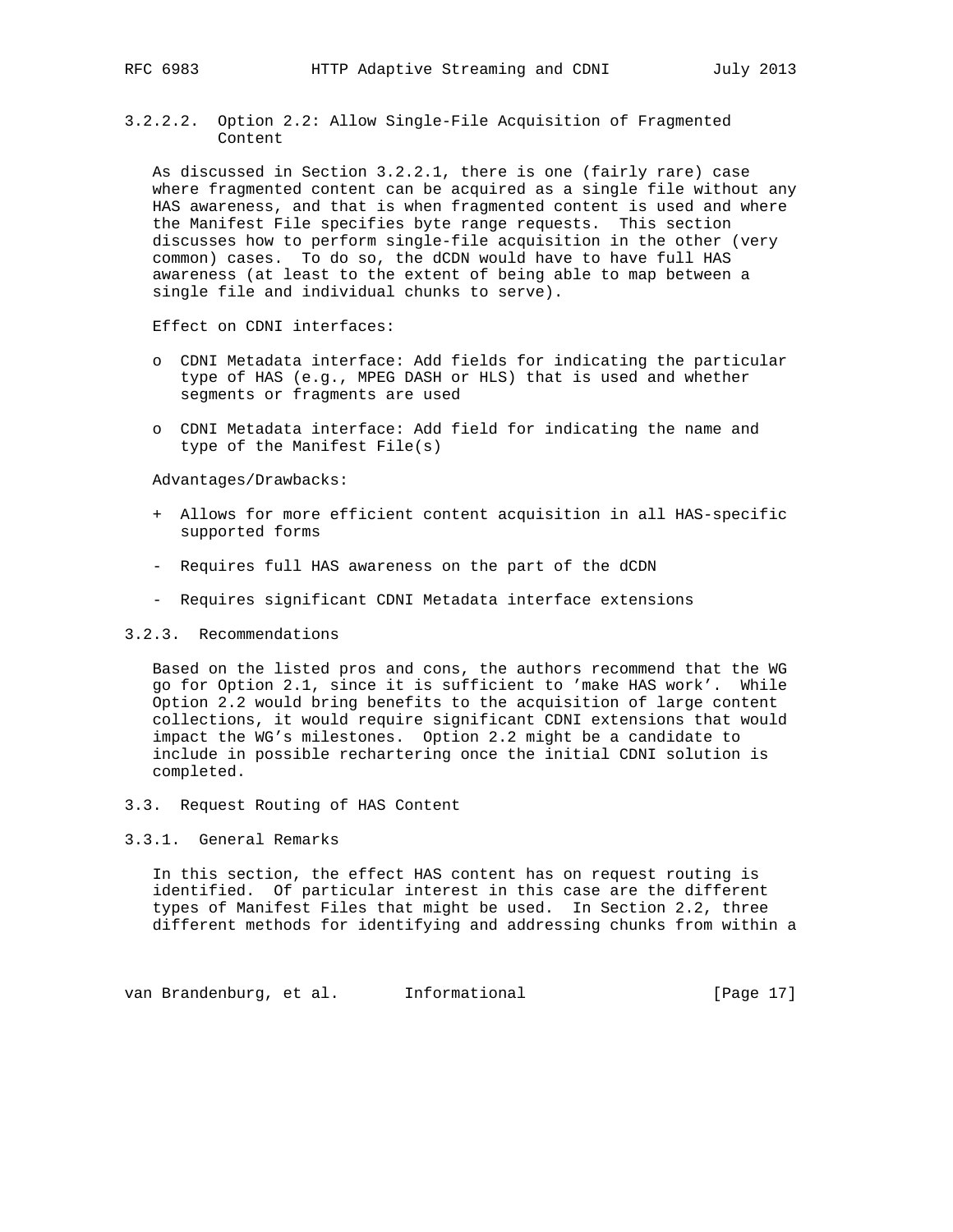3.2.2.2. Option 2.2: Allow Single-File Acquisition of Fragmented Content

 As discussed in Section 3.2.2.1, there is one (fairly rare) case where fragmented content can be acquired as a single file without any HAS awareness, and that is when fragmented content is used and where the Manifest File specifies byte range requests. This section discusses how to perform single-file acquisition in the other (very common) cases. To do so, the dCDN would have to have full HAS awareness (at least to the extent of being able to map between a single file and individual chunks to serve).

Effect on CDNI interfaces:

- o CDNI Metadata interface: Add fields for indicating the particular type of HAS (e.g., MPEG DASH or HLS) that is used and whether segments or fragments are used
- o CDNI Metadata interface: Add field for indicating the name and type of the Manifest File(s)

Advantages/Drawbacks:

- + Allows for more efficient content acquisition in all HAS-specific supported forms
- Requires full HAS awareness on the part of the dCDN
- Requires significant CDNI Metadata interface extensions

## 3.2.3. Recommendations

 Based on the listed pros and cons, the authors recommend that the WG go for Option 2.1, since it is sufficient to 'make HAS work'. While Option 2.2 would bring benefits to the acquisition of large content collections, it would require significant CDNI extensions that would impact the WG's milestones. Option 2.2 might be a candidate to include in possible rechartering once the initial CDNI solution is completed.

3.3. Request Routing of HAS Content

## 3.3.1. General Remarks

 In this section, the effect HAS content has on request routing is identified. Of particular interest in this case are the different types of Manifest Files that might be used. In Section 2.2, three different methods for identifying and addressing chunks from within a

van Brandenburg, et al. 1nformational (Page 17)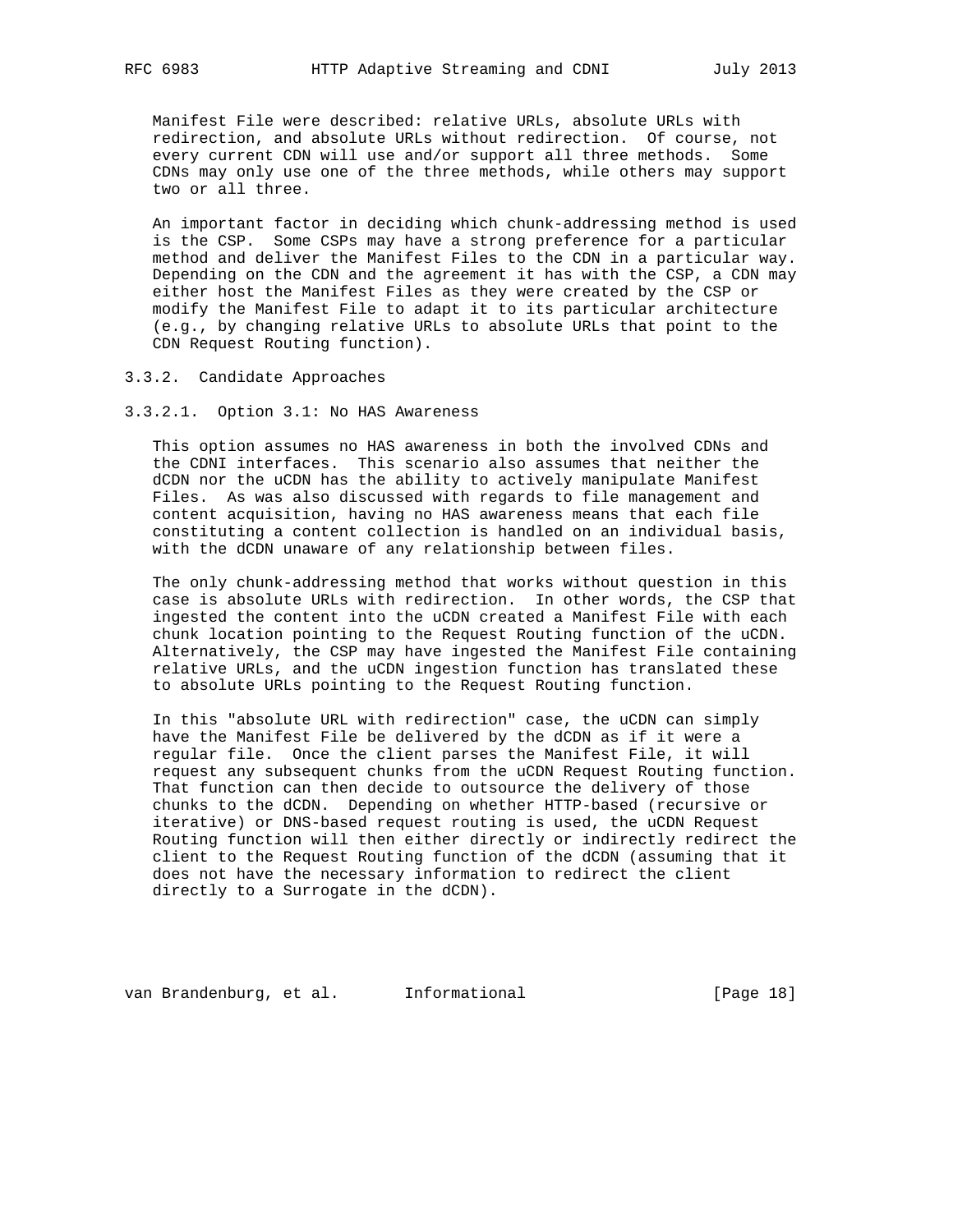Manifest File were described: relative URLs, absolute URLs with redirection, and absolute URLs without redirection. Of course, not every current CDN will use and/or support all three methods. Some CDNs may only use one of the three methods, while others may support two or all three.

 An important factor in deciding which chunk-addressing method is used is the CSP. Some CSPs may have a strong preference for a particular method and deliver the Manifest Files to the CDN in a particular way. Depending on the CDN and the agreement it has with the CSP, a CDN may either host the Manifest Files as they were created by the CSP or modify the Manifest File to adapt it to its particular architecture (e.g., by changing relative URLs to absolute URLs that point to the CDN Request Routing function).

3.3.2. Candidate Approaches

3.3.2.1. Option 3.1: No HAS Awareness

 This option assumes no HAS awareness in both the involved CDNs and the CDNI interfaces. This scenario also assumes that neither the dCDN nor the uCDN has the ability to actively manipulate Manifest Files. As was also discussed with regards to file management and content acquisition, having no HAS awareness means that each file constituting a content collection is handled on an individual basis, with the dCDN unaware of any relationship between files.

 The only chunk-addressing method that works without question in this case is absolute URLs with redirection. In other words, the CSP that ingested the content into the uCDN created a Manifest File with each chunk location pointing to the Request Routing function of the uCDN. Alternatively, the CSP may have ingested the Manifest File containing relative URLs, and the uCDN ingestion function has translated these to absolute URLs pointing to the Request Routing function.

 In this "absolute URL with redirection" case, the uCDN can simply have the Manifest File be delivered by the dCDN as if it were a regular file. Once the client parses the Manifest File, it will request any subsequent chunks from the uCDN Request Routing function. That function can then decide to outsource the delivery of those chunks to the dCDN. Depending on whether HTTP-based (recursive or iterative) or DNS-based request routing is used, the uCDN Request Routing function will then either directly or indirectly redirect the client to the Request Routing function of the dCDN (assuming that it does not have the necessary information to redirect the client directly to a Surrogate in the dCDN).

van Brandenburg, et al. 1nformational 1999 [Page 18]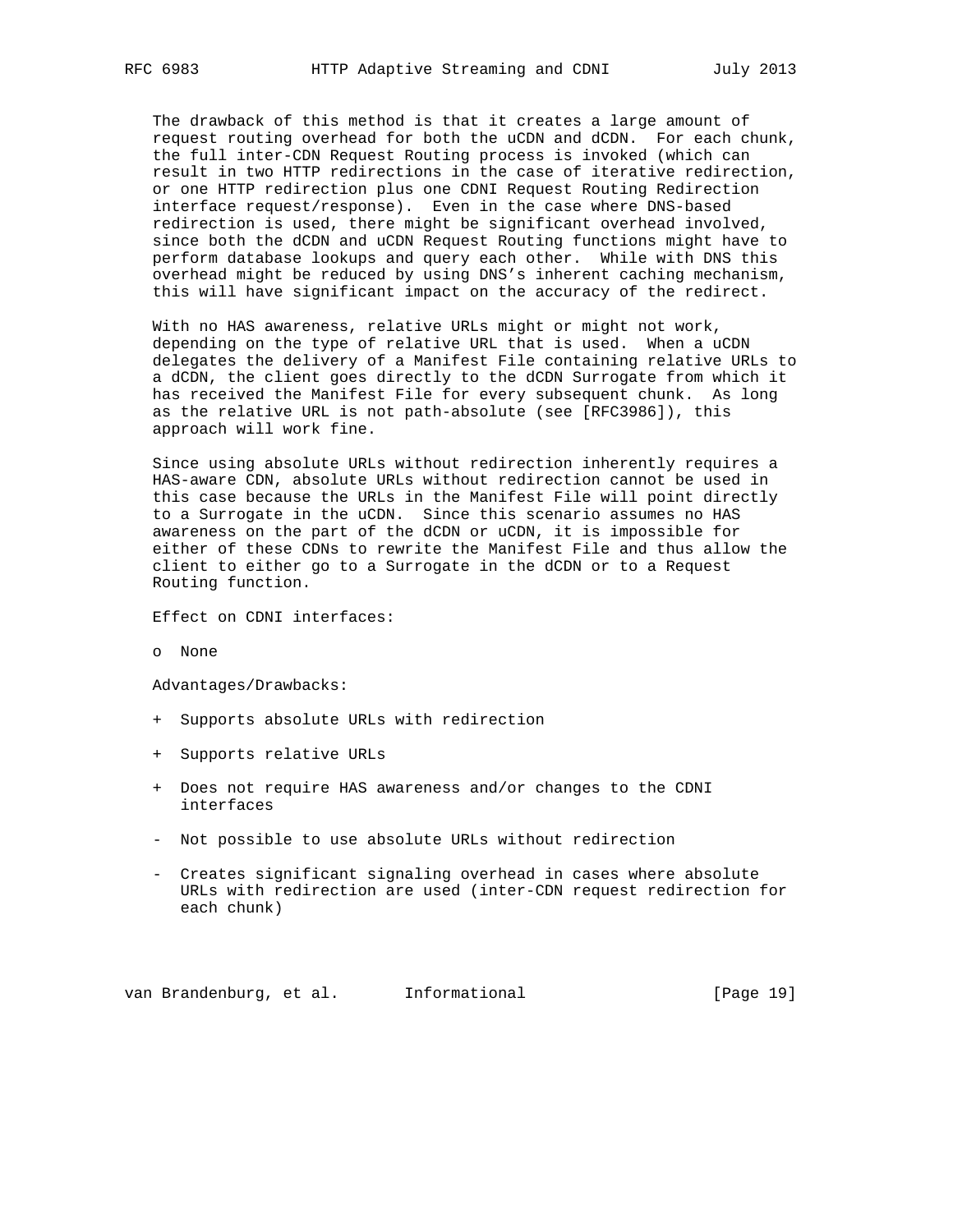The drawback of this method is that it creates a large amount of request routing overhead for both the uCDN and dCDN. For each chunk, the full inter-CDN Request Routing process is invoked (which can result in two HTTP redirections in the case of iterative redirection, or one HTTP redirection plus one CDNI Request Routing Redirection interface request/response). Even in the case where DNS-based redirection is used, there might be significant overhead involved, since both the dCDN and uCDN Request Routing functions might have to perform database lookups and query each other. While with DNS this overhead might be reduced by using DNS's inherent caching mechanism, this will have significant impact on the accuracy of the redirect.

 With no HAS awareness, relative URLs might or might not work, depending on the type of relative URL that is used. When a uCDN delegates the delivery of a Manifest File containing relative URLs to a dCDN, the client goes directly to the dCDN Surrogate from which it has received the Manifest File for every subsequent chunk. As long as the relative URL is not path-absolute (see [RFC3986]), this approach will work fine.

 Since using absolute URLs without redirection inherently requires a HAS-aware CDN, absolute URLs without redirection cannot be used in this case because the URLs in the Manifest File will point directly to a Surrogate in the uCDN. Since this scenario assumes no HAS awareness on the part of the dCDN or uCDN, it is impossible for either of these CDNs to rewrite the Manifest File and thus allow the client to either go to a Surrogate in the dCDN or to a Request Routing function.

Effect on CDNI interfaces:

o None

Advantages/Drawbacks:

- + Supports absolute URLs with redirection
- + Supports relative URLs
- + Does not require HAS awareness and/or changes to the CDNI interfaces
- Not possible to use absolute URLs without redirection
- Creates significant signaling overhead in cases where absolute URLs with redirection are used (inter-CDN request redirection for each chunk)

van Brandenburg, et al. 1nformational (Page 19)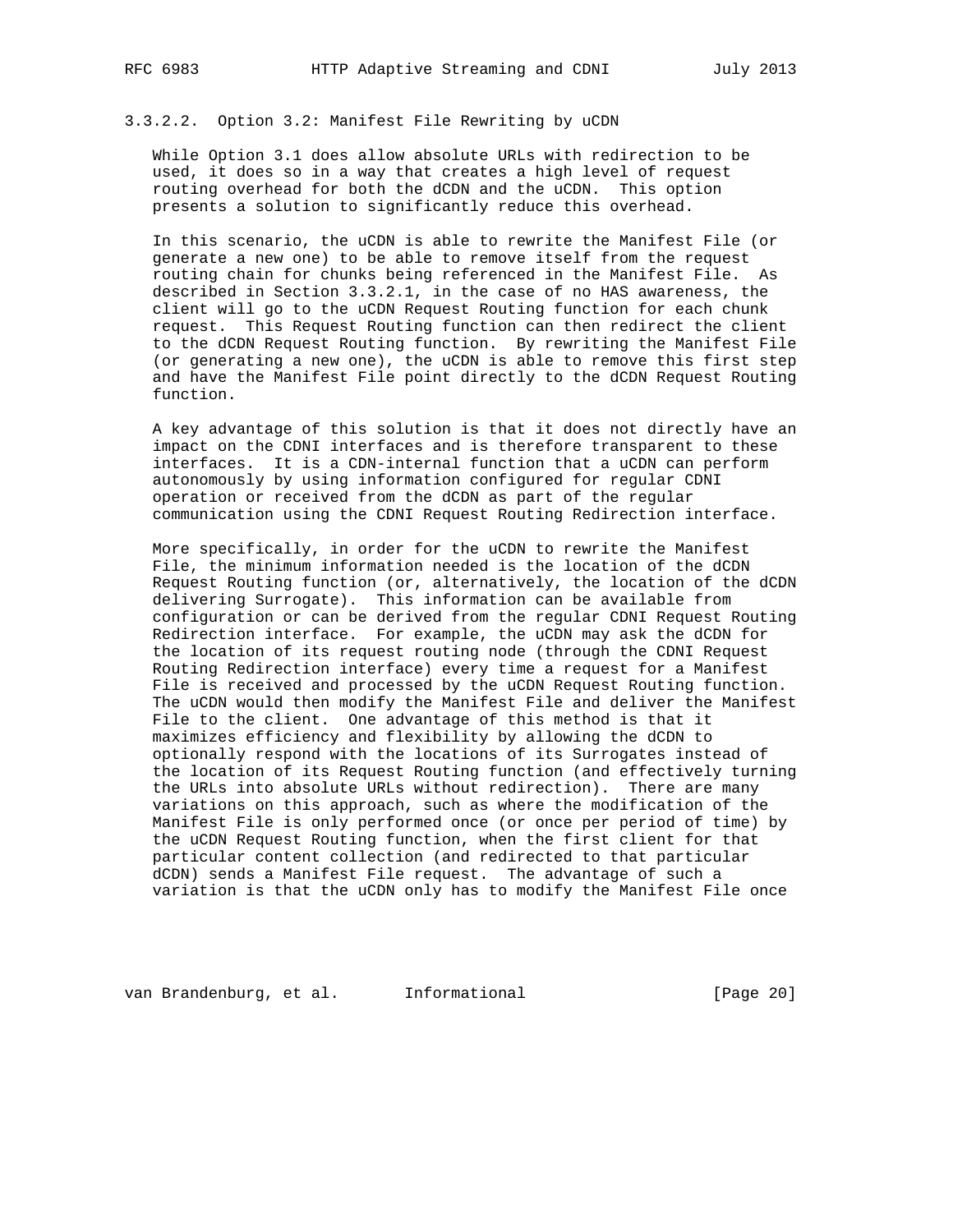## 3.3.2.2. Option 3.2: Manifest File Rewriting by uCDN

 While Option 3.1 does allow absolute URLs with redirection to be used, it does so in a way that creates a high level of request routing overhead for both the dCDN and the uCDN. This option presents a solution to significantly reduce this overhead.

 In this scenario, the uCDN is able to rewrite the Manifest File (or generate a new one) to be able to remove itself from the request routing chain for chunks being referenced in the Manifest File. As described in Section 3.3.2.1, in the case of no HAS awareness, the client will go to the uCDN Request Routing function for each chunk request. This Request Routing function can then redirect the client to the dCDN Request Routing function. By rewriting the Manifest File (or generating a new one), the uCDN is able to remove this first step and have the Manifest File point directly to the dCDN Request Routing function.

 A key advantage of this solution is that it does not directly have an impact on the CDNI interfaces and is therefore transparent to these interfaces. It is a CDN-internal function that a uCDN can perform autonomously by using information configured for regular CDNI operation or received from the dCDN as part of the regular communication using the CDNI Request Routing Redirection interface.

 More specifically, in order for the uCDN to rewrite the Manifest File, the minimum information needed is the location of the dCDN Request Routing function (or, alternatively, the location of the dCDN delivering Surrogate). This information can be available from configuration or can be derived from the regular CDNI Request Routing Redirection interface. For example, the uCDN may ask the dCDN for the location of its request routing node (through the CDNI Request Routing Redirection interface) every time a request for a Manifest File is received and processed by the uCDN Request Routing function. The uCDN would then modify the Manifest File and deliver the Manifest File to the client. One advantage of this method is that it maximizes efficiency and flexibility by allowing the dCDN to optionally respond with the locations of its Surrogates instead of the location of its Request Routing function (and effectively turning the URLs into absolute URLs without redirection). There are many variations on this approach, such as where the modification of the Manifest File is only performed once (or once per period of time) by the uCDN Request Routing function, when the first client for that particular content collection (and redirected to that particular dCDN) sends a Manifest File request. The advantage of such a variation is that the uCDN only has to modify the Manifest File once

van Brandenburg, et al. 1nformational 1999 [Page 20]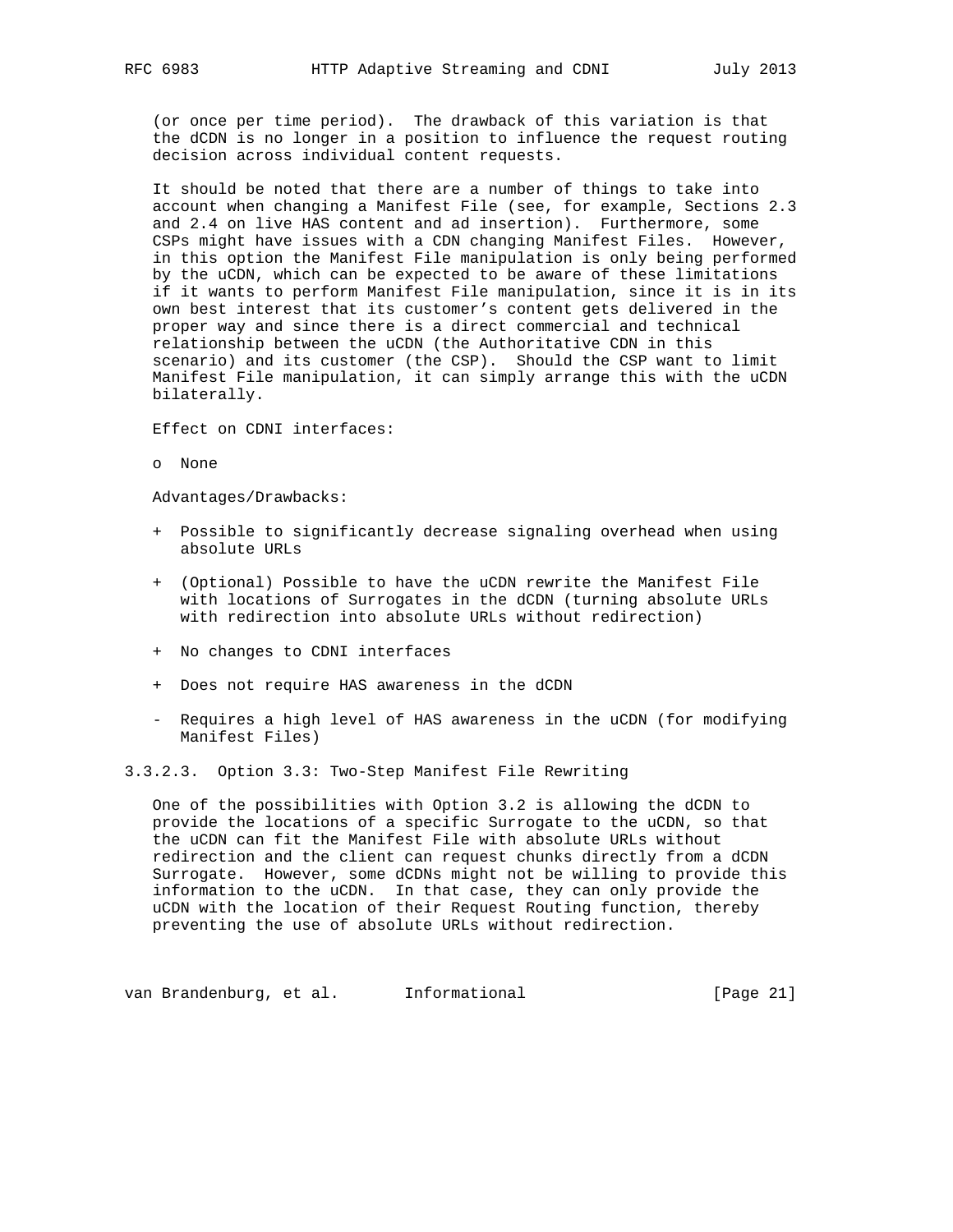(or once per time period). The drawback of this variation is that the dCDN is no longer in a position to influence the request routing decision across individual content requests.

 It should be noted that there are a number of things to take into account when changing a Manifest File (see, for example, Sections 2.3 and 2.4 on live HAS content and ad insertion). Furthermore, some CSPs might have issues with a CDN changing Manifest Files. However, in this option the Manifest File manipulation is only being performed by the uCDN, which can be expected to be aware of these limitations if it wants to perform Manifest File manipulation, since it is in its own best interest that its customer's content gets delivered in the proper way and since there is a direct commercial and technical relationship between the uCDN (the Authoritative CDN in this scenario) and its customer (the CSP). Should the CSP want to limit Manifest File manipulation, it can simply arrange this with the uCDN bilaterally.

Effect on CDNI interfaces:

o None

Advantages/Drawbacks:

- + Possible to significantly decrease signaling overhead when using absolute URLs
- + (Optional) Possible to have the uCDN rewrite the Manifest File with locations of Surrogates in the dCDN (turning absolute URLs with redirection into absolute URLs without redirection)
- + No changes to CDNI interfaces
- + Does not require HAS awareness in the dCDN
- Requires a high level of HAS awareness in the uCDN (for modifying Manifest Files)

3.3.2.3. Option 3.3: Two-Step Manifest File Rewriting

 One of the possibilities with Option 3.2 is allowing the dCDN to provide the locations of a specific Surrogate to the uCDN, so that the uCDN can fit the Manifest File with absolute URLs without redirection and the client can request chunks directly from a dCDN Surrogate. However, some dCDNs might not be willing to provide this information to the uCDN. In that case, they can only provide the uCDN with the location of their Request Routing function, thereby preventing the use of absolute URLs without redirection.

van Brandenburg, et al. 1nformational (Page 21)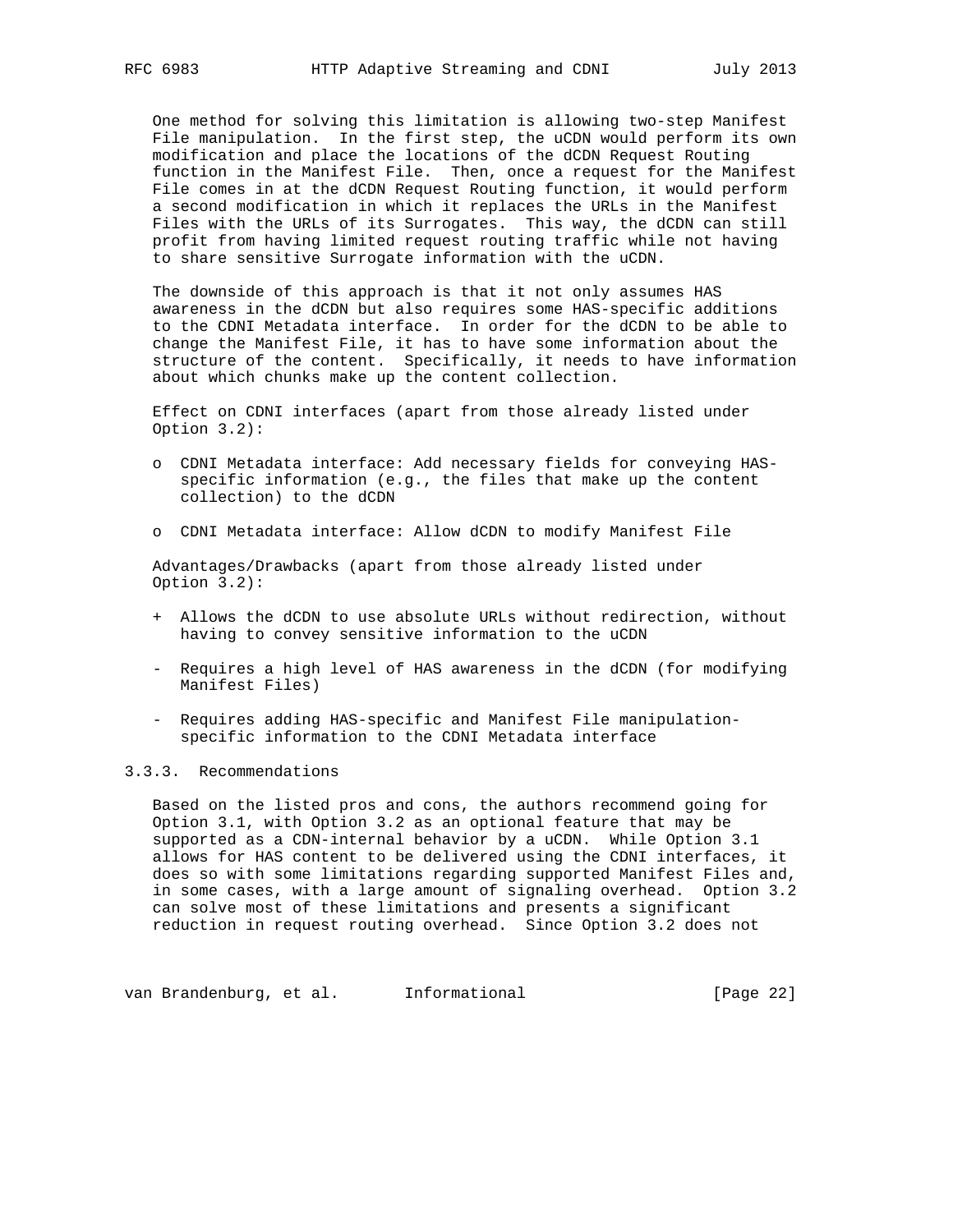One method for solving this limitation is allowing two-step Manifest File manipulation. In the first step, the uCDN would perform its own modification and place the locations of the dCDN Request Routing function in the Manifest File. Then, once a request for the Manifest File comes in at the dCDN Request Routing function, it would perform a second modification in which it replaces the URLs in the Manifest Files with the URLs of its Surrogates. This way, the dCDN can still profit from having limited request routing traffic while not having to share sensitive Surrogate information with the uCDN.

 The downside of this approach is that it not only assumes HAS awareness in the dCDN but also requires some HAS-specific additions to the CDNI Metadata interface. In order for the dCDN to be able to change the Manifest File, it has to have some information about the structure of the content. Specifically, it needs to have information about which chunks make up the content collection.

 Effect on CDNI interfaces (apart from those already listed under Option 3.2):

- o CDNI Metadata interface: Add necessary fields for conveying HAS specific information (e.g., the files that make up the content collection) to the dCDN
- o CDNI Metadata interface: Allow dCDN to modify Manifest File

 Advantages/Drawbacks (apart from those already listed under Option 3.2):

- + Allows the dCDN to use absolute URLs without redirection, without having to convey sensitive information to the uCDN
- Requires a high level of HAS awareness in the dCDN (for modifying Manifest Files)
- Requires adding HAS-specific and Manifest File manipulation specific information to the CDNI Metadata interface

# 3.3.3. Recommendations

 Based on the listed pros and cons, the authors recommend going for Option 3.1, with Option 3.2 as an optional feature that may be supported as a CDN-internal behavior by a uCDN. While Option 3.1 allows for HAS content to be delivered using the CDNI interfaces, it does so with some limitations regarding supported Manifest Files and, in some cases, with a large amount of signaling overhead. Option 3.2 can solve most of these limitations and presents a significant reduction in request routing overhead. Since Option 3.2 does not

van Brandenburg, et al. 1nformational (Page 22)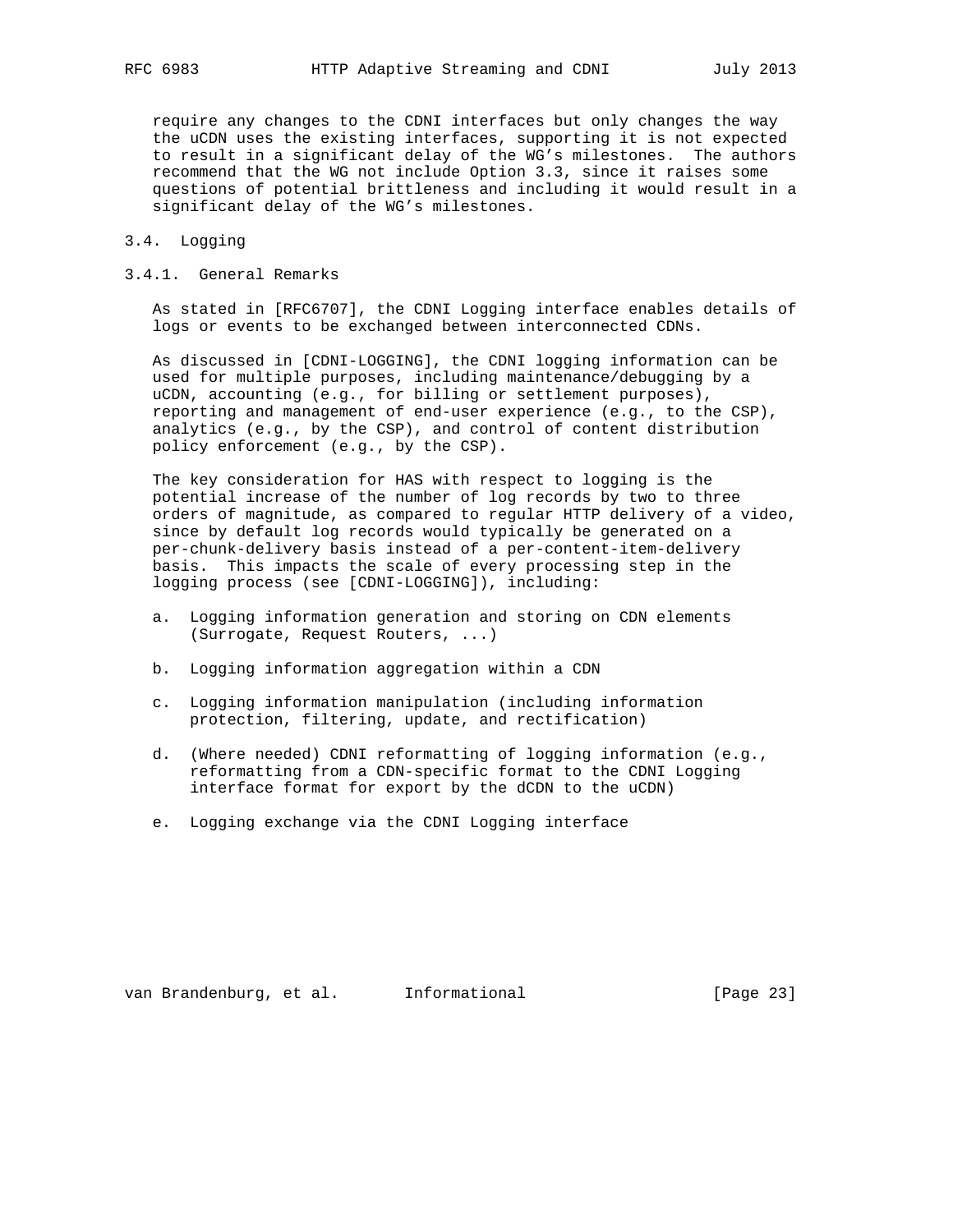require any changes to the CDNI interfaces but only changes the way the uCDN uses the existing interfaces, supporting it is not expected to result in a significant delay of the WG's milestones. The authors recommend that the WG not include Option 3.3, since it raises some questions of potential brittleness and including it would result in a significant delay of the WG's milestones.

## 3.4. Logging

## 3.4.1. General Remarks

 As stated in [RFC6707], the CDNI Logging interface enables details of logs or events to be exchanged between interconnected CDNs.

 As discussed in [CDNI-LOGGING], the CDNI logging information can be used for multiple purposes, including maintenance/debugging by a uCDN, accounting (e.g., for billing or settlement purposes), reporting and management of end-user experience (e.g., to the CSP), analytics (e.g., by the CSP), and control of content distribution policy enforcement (e.g., by the CSP).

 The key consideration for HAS with respect to logging is the potential increase of the number of log records by two to three orders of magnitude, as compared to regular HTTP delivery of a video, since by default log records would typically be generated on a per-chunk-delivery basis instead of a per-content-item-delivery basis. This impacts the scale of every processing step in the logging process (see [CDNI-LOGGING]), including:

- a. Logging information generation and storing on CDN elements (Surrogate, Request Routers, ...)
- b. Logging information aggregation within a CDN
- c. Logging information manipulation (including information protection, filtering, update, and rectification)
- d. (Where needed) CDNI reformatting of logging information (e.g., reformatting from a CDN-specific format to the CDNI Logging interface format for export by the dCDN to the uCDN)
- e. Logging exchange via the CDNI Logging interface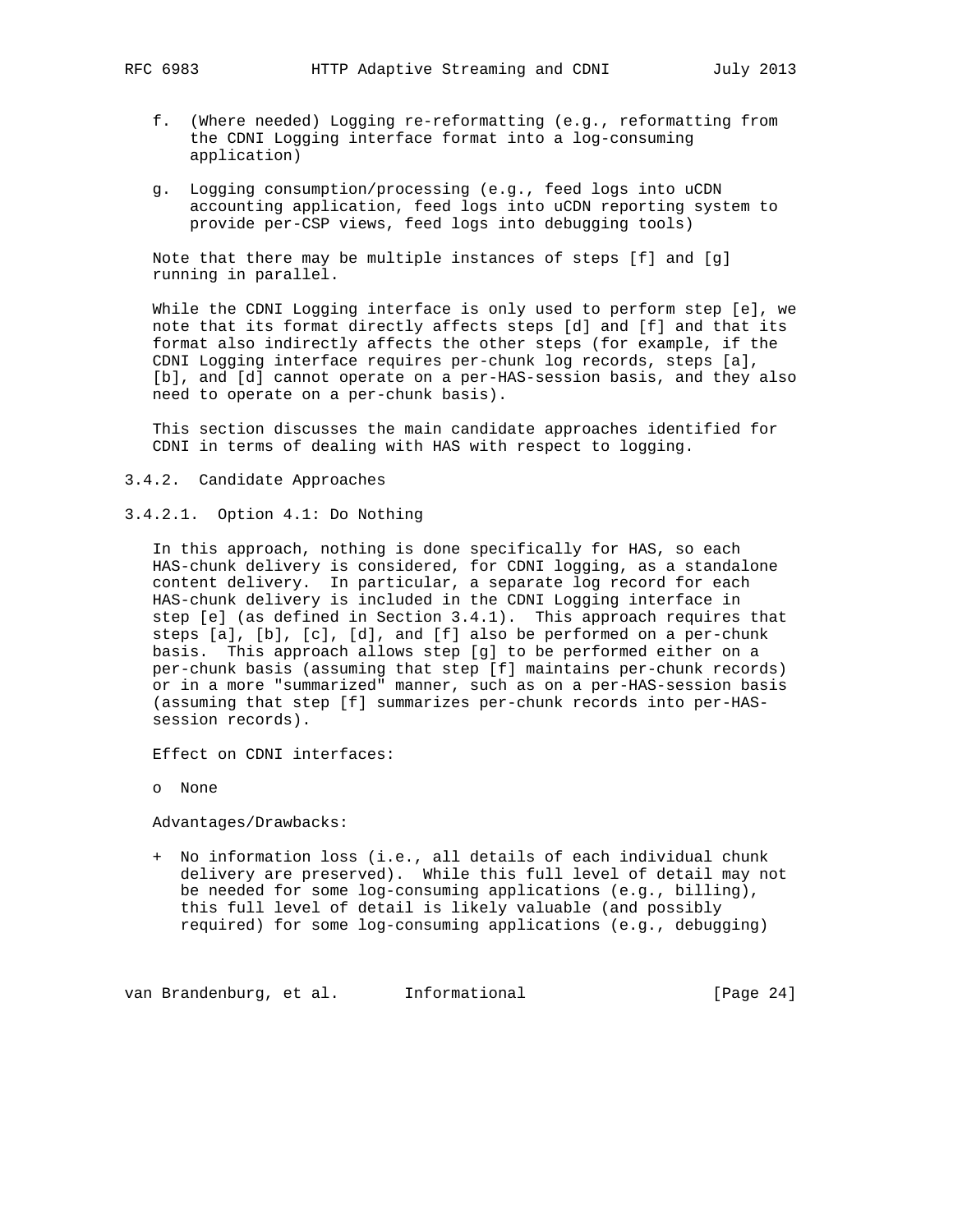- f. (Where needed) Logging re-reformatting (e.g., reformatting from the CDNI Logging interface format into a log-consuming application)
- g. Logging consumption/processing (e.g., feed logs into uCDN accounting application, feed logs into uCDN reporting system to provide per-CSP views, feed logs into debugging tools)

 Note that there may be multiple instances of steps [f] and [g] running in parallel.

 While the CDNI Logging interface is only used to perform step [e], we note that its format directly affects steps [d] and [f] and that its format also indirectly affects the other steps (for example, if the CDNI Logging interface requires per-chunk log records, steps [a], [b], and [d] cannot operate on a per-HAS-session basis, and they also need to operate on a per-chunk basis).

 This section discusses the main candidate approaches identified for CDNI in terms of dealing with HAS with respect to logging.

- 3.4.2. Candidate Approaches
- 3.4.2.1. Option 4.1: Do Nothing

 In this approach, nothing is done specifically for HAS, so each HAS-chunk delivery is considered, for CDNI logging, as a standalone content delivery. In particular, a separate log record for each HAS-chunk delivery is included in the CDNI Logging interface in step [e] (as defined in Section 3.4.1). This approach requires that steps [a], [b], [c], [d], and [f] also be performed on a per-chunk basis. This approach allows step [g] to be performed either on a per-chunk basis (assuming that step [f] maintains per-chunk records) or in a more "summarized" manner, such as on a per-HAS-session basis (assuming that step [f] summarizes per-chunk records into per-HAS session records).

Effect on CDNI interfaces:

o None

Advantages/Drawbacks:

 + No information loss (i.e., all details of each individual chunk delivery are preserved). While this full level of detail may not be needed for some log-consuming applications (e.g., billing), this full level of detail is likely valuable (and possibly required) for some log-consuming applications (e.g., debugging)

van Brandenburg, et al. 1nformational (Page 24)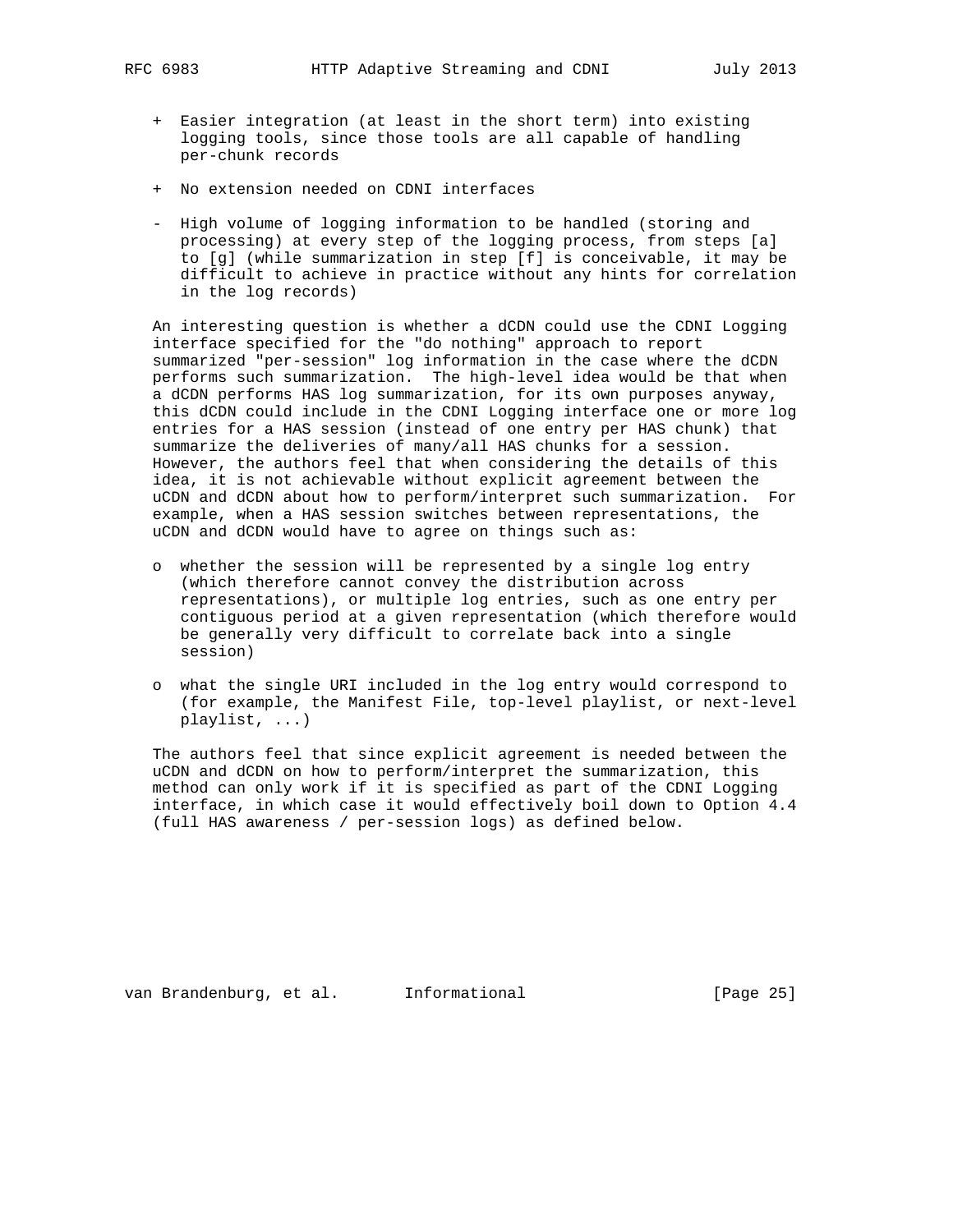- - + Easier integration (at least in the short term) into existing logging tools, since those tools are all capable of handling per-chunk records
	- + No extension needed on CDNI interfaces
	- High volume of logging information to be handled (storing and processing) at every step of the logging process, from steps [a] to [g] (while summarization in step [f] is conceivable, it may be difficult to achieve in practice without any hints for correlation in the log records)

 An interesting question is whether a dCDN could use the CDNI Logging interface specified for the "do nothing" approach to report summarized "per-session" log information in the case where the dCDN performs such summarization. The high-level idea would be that when a dCDN performs HAS log summarization, for its own purposes anyway, this dCDN could include in the CDNI Logging interface one or more log entries for a HAS session (instead of one entry per HAS chunk) that summarize the deliveries of many/all HAS chunks for a session. However, the authors feel that when considering the details of this idea, it is not achievable without explicit agreement between the uCDN and dCDN about how to perform/interpret such summarization. For example, when a HAS session switches between representations, the uCDN and dCDN would have to agree on things such as:

- o whether the session will be represented by a single log entry (which therefore cannot convey the distribution across representations), or multiple log entries, such as one entry per contiguous period at a given representation (which therefore would be generally very difficult to correlate back into a single session)
- o what the single URI included in the log entry would correspond to (for example, the Manifest File, top-level playlist, or next-level playlist, ...)

 The authors feel that since explicit agreement is needed between the uCDN and dCDN on how to perform/interpret the summarization, this method can only work if it is specified as part of the CDNI Logging interface, in which case it would effectively boil down to Option 4.4 (full HAS awareness / per-session logs) as defined below.

van Brandenburg, et al. 1nformational 1999 [Page 25]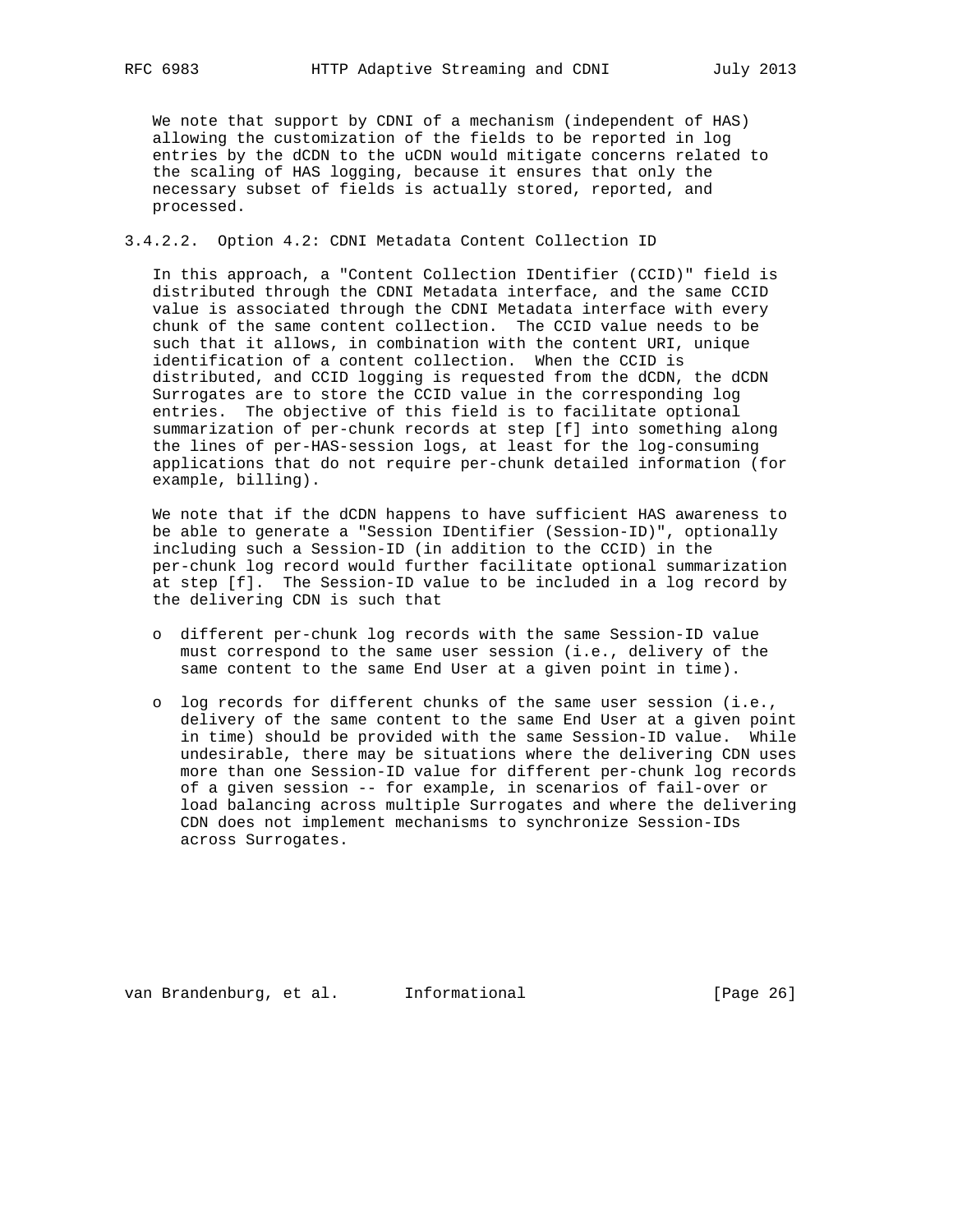We note that support by CDNI of a mechanism (independent of HAS) allowing the customization of the fields to be reported in log entries by the dCDN to the uCDN would mitigate concerns related to the scaling of HAS logging, because it ensures that only the necessary subset of fields is actually stored, reported, and processed.

## 3.4.2.2. Option 4.2: CDNI Metadata Content Collection ID

 In this approach, a "Content Collection IDentifier (CCID)" field is distributed through the CDNI Metadata interface, and the same CCID value is associated through the CDNI Metadata interface with every chunk of the same content collection. The CCID value needs to be such that it allows, in combination with the content URI, unique identification of a content collection. When the CCID is distributed, and CCID logging is requested from the dCDN, the dCDN Surrogates are to store the CCID value in the corresponding log entries. The objective of this field is to facilitate optional summarization of per-chunk records at step [f] into something along the lines of per-HAS-session logs, at least for the log-consuming applications that do not require per-chunk detailed information (for example, billing).

 We note that if the dCDN happens to have sufficient HAS awareness to be able to generate a "Session IDentifier (Session-ID)", optionally including such a Session-ID (in addition to the CCID) in the per-chunk log record would further facilitate optional summarization at step [f]. The Session-ID value to be included in a log record by the delivering CDN is such that

- o different per-chunk log records with the same Session-ID value must correspond to the same user session (i.e., delivery of the same content to the same End User at a given point in time).
- o log records for different chunks of the same user session (i.e., delivery of the same content to the same End User at a given point in time) should be provided with the same Session-ID value. While undesirable, there may be situations where the delivering CDN uses more than one Session-ID value for different per-chunk log records of a given session -- for example, in scenarios of fail-over or load balancing across multiple Surrogates and where the delivering CDN does not implement mechanisms to synchronize Session-IDs across Surrogates.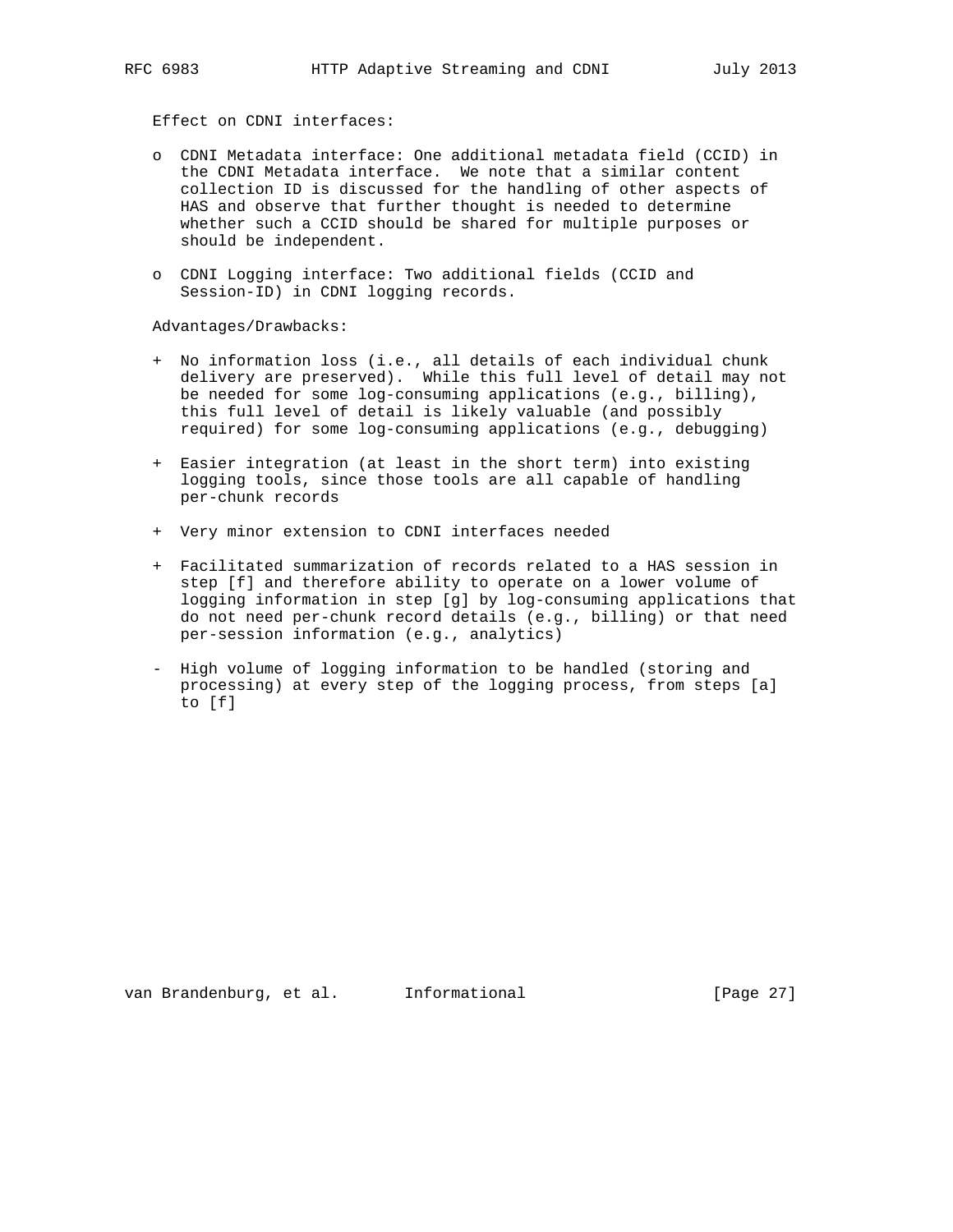Effect on CDNI interfaces:

- o CDNI Metadata interface: One additional metadata field (CCID) in the CDNI Metadata interface. We note that a similar content collection ID is discussed for the handling of other aspects of HAS and observe that further thought is needed to determine whether such a CCID should be shared for multiple purposes or should be independent.
- o CDNI Logging interface: Two additional fields (CCID and Session-ID) in CDNI logging records.

Advantages/Drawbacks:

- + No information loss (i.e., all details of each individual chunk delivery are preserved). While this full level of detail may not be needed for some log-consuming applications (e.g., billing), this full level of detail is likely valuable (and possibly required) for some log-consuming applications (e.g., debugging)
- + Easier integration (at least in the short term) into existing logging tools, since those tools are all capable of handling per-chunk records
- + Very minor extension to CDNI interfaces needed
- + Facilitated summarization of records related to a HAS session in step [f] and therefore ability to operate on a lower volume of logging information in step [g] by log-consuming applications that do not need per-chunk record details (e.g., billing) or that need per-session information (e.g., analytics)
- High volume of logging information to be handled (storing and processing) at every step of the logging process, from steps [a] to [f]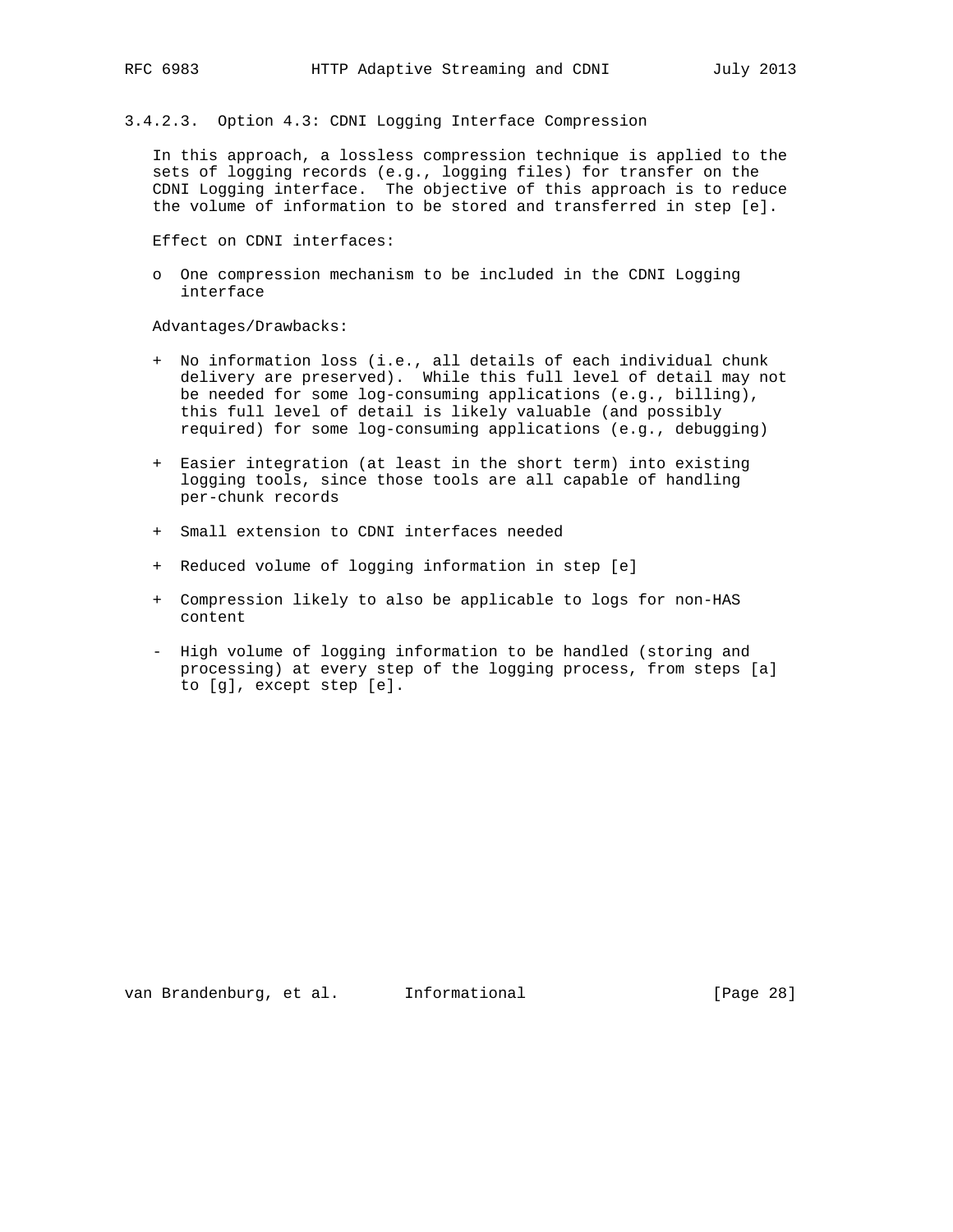3.4.2.3. Option 4.3: CDNI Logging Interface Compression

 In this approach, a lossless compression technique is applied to the sets of logging records (e.g., logging files) for transfer on the CDNI Logging interface. The objective of this approach is to reduce the volume of information to be stored and transferred in step [e].

Effect on CDNI interfaces:

 o One compression mechanism to be included in the CDNI Logging interface

Advantages/Drawbacks:

- + No information loss (i.e., all details of each individual chunk delivery are preserved). While this full level of detail may not be needed for some log-consuming applications (e.g., billing), this full level of detail is likely valuable (and possibly required) for some log-consuming applications (e.g., debugging)
- + Easier integration (at least in the short term) into existing logging tools, since those tools are all capable of handling per-chunk records
- + Small extension to CDNI interfaces needed
- + Reduced volume of logging information in step [e]
- + Compression likely to also be applicable to logs for non-HAS content
- High volume of logging information to be handled (storing and processing) at every step of the logging process, from steps [a] to [g], except step [e].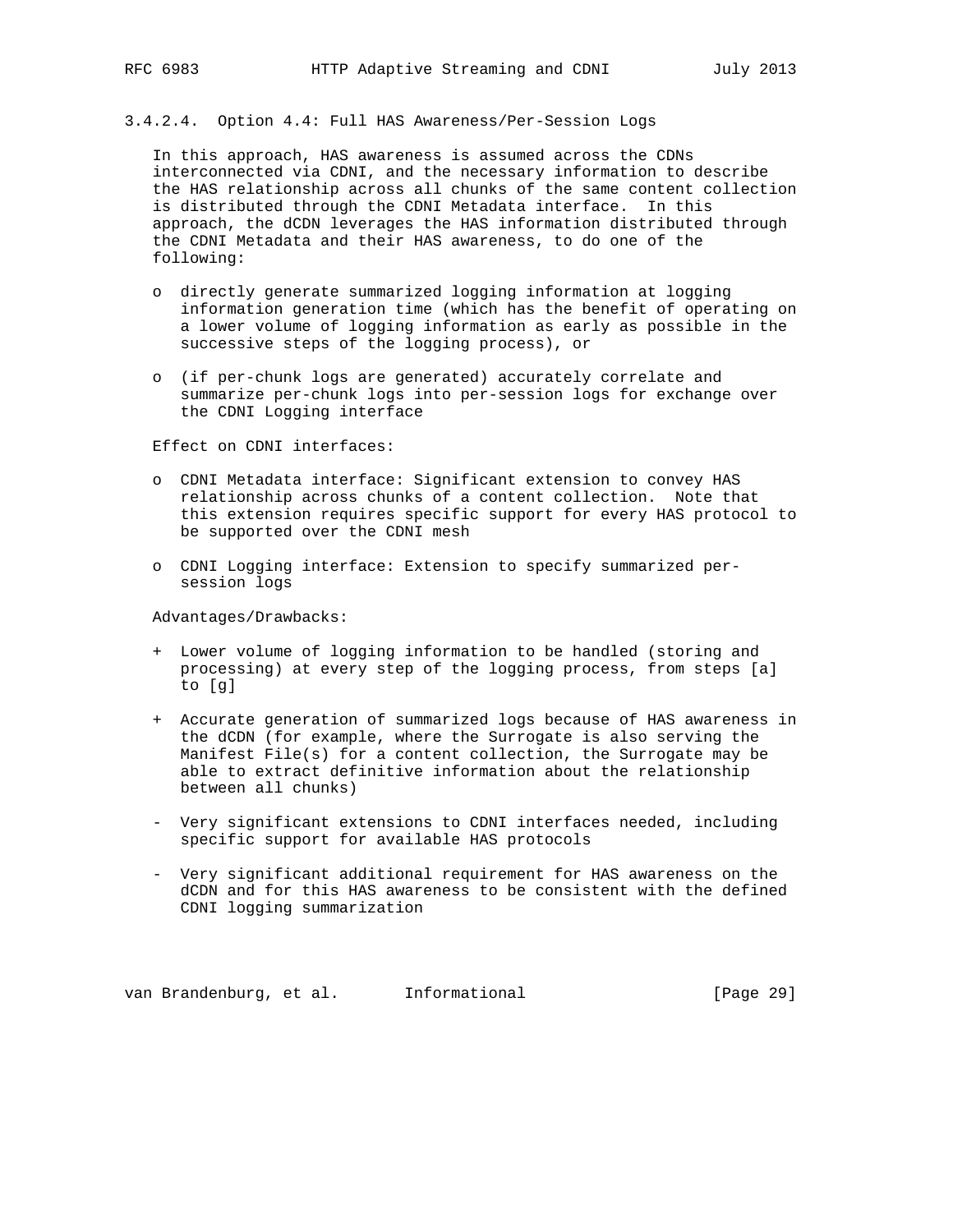# 3.4.2.4. Option 4.4: Full HAS Awareness/Per-Session Logs

 In this approach, HAS awareness is assumed across the CDNs interconnected via CDNI, and the necessary information to describe the HAS relationship across all chunks of the same content collection is distributed through the CDNI Metadata interface. In this approach, the dCDN leverages the HAS information distributed through the CDNI Metadata and their HAS awareness, to do one of the following:

- o directly generate summarized logging information at logging information generation time (which has the benefit of operating on a lower volume of logging information as early as possible in the successive steps of the logging process), or
- o (if per-chunk logs are generated) accurately correlate and summarize per-chunk logs into per-session logs for exchange over the CDNI Logging interface

Effect on CDNI interfaces:

- o CDNI Metadata interface: Significant extension to convey HAS relationship across chunks of a content collection. Note that this extension requires specific support for every HAS protocol to be supported over the CDNI mesh
- o CDNI Logging interface: Extension to specify summarized per session logs

Advantages/Drawbacks:

- + Lower volume of logging information to be handled (storing and processing) at every step of the logging process, from steps [a] to [g]
- + Accurate generation of summarized logs because of HAS awareness in the dCDN (for example, where the Surrogate is also serving the Manifest File(s) for a content collection, the Surrogate may be able to extract definitive information about the relationship between all chunks)
- Very significant extensions to CDNI interfaces needed, including specific support for available HAS protocols
- Very significant additional requirement for HAS awareness on the dCDN and for this HAS awareness to be consistent with the defined CDNI logging summarization

van Brandenburg, et al. 1nformational (Page 29)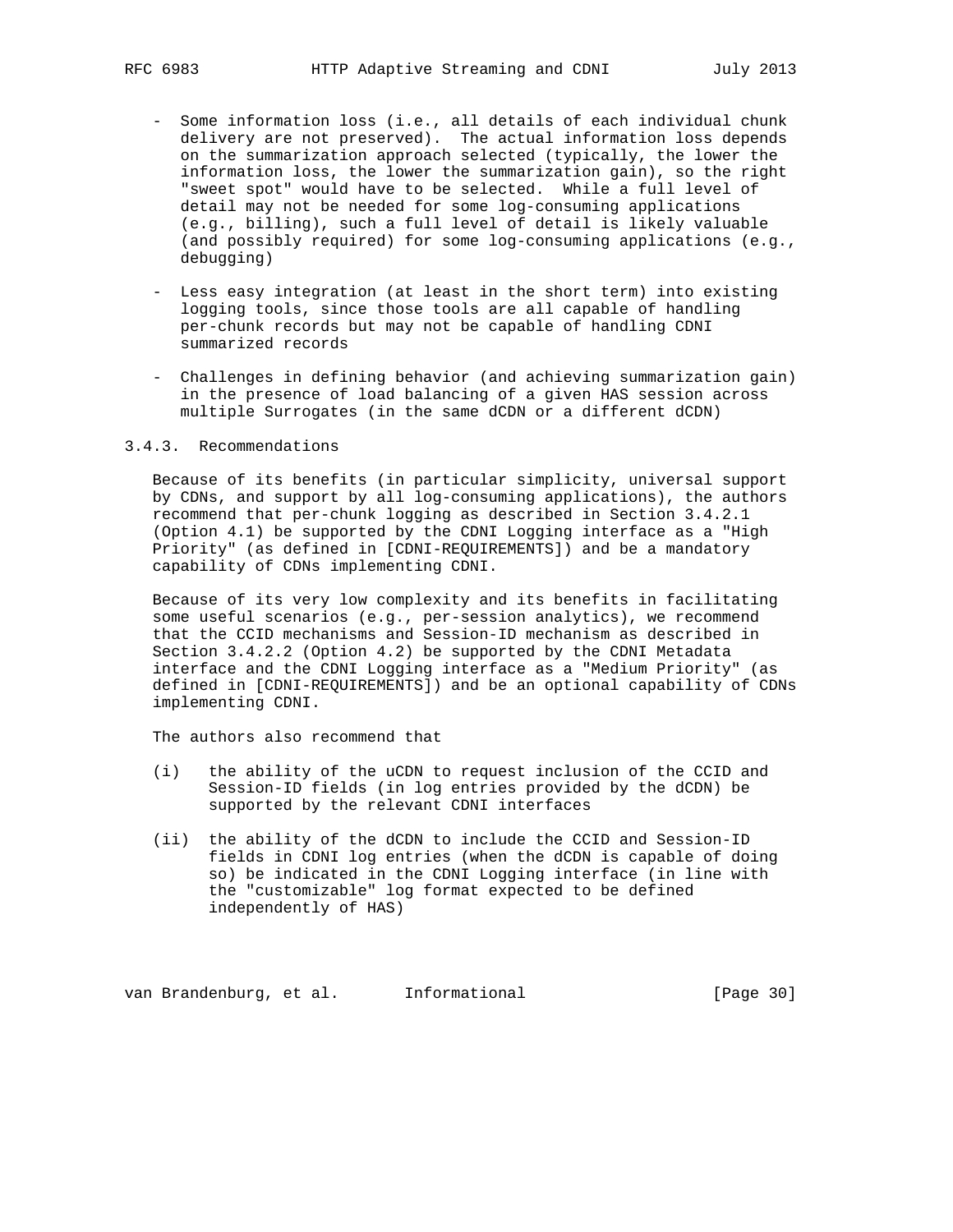- Some information loss (i.e., all details of each individual chunk delivery are not preserved). The actual information loss depends on the summarization approach selected (typically, the lower the information loss, the lower the summarization gain), so the right "sweet spot" would have to be selected. While a full level of detail may not be needed for some log-consuming applications (e.g., billing), such a full level of detail is likely valuable (and possibly required) for some log-consuming applications (e.g., debugging)
	- Less easy integration (at least in the short term) into existing logging tools, since those tools are all capable of handling per-chunk records but may not be capable of handling CDNI summarized records
	- Challenges in defining behavior (and achieving summarization gain) in the presence of load balancing of a given HAS session across multiple Surrogates (in the same dCDN or a different dCDN)

#### 3.4.3. Recommendations

 Because of its benefits (in particular simplicity, universal support by CDNs, and support by all log-consuming applications), the authors recommend that per-chunk logging as described in Section 3.4.2.1 (Option 4.1) be supported by the CDNI Logging interface as a "High Priority" (as defined in [CDNI-REQUIREMENTS]) and be a mandatory capability of CDNs implementing CDNI.

 Because of its very low complexity and its benefits in facilitating some useful scenarios (e.g., per-session analytics), we recommend that the CCID mechanisms and Session-ID mechanism as described in Section 3.4.2.2 (Option 4.2) be supported by the CDNI Metadata interface and the CDNI Logging interface as a "Medium Priority" (as defined in [CDNI-REQUIREMENTS]) and be an optional capability of CDNs implementing CDNI.

The authors also recommend that

- (i) the ability of the uCDN to request inclusion of the CCID and Session-ID fields (in log entries provided by the dCDN) be supported by the relevant CDNI interfaces
- (ii) the ability of the dCDN to include the CCID and Session-ID fields in CDNI log entries (when the dCDN is capable of doing so) be indicated in the CDNI Logging interface (in line with the "customizable" log format expected to be defined independently of HAS)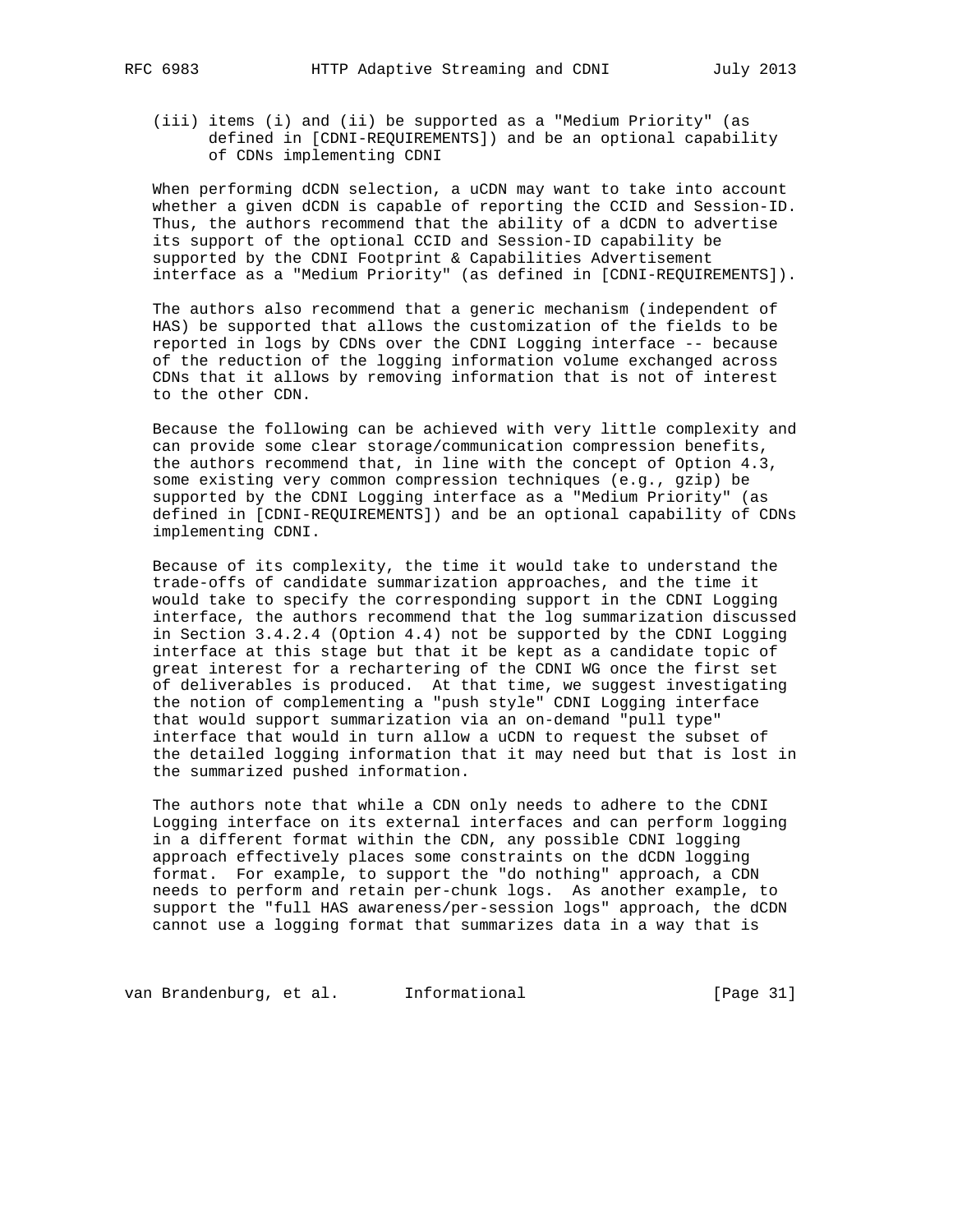(iii) items (i) and (ii) be supported as a "Medium Priority" (as defined in [CDNI-REQUIREMENTS]) and be an optional capability of CDNs implementing CDNI

 When performing dCDN selection, a uCDN may want to take into account whether a given dCDN is capable of reporting the CCID and Session-ID. Thus, the authors recommend that the ability of a dCDN to advertise its support of the optional CCID and Session-ID capability be supported by the CDNI Footprint & Capabilities Advertisement interface as a "Medium Priority" (as defined in [CDNI-REQUIREMENTS]).

 The authors also recommend that a generic mechanism (independent of HAS) be supported that allows the customization of the fields to be reported in logs by CDNs over the CDNI Logging interface -- because of the reduction of the logging information volume exchanged across CDNs that it allows by removing information that is not of interest to the other CDN.

 Because the following can be achieved with very little complexity and can provide some clear storage/communication compression benefits, the authors recommend that, in line with the concept of Option 4.3, some existing very common compression techniques (e.g., gzip) be supported by the CDNI Logging interface as a "Medium Priority" (as defined in [CDNI-REQUIREMENTS]) and be an optional capability of CDNs implementing CDNI.

 Because of its complexity, the time it would take to understand the trade-offs of candidate summarization approaches, and the time it would take to specify the corresponding support in the CDNI Logging interface, the authors recommend that the log summarization discussed in Section 3.4.2.4 (Option 4.4) not be supported by the CDNI Logging interface at this stage but that it be kept as a candidate topic of great interest for a rechartering of the CDNI WG once the first set of deliverables is produced. At that time, we suggest investigating the notion of complementing a "push style" CDNI Logging interface that would support summarization via an on-demand "pull type" interface that would in turn allow a uCDN to request the subset of the detailed logging information that it may need but that is lost in the summarized pushed information.

 The authors note that while a CDN only needs to adhere to the CDNI Logging interface on its external interfaces and can perform logging in a different format within the CDN, any possible CDNI logging approach effectively places some constraints on the dCDN logging format. For example, to support the "do nothing" approach, a CDN needs to perform and retain per-chunk logs. As another example, to support the "full HAS awareness/per-session logs" approach, the dCDN cannot use a logging format that summarizes data in a way that is

van Brandenburg, et al. Informational (Page 31)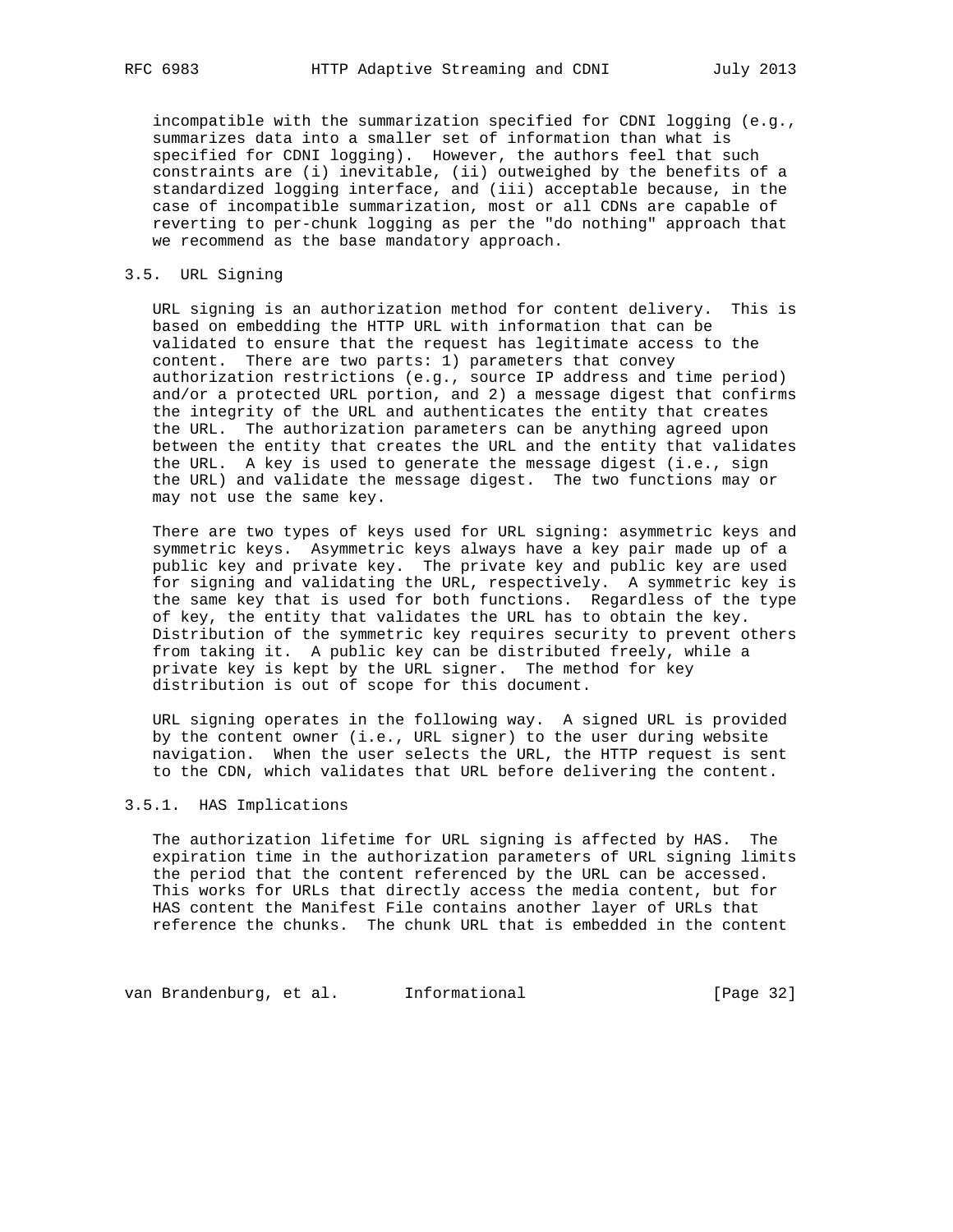incompatible with the summarization specified for CDNI logging (e.g., summarizes data into a smaller set of information than what is specified for CDNI logging). However, the authors feel that such constraints are (i) inevitable, (ii) outweighed by the benefits of a standardized logging interface, and (iii) acceptable because, in the case of incompatible summarization, most or all CDNs are capable of reverting to per-chunk logging as per the "do nothing" approach that we recommend as the base mandatory approach.

## 3.5. URL Signing

 URL signing is an authorization method for content delivery. This is based on embedding the HTTP URL with information that can be validated to ensure that the request has legitimate access to the content. There are two parts: 1) parameters that convey authorization restrictions (e.g., source IP address and time period) and/or a protected URL portion, and 2) a message digest that confirms the integrity of the URL and authenticates the entity that creates the URL. The authorization parameters can be anything agreed upon between the entity that creates the URL and the entity that validates the URL. A key is used to generate the message digest (i.e., sign the URL) and validate the message digest. The two functions may or may not use the same key.

 There are two types of keys used for URL signing: asymmetric keys and symmetric keys. Asymmetric keys always have a key pair made up of a public key and private key. The private key and public key are used for signing and validating the URL, respectively. A symmetric key is the same key that is used for both functions. Regardless of the type of key, the entity that validates the URL has to obtain the key. Distribution of the symmetric key requires security to prevent others from taking it. A public key can be distributed freely, while a private key is kept by the URL signer. The method for key distribution is out of scope for this document.

 URL signing operates in the following way. A signed URL is provided by the content owner (i.e., URL signer) to the user during website navigation. When the user selects the URL, the HTTP request is sent to the CDN, which validates that URL before delivering the content.

## 3.5.1. HAS Implications

 The authorization lifetime for URL signing is affected by HAS. The expiration time in the authorization parameters of URL signing limits the period that the content referenced by the URL can be accessed. This works for URLs that directly access the media content, but for HAS content the Manifest File contains another layer of URLs that reference the chunks. The chunk URL that is embedded in the content

van Brandenburg, et al. 1nformational (Page 32)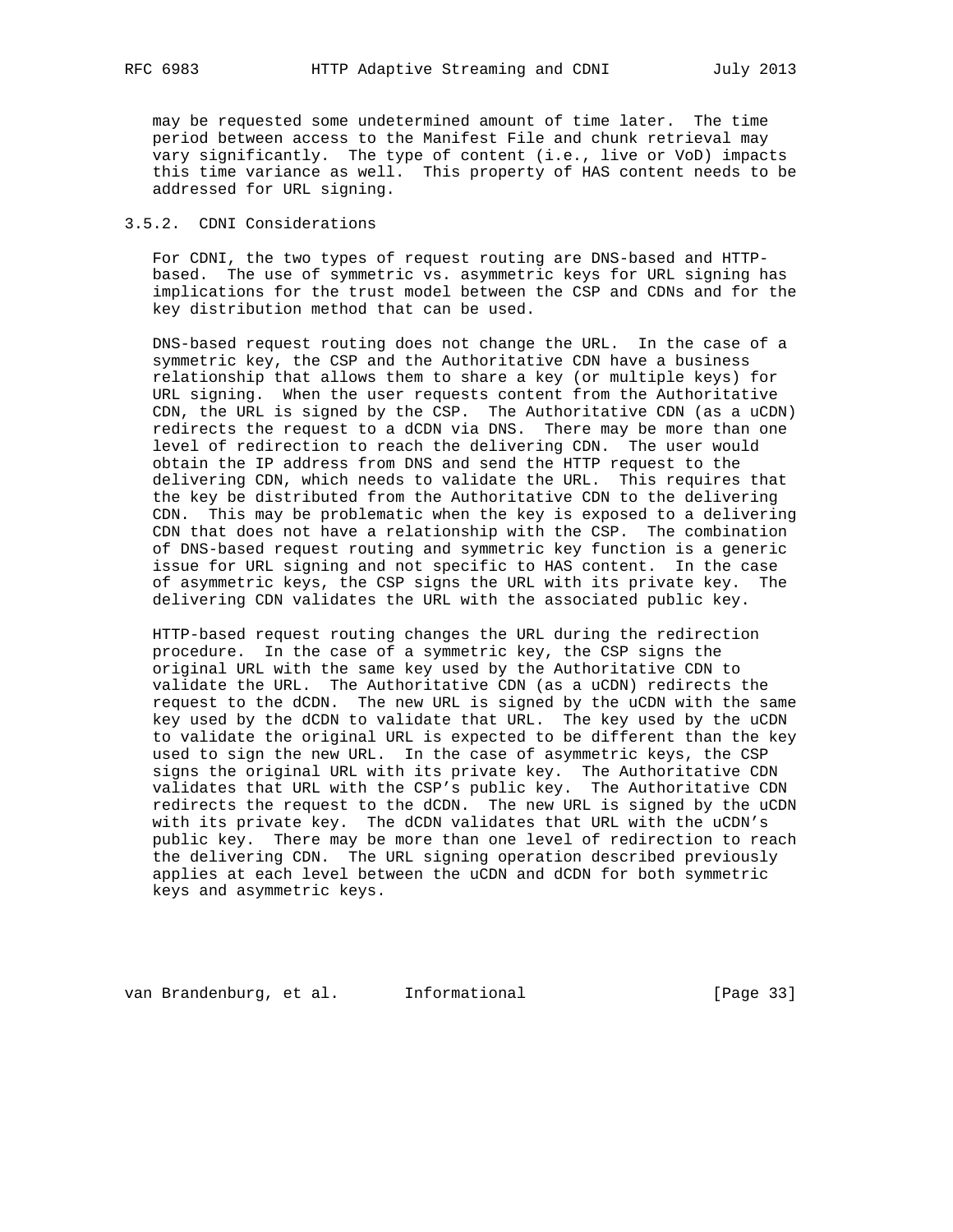may be requested some undetermined amount of time later. The time period between access to the Manifest File and chunk retrieval may vary significantly. The type of content (i.e., live or VoD) impacts this time variance as well. This property of HAS content needs to be addressed for URL signing.

## 3.5.2. CDNI Considerations

 For CDNI, the two types of request routing are DNS-based and HTTP based. The use of symmetric vs. asymmetric keys for URL signing has implications for the trust model between the CSP and CDNs and for the key distribution method that can be used.

 DNS-based request routing does not change the URL. In the case of a symmetric key, the CSP and the Authoritative CDN have a business relationship that allows them to share a key (or multiple keys) for URL signing. When the user requests content from the Authoritative CDN, the URL is signed by the CSP. The Authoritative CDN (as a uCDN) redirects the request to a dCDN via DNS. There may be more than one level of redirection to reach the delivering CDN. The user would obtain the IP address from DNS and send the HTTP request to the delivering CDN, which needs to validate the URL. This requires that the key be distributed from the Authoritative CDN to the delivering CDN. This may be problematic when the key is exposed to a delivering CDN that does not have a relationship with the CSP. The combination of DNS-based request routing and symmetric key function is a generic issue for URL signing and not specific to HAS content. In the case of asymmetric keys, the CSP signs the URL with its private key. The delivering CDN validates the URL with the associated public key.

 HTTP-based request routing changes the URL during the redirection procedure. In the case of a symmetric key, the CSP signs the original URL with the same key used by the Authoritative CDN to validate the URL. The Authoritative CDN (as a uCDN) redirects the request to the dCDN. The new URL is signed by the uCDN with the same key used by the dCDN to validate that URL. The key used by the uCDN to validate the original URL is expected to be different than the key used to sign the new URL. In the case of asymmetric keys, the CSP signs the original URL with its private key. The Authoritative CDN validates that URL with the CSP's public key. The Authoritative CDN redirects the request to the dCDN. The new URL is signed by the uCDN with its private key. The dCDN validates that URL with the uCDN's public key. There may be more than one level of redirection to reach the delivering CDN. The URL signing operation described previously applies at each level between the uCDN and dCDN for both symmetric keys and asymmetric keys.

van Brandenburg, et al. 1nformational 1999 [Page 33]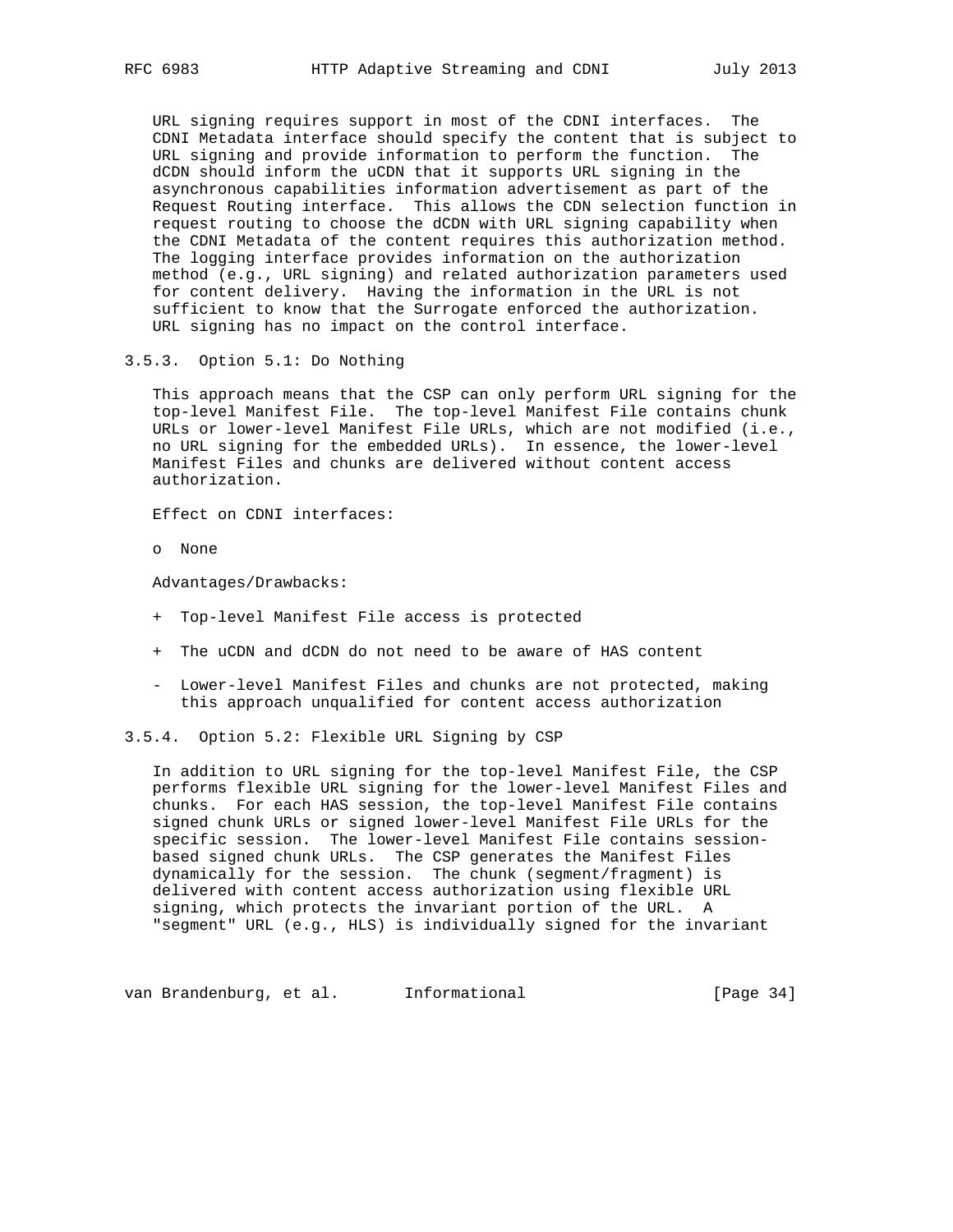URL signing requires support in most of the CDNI interfaces. The CDNI Metadata interface should specify the content that is subject to URL signing and provide information to perform the function. The dCDN should inform the uCDN that it supports URL signing in the asynchronous capabilities information advertisement as part of the Request Routing interface. This allows the CDN selection function in request routing to choose the dCDN with URL signing capability when the CDNI Metadata of the content requires this authorization method. The logging interface provides information on the authorization method (e.g., URL signing) and related authorization parameters used for content delivery. Having the information in the URL is not sufficient to know that the Surrogate enforced the authorization. URL signing has no impact on the control interface.

3.5.3. Option 5.1: Do Nothing

 This approach means that the CSP can only perform URL signing for the top-level Manifest File. The top-level Manifest File contains chunk URLs or lower-level Manifest File URLs, which are not modified (i.e., no URL signing for the embedded URLs). In essence, the lower-level Manifest Files and chunks are delivered without content access authorization.

Effect on CDNI interfaces:

o None

Advantages/Drawbacks:

- + Top-level Manifest File access is protected
- + The uCDN and dCDN do not need to be aware of HAS content
- Lower-level Manifest Files and chunks are not protected, making this approach unqualified for content access authorization

3.5.4. Option 5.2: Flexible URL Signing by CSP

 In addition to URL signing for the top-level Manifest File, the CSP performs flexible URL signing for the lower-level Manifest Files and chunks. For each HAS session, the top-level Manifest File contains signed chunk URLs or signed lower-level Manifest File URLs for the specific session. The lower-level Manifest File contains session based signed chunk URLs. The CSP generates the Manifest Files dynamically for the session. The chunk (segment/fragment) is delivered with content access authorization using flexible URL signing, which protects the invariant portion of the URL. A "segment" URL (e.g., HLS) is individually signed for the invariant

van Brandenburg, et al. 1nformational (Page 34)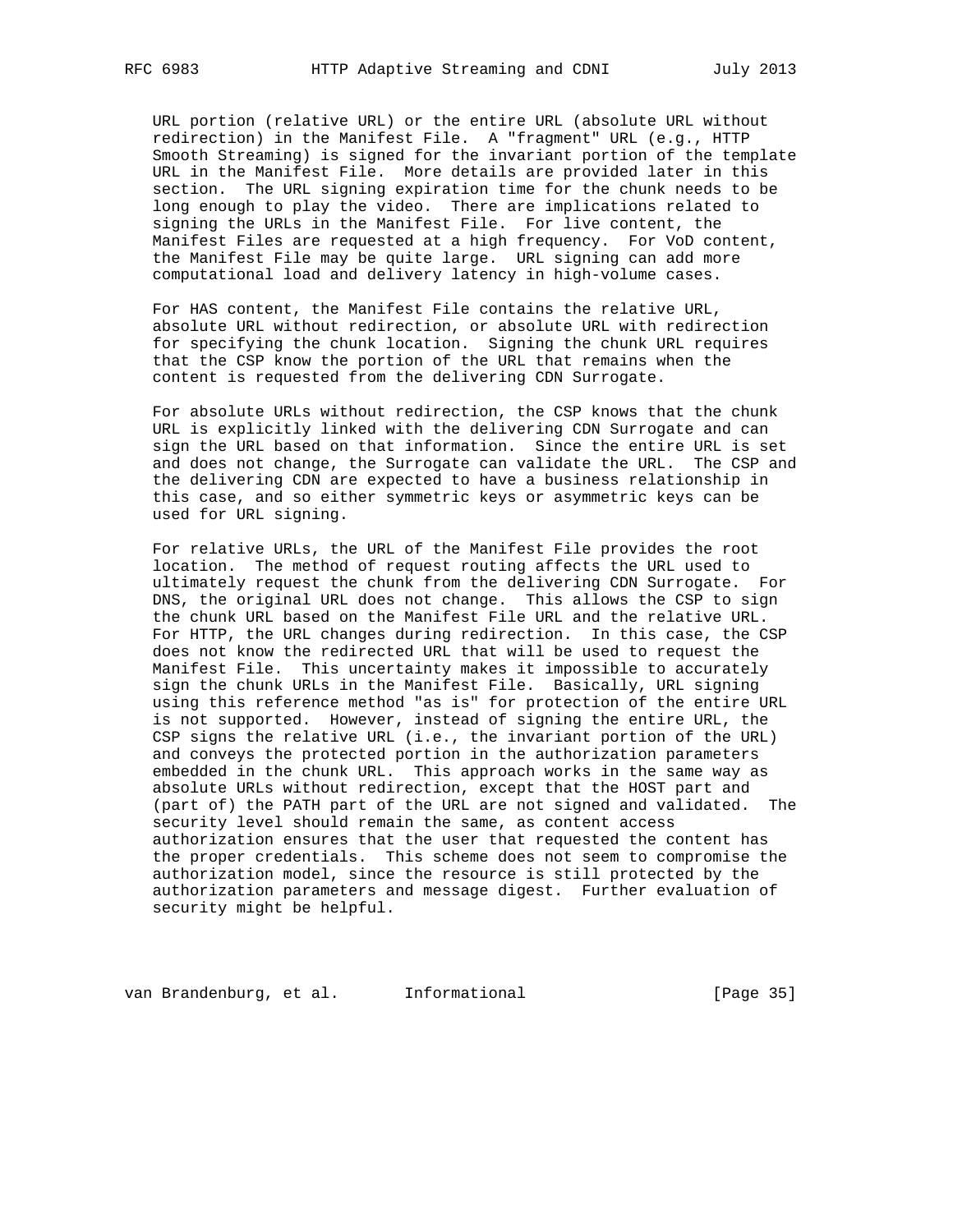URL portion (relative URL) or the entire URL (absolute URL without redirection) in the Manifest File. A "fragment" URL (e.g., HTTP Smooth Streaming) is signed for the invariant portion of the template URL in the Manifest File. More details are provided later in this section. The URL signing expiration time for the chunk needs to be long enough to play the video. There are implications related to signing the URLs in the Manifest File. For live content, the Manifest Files are requested at a high frequency. For VoD content, the Manifest File may be quite large. URL signing can add more computational load and delivery latency in high-volume cases.

 For HAS content, the Manifest File contains the relative URL, absolute URL without redirection, or absolute URL with redirection for specifying the chunk location. Signing the chunk URL requires that the CSP know the portion of the URL that remains when the content is requested from the delivering CDN Surrogate.

 For absolute URLs without redirection, the CSP knows that the chunk URL is explicitly linked with the delivering CDN Surrogate and can sign the URL based on that information. Since the entire URL is set and does not change, the Surrogate can validate the URL. The CSP and the delivering CDN are expected to have a business relationship in this case, and so either symmetric keys or asymmetric keys can be used for URL signing.

 For relative URLs, the URL of the Manifest File provides the root location. The method of request routing affects the URL used to ultimately request the chunk from the delivering CDN Surrogate. For DNS, the original URL does not change. This allows the CSP to sign the chunk URL based on the Manifest File URL and the relative URL. For HTTP, the URL changes during redirection. In this case, the CSP does not know the redirected URL that will be used to request the Manifest File. This uncertainty makes it impossible to accurately sign the chunk URLs in the Manifest File. Basically, URL signing using this reference method "as is" for protection of the entire URL is not supported. However, instead of signing the entire URL, the CSP signs the relative URL (i.e., the invariant portion of the URL) and conveys the protected portion in the authorization parameters embedded in the chunk URL. This approach works in the same way as absolute URLs without redirection, except that the HOST part and (part of) the PATH part of the URL are not signed and validated. The security level should remain the same, as content access authorization ensures that the user that requested the content has the proper credentials. This scheme does not seem to compromise the authorization model, since the resource is still protected by the authorization parameters and message digest. Further evaluation of security might be helpful.

van Brandenburg, et al. 1nformational 1999 [Page 35]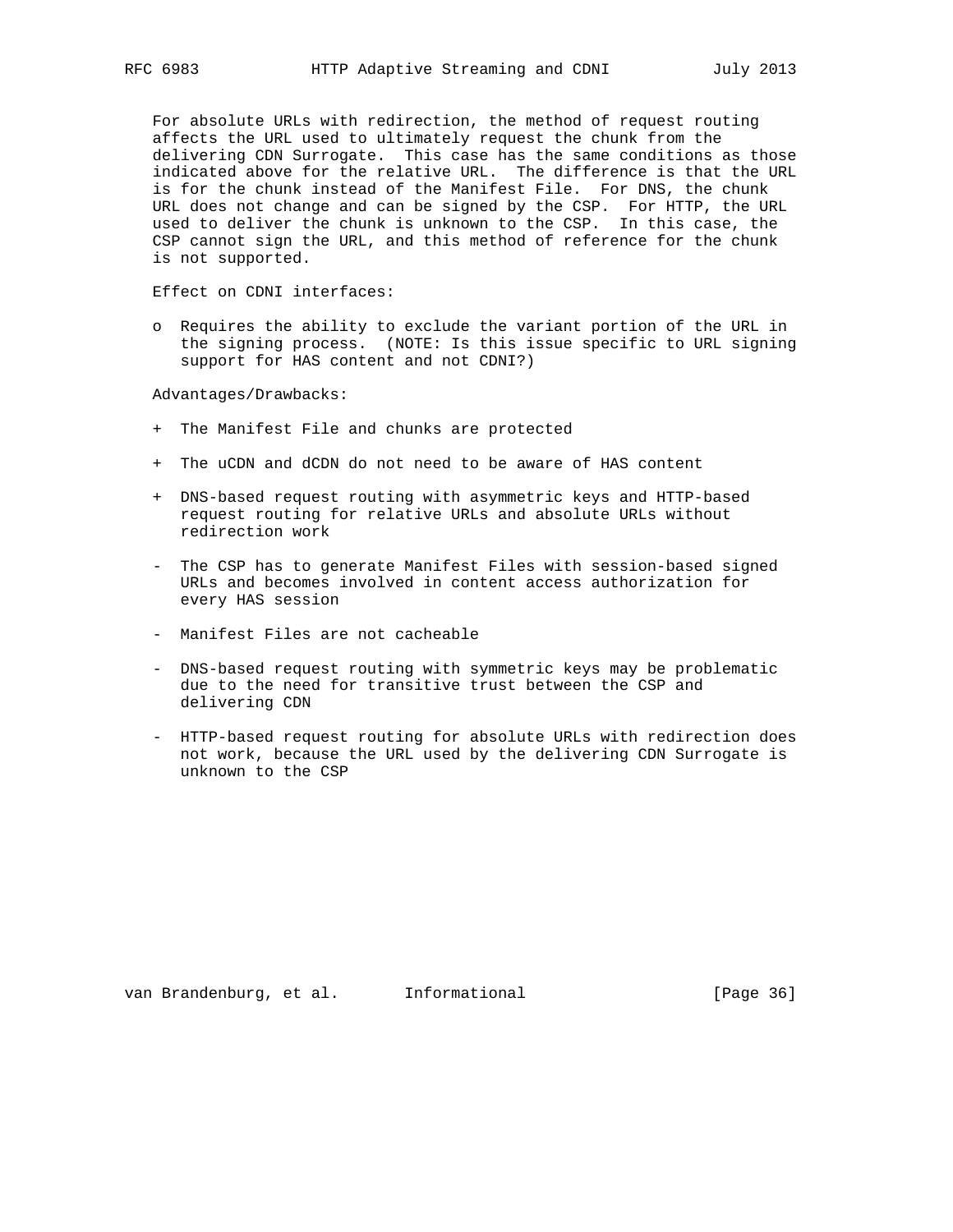For absolute URLs with redirection, the method of request routing affects the URL used to ultimately request the chunk from the delivering CDN Surrogate. This case has the same conditions as those indicated above for the relative URL. The difference is that the URL is for the chunk instead of the Manifest File. For DNS, the chunk URL does not change and can be signed by the CSP. For HTTP, the URL used to deliver the chunk is unknown to the CSP. In this case, the CSP cannot sign the URL, and this method of reference for the chunk is not supported.

Effect on CDNI interfaces:

 o Requires the ability to exclude the variant portion of the URL in the signing process. (NOTE: Is this issue specific to URL signing support for HAS content and not CDNI?)

Advantages/Drawbacks:

- + The Manifest File and chunks are protected
- + The uCDN and dCDN do not need to be aware of HAS content
- + DNS-based request routing with asymmetric keys and HTTP-based request routing for relative URLs and absolute URLs without redirection work
- The CSP has to generate Manifest Files with session-based signed URLs and becomes involved in content access authorization for every HAS session
- Manifest Files are not cacheable
- DNS-based request routing with symmetric keys may be problematic due to the need for transitive trust between the CSP and delivering CDN
- HTTP-based request routing for absolute URLs with redirection does not work, because the URL used by the delivering CDN Surrogate is unknown to the CSP

van Brandenburg, et al. Informational [Page 36]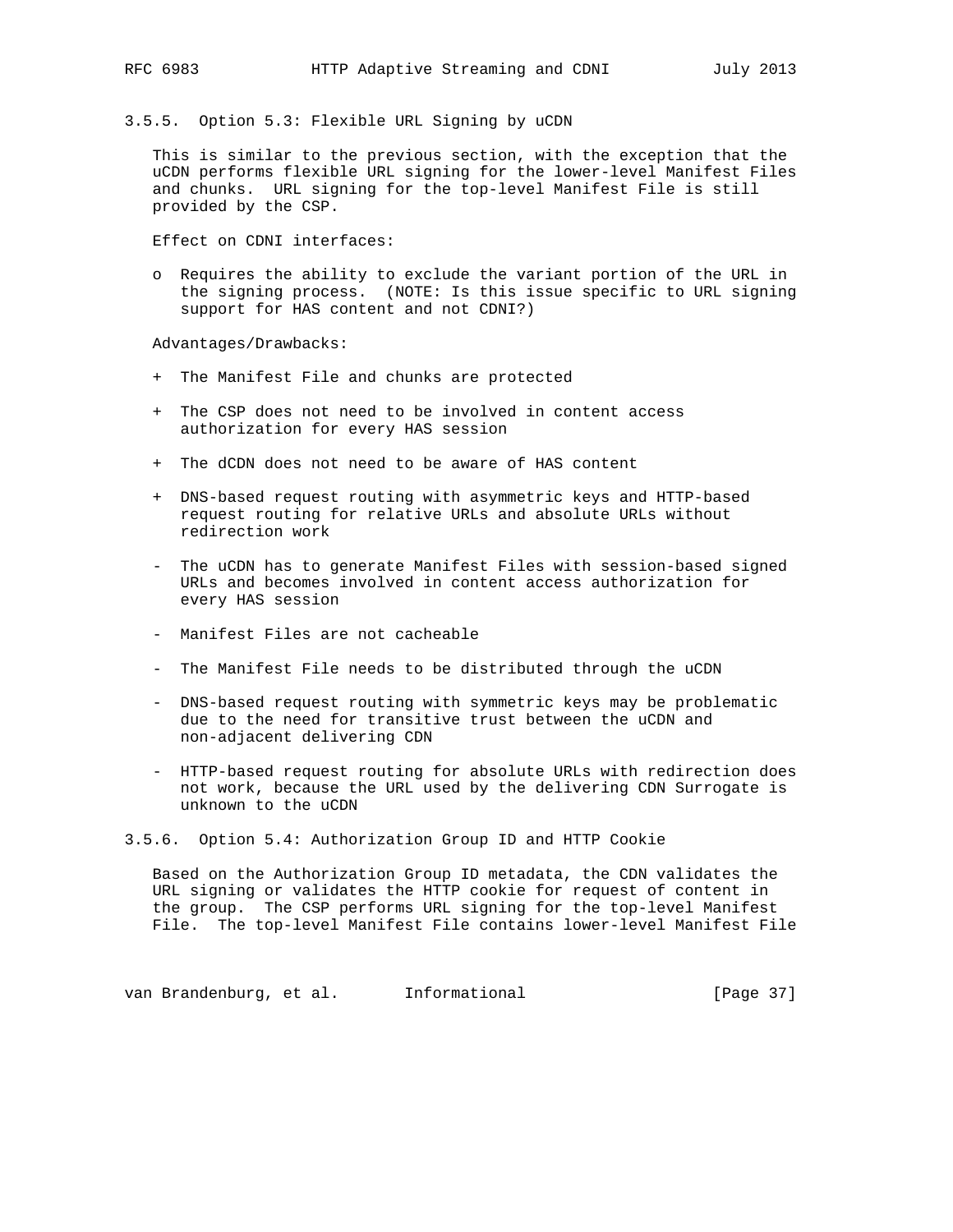3.5.5. Option 5.3: Flexible URL Signing by uCDN

 This is similar to the previous section, with the exception that the uCDN performs flexible URL signing for the lower-level Manifest Files and chunks. URL signing for the top-level Manifest File is still provided by the CSP.

Effect on CDNI interfaces:

 o Requires the ability to exclude the variant portion of the URL in the signing process. (NOTE: Is this issue specific to URL signing support for HAS content and not CDNI?)

Advantages/Drawbacks:

- + The Manifest File and chunks are protected
- + The CSP does not need to be involved in content access authorization for every HAS session
- + The dCDN does not need to be aware of HAS content
- + DNS-based request routing with asymmetric keys and HTTP-based request routing for relative URLs and absolute URLs without redirection work
- The uCDN has to generate Manifest Files with session-based signed URLs and becomes involved in content access authorization for every HAS session
- Manifest Files are not cacheable
- The Manifest File needs to be distributed through the uCDN
- DNS-based request routing with symmetric keys may be problematic due to the need for transitive trust between the uCDN and non-adjacent delivering CDN
- HTTP-based request routing for absolute URLs with redirection does not work, because the URL used by the delivering CDN Surrogate is unknown to the uCDN
- 3.5.6. Option 5.4: Authorization Group ID and HTTP Cookie

 Based on the Authorization Group ID metadata, the CDN validates the URL signing or validates the HTTP cookie for request of content in the group. The CSP performs URL signing for the top-level Manifest File. The top-level Manifest File contains lower-level Manifest File

van Brandenburg, et al. 1nformational (Page 37)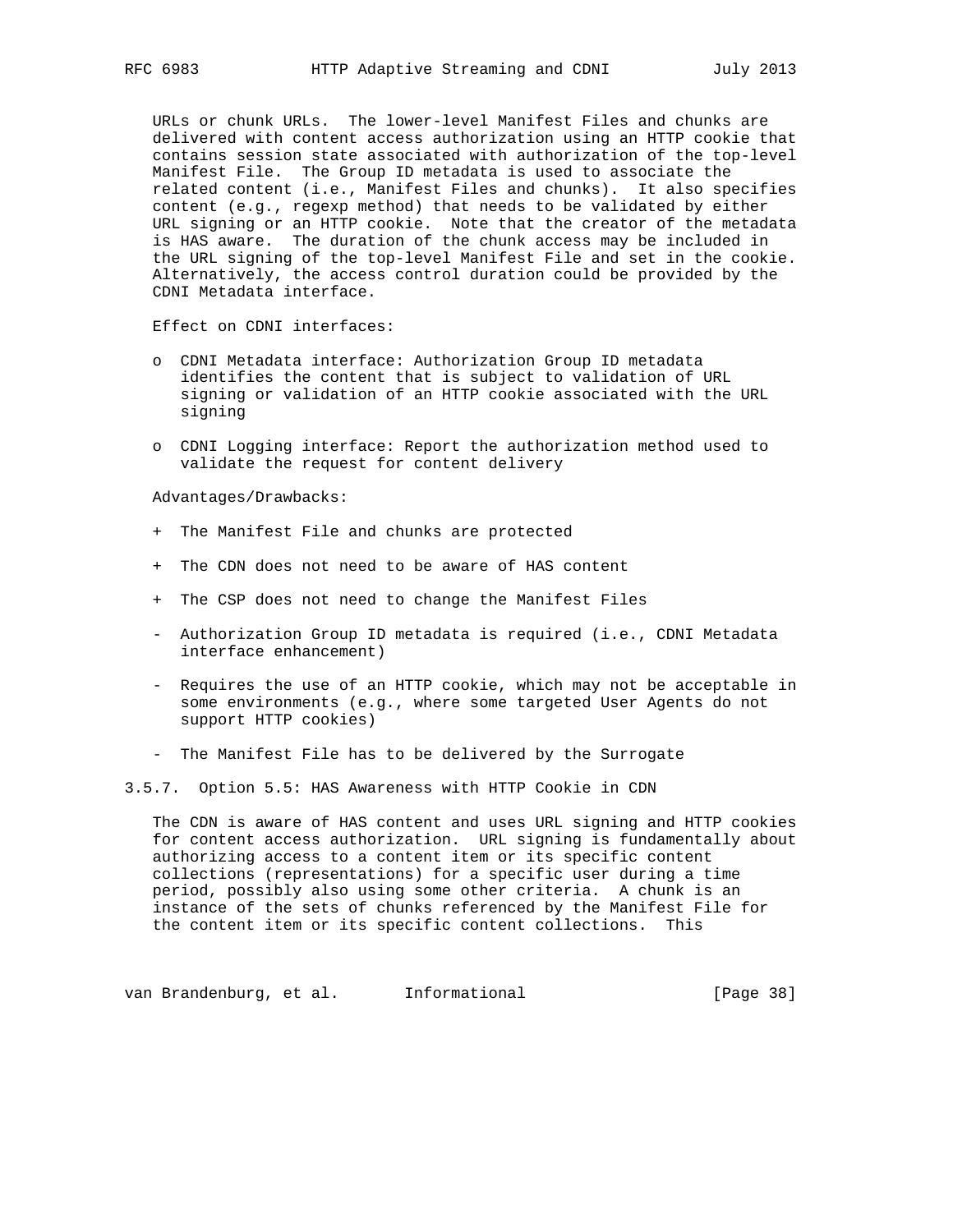URLs or chunk URLs. The lower-level Manifest Files and chunks are delivered with content access authorization using an HTTP cookie that contains session state associated with authorization of the top-level Manifest File. The Group ID metadata is used to associate the related content (i.e., Manifest Files and chunks). It also specifies content (e.g., regexp method) that needs to be validated by either URL signing or an HTTP cookie. Note that the creator of the metadata is HAS aware. The duration of the chunk access may be included in the URL signing of the top-level Manifest File and set in the cookie. Alternatively, the access control duration could be provided by the CDNI Metadata interface.

Effect on CDNI interfaces:

- o CDNI Metadata interface: Authorization Group ID metadata identifies the content that is subject to validation of URL signing or validation of an HTTP cookie associated with the URL signing
- o CDNI Logging interface: Report the authorization method used to validate the request for content delivery

Advantages/Drawbacks:

- + The Manifest File and chunks are protected
- + The CDN does not need to be aware of HAS content
- + The CSP does not need to change the Manifest Files
- Authorization Group ID metadata is required (i.e., CDNI Metadata interface enhancement)
- Requires the use of an HTTP cookie, which may not be acceptable in some environments (e.g., where some targeted User Agents do not support HTTP cookies)
- The Manifest File has to be delivered by the Surrogate

3.5.7. Option 5.5: HAS Awareness with HTTP Cookie in CDN

 The CDN is aware of HAS content and uses URL signing and HTTP cookies for content access authorization. URL signing is fundamentally about authorizing access to a content item or its specific content collections (representations) for a specific user during a time period, possibly also using some other criteria. A chunk is an instance of the sets of chunks referenced by the Manifest File for the content item or its specific content collections. This

van Brandenburg, et al. 1nformational (Page 38)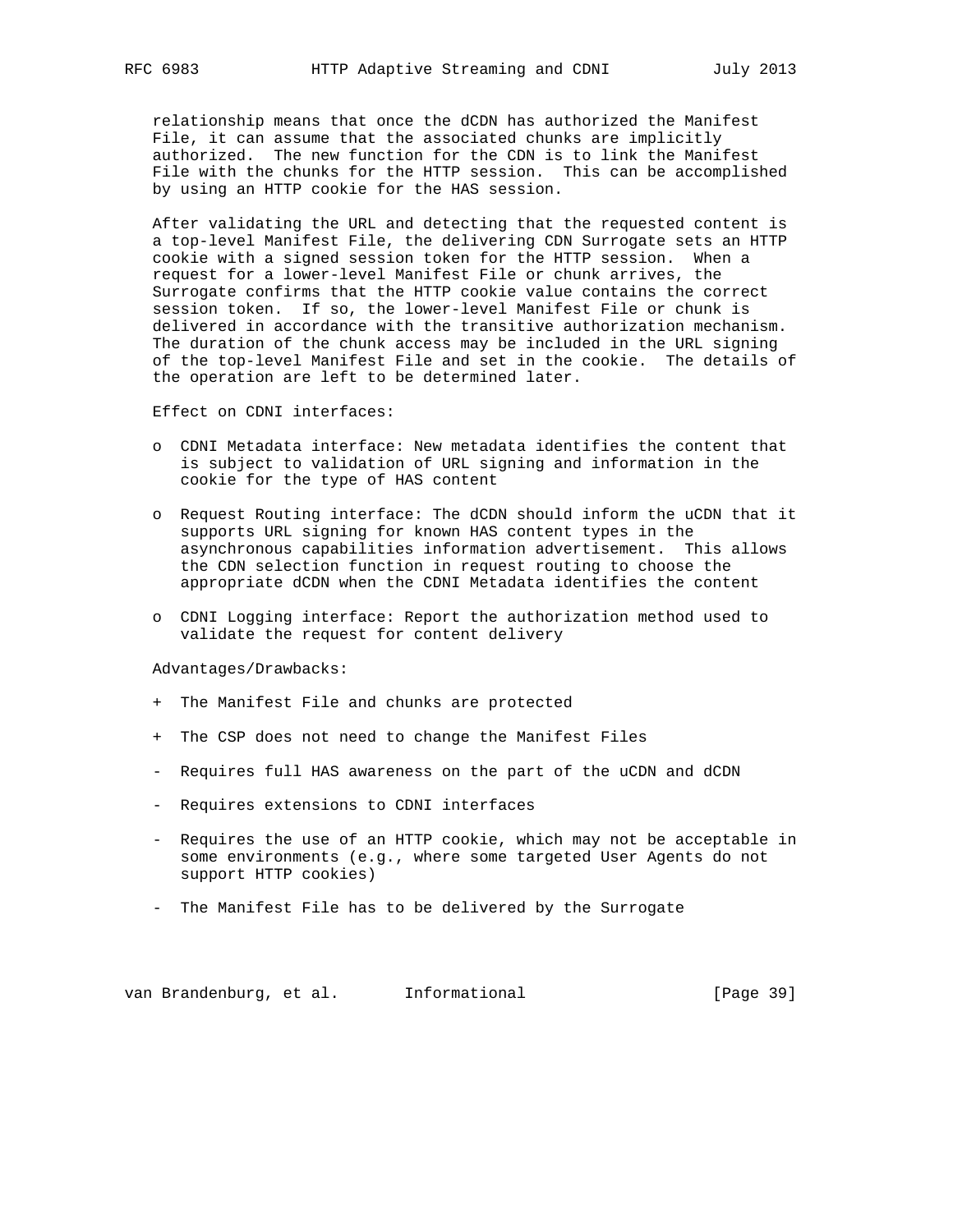relationship means that once the dCDN has authorized the Manifest File, it can assume that the associated chunks are implicitly authorized. The new function for the CDN is to link the Manifest File with the chunks for the HTTP session. This can be accomplished by using an HTTP cookie for the HAS session.

 After validating the URL and detecting that the requested content is a top-level Manifest File, the delivering CDN Surrogate sets an HTTP cookie with a signed session token for the HTTP session. When a request for a lower-level Manifest File or chunk arrives, the Surrogate confirms that the HTTP cookie value contains the correct session token. If so, the lower-level Manifest File or chunk is delivered in accordance with the transitive authorization mechanism. The duration of the chunk access may be included in the URL signing of the top-level Manifest File and set in the cookie. The details of the operation are left to be determined later.

Effect on CDNI interfaces:

- o CDNI Metadata interface: New metadata identifies the content that is subject to validation of URL signing and information in the cookie for the type of HAS content
- o Request Routing interface: The dCDN should inform the uCDN that it supports URL signing for known HAS content types in the asynchronous capabilities information advertisement. This allows the CDN selection function in request routing to choose the appropriate dCDN when the CDNI Metadata identifies the content
- o CDNI Logging interface: Report the authorization method used to validate the request for content delivery

Advantages/Drawbacks:

- + The Manifest File and chunks are protected
- + The CSP does not need to change the Manifest Files
- Requires full HAS awareness on the part of the uCDN and dCDN
- Requires extensions to CDNI interfaces
- Requires the use of an HTTP cookie, which may not be acceptable in some environments (e.g., where some targeted User Agents do not support HTTP cookies)
- The Manifest File has to be delivered by the Surrogate

van Brandenburg, et al. 1nformational 1999 [Page 39]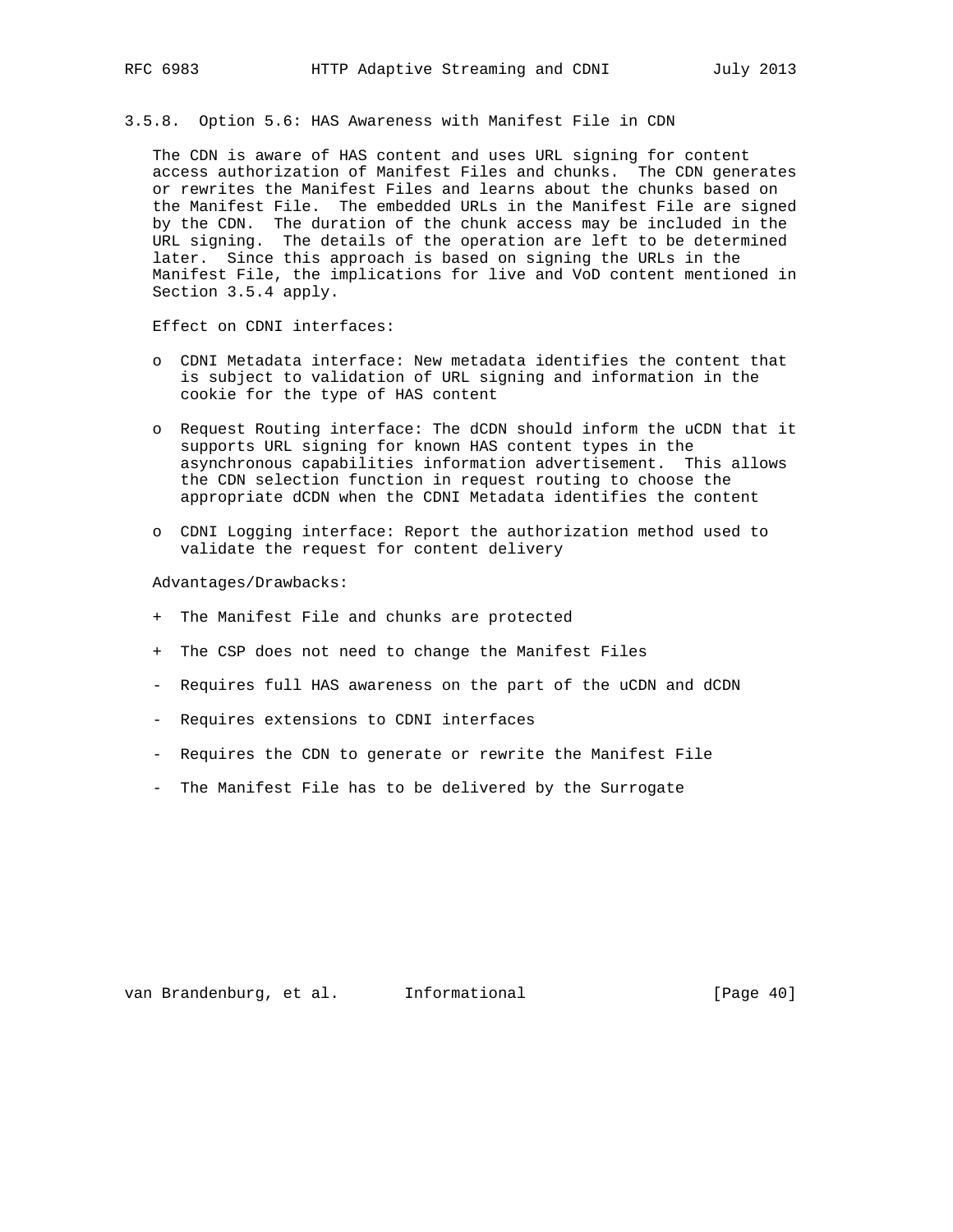3.5.8. Option 5.6: HAS Awareness with Manifest File in CDN

 The CDN is aware of HAS content and uses URL signing for content access authorization of Manifest Files and chunks. The CDN generates or rewrites the Manifest Files and learns about the chunks based on the Manifest File. The embedded URLs in the Manifest File are signed by the CDN. The duration of the chunk access may be included in the URL signing. The details of the operation are left to be determined later. Since this approach is based on signing the URLs in the Manifest File, the implications for live and VoD content mentioned in Section 3.5.4 apply.

Effect on CDNI interfaces:

- o CDNI Metadata interface: New metadata identifies the content that is subject to validation of URL signing and information in the cookie for the type of HAS content
- o Request Routing interface: The dCDN should inform the uCDN that it supports URL signing for known HAS content types in the asynchronous capabilities information advertisement. This allows the CDN selection function in request routing to choose the appropriate dCDN when the CDNI Metadata identifies the content
- o CDNI Logging interface: Report the authorization method used to validate the request for content delivery

Advantages/Drawbacks:

- + The Manifest File and chunks are protected
- + The CSP does not need to change the Manifest Files
- Requires full HAS awareness on the part of the uCDN and dCDN
- Requires extensions to CDNI interfaces
- Requires the CDN to generate or rewrite the Manifest File
- The Manifest File has to be delivered by the Surrogate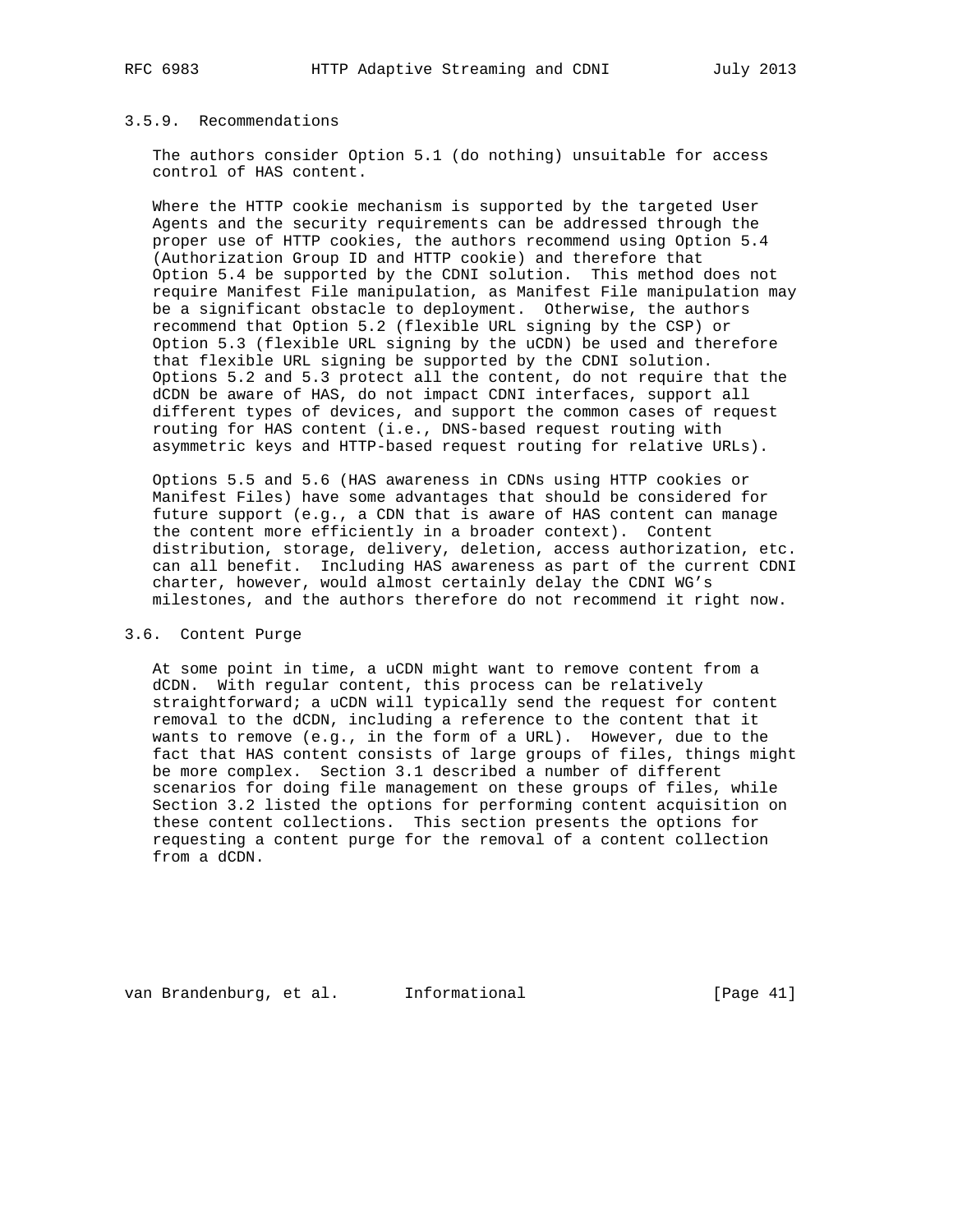## 3.5.9. Recommendations

 The authors consider Option 5.1 (do nothing) unsuitable for access control of HAS content.

 Where the HTTP cookie mechanism is supported by the targeted User Agents and the security requirements can be addressed through the proper use of HTTP cookies, the authors recommend using Option 5.4 (Authorization Group ID and HTTP cookie) and therefore that Option 5.4 be supported by the CDNI solution. This method does not require Manifest File manipulation, as Manifest File manipulation may be a significant obstacle to deployment. Otherwise, the authors recommend that Option 5.2 (flexible URL signing by the CSP) or Option 5.3 (flexible URL signing by the uCDN) be used and therefore that flexible URL signing be supported by the CDNI solution. Options 5.2 and 5.3 protect all the content, do not require that the dCDN be aware of HAS, do not impact CDNI interfaces, support all different types of devices, and support the common cases of request routing for HAS content (i.e., DNS-based request routing with asymmetric keys and HTTP-based request routing for relative URLs).

 Options 5.5 and 5.6 (HAS awareness in CDNs using HTTP cookies or Manifest Files) have some advantages that should be considered for future support (e.g., a CDN that is aware of HAS content can manage the content more efficiently in a broader context). Content distribution, storage, delivery, deletion, access authorization, etc. can all benefit. Including HAS awareness as part of the current CDNI charter, however, would almost certainly delay the CDNI WG's milestones, and the authors therefore do not recommend it right now.

## 3.6. Content Purge

 At some point in time, a uCDN might want to remove content from a dCDN. With regular content, this process can be relatively straightforward; a uCDN will typically send the request for content removal to the dCDN, including a reference to the content that it wants to remove (e.g., in the form of a URL). However, due to the fact that HAS content consists of large groups of files, things might be more complex. Section 3.1 described a number of different scenarios for doing file management on these groups of files, while Section 3.2 listed the options for performing content acquisition on these content collections. This section presents the options for requesting a content purge for the removal of a content collection from a dCDN.

van Brandenburg, et al. 1nformational 1999 [Page 41]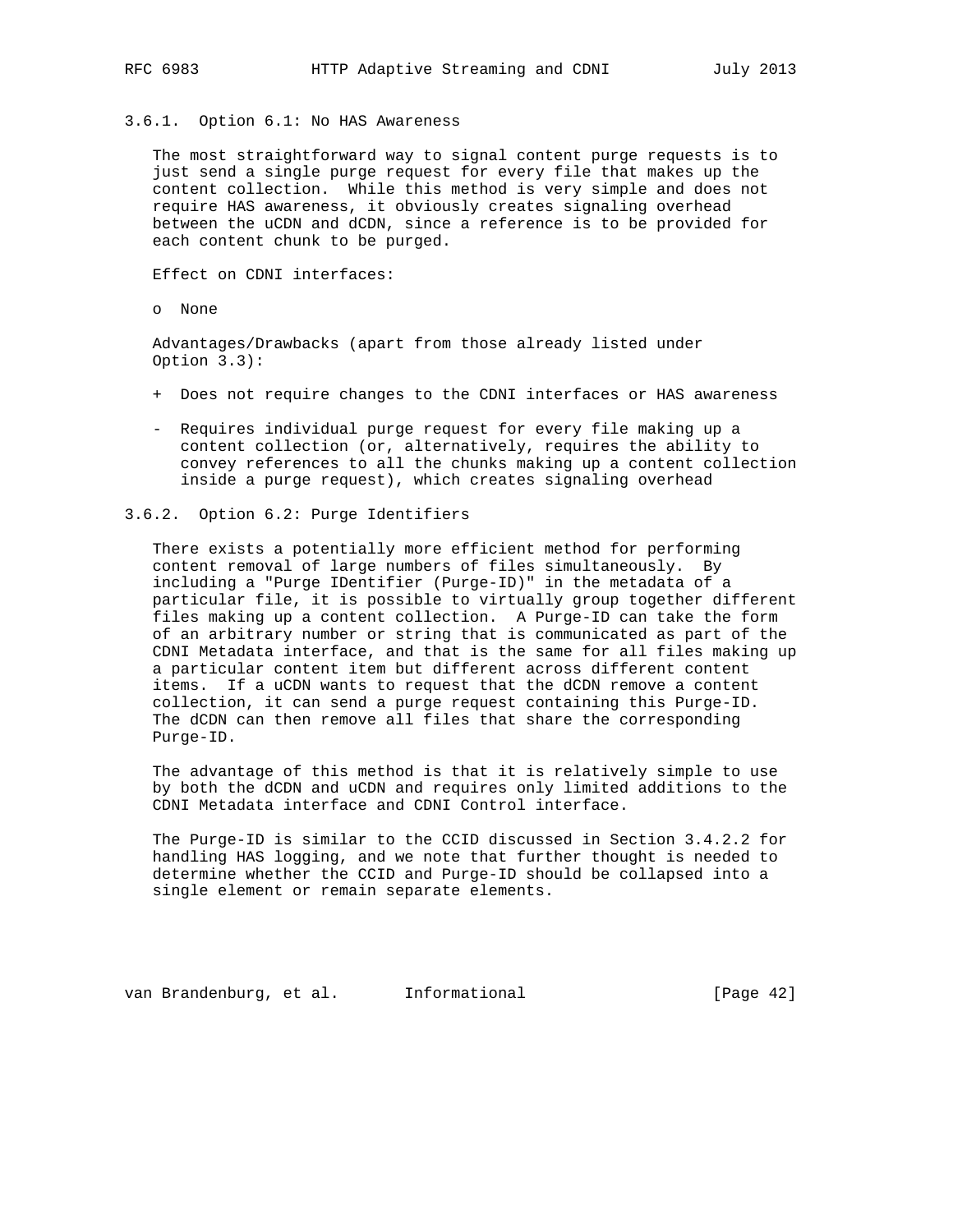3.6.1. Option 6.1: No HAS Awareness

 The most straightforward way to signal content purge requests is to just send a single purge request for every file that makes up the content collection. While this method is very simple and does not require HAS awareness, it obviously creates signaling overhead between the uCDN and dCDN, since a reference is to be provided for each content chunk to be purged.

Effect on CDNI interfaces:

o None

 Advantages/Drawbacks (apart from those already listed under Option 3.3):

- + Does not require changes to the CDNI interfaces or HAS awareness
- Requires individual purge request for every file making up a content collection (or, alternatively, requires the ability to convey references to all the chunks making up a content collection inside a purge request), which creates signaling overhead
- 3.6.2. Option 6.2: Purge Identifiers

 There exists a potentially more efficient method for performing content removal of large numbers of files simultaneously. By including a "Purge IDentifier (Purge-ID)" in the metadata of a particular file, it is possible to virtually group together different files making up a content collection. A Purge-ID can take the form of an arbitrary number or string that is communicated as part of the CDNI Metadata interface, and that is the same for all files making up a particular content item but different across different content items. If a uCDN wants to request that the dCDN remove a content collection, it can send a purge request containing this Purge-ID. The dCDN can then remove all files that share the corresponding Purge-ID.

 The advantage of this method is that it is relatively simple to use by both the dCDN and uCDN and requires only limited additions to the CDNI Metadata interface and CDNI Control interface.

 The Purge-ID is similar to the CCID discussed in Section 3.4.2.2 for handling HAS logging, and we note that further thought is needed to determine whether the CCID and Purge-ID should be collapsed into a single element or remain separate elements.

van Brandenburg, et al. Informational [Page 42]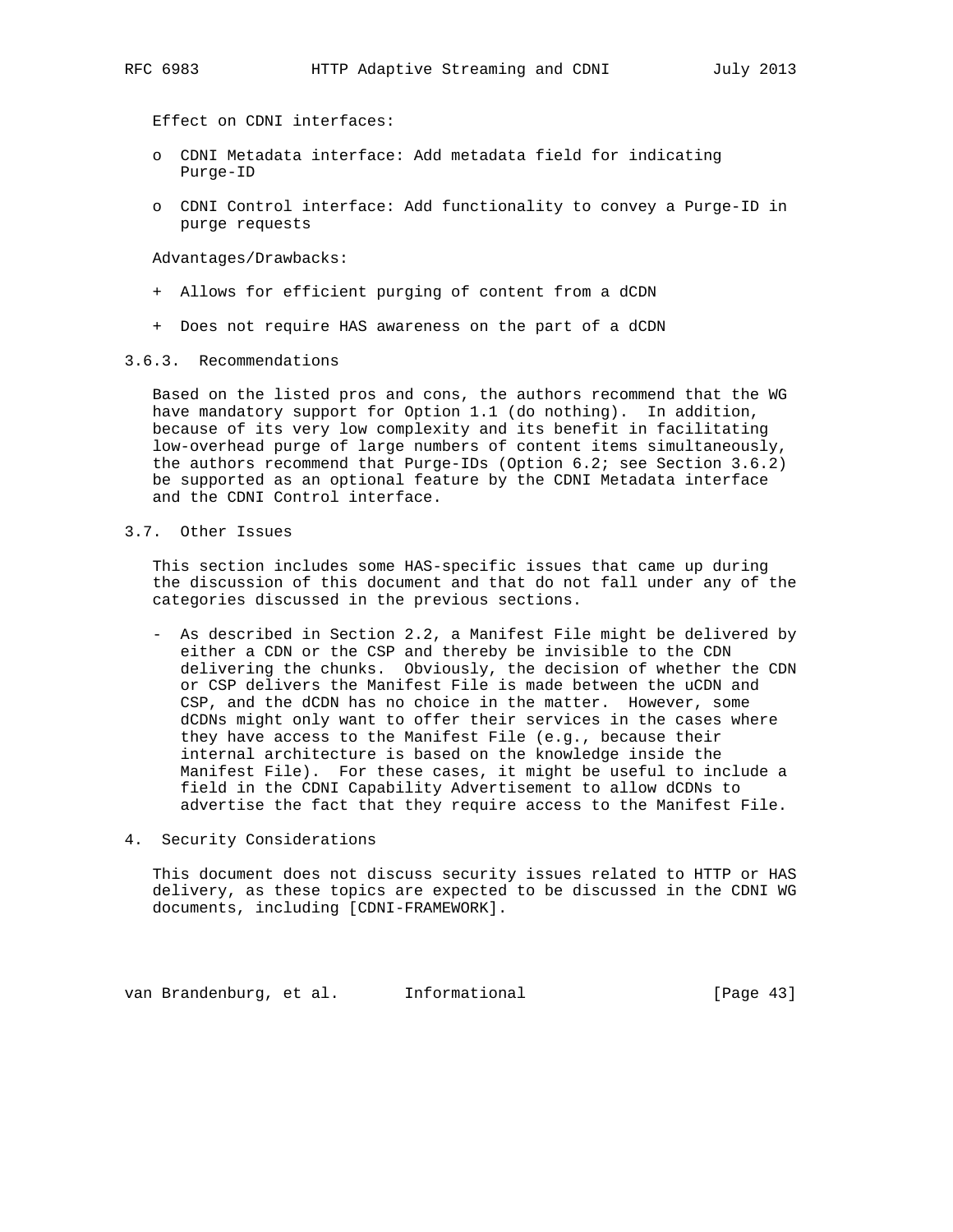Effect on CDNI interfaces:

- o CDNI Metadata interface: Add metadata field for indicating Purge-ID
- o CDNI Control interface: Add functionality to convey a Purge-ID in purge requests

Advantages/Drawbacks:

- + Allows for efficient purging of content from a dCDN
- + Does not require HAS awareness on the part of a dCDN
- 3.6.3. Recommendations

 Based on the listed pros and cons, the authors recommend that the WG have mandatory support for Option 1.1 (do nothing). In addition, because of its very low complexity and its benefit in facilitating low-overhead purge of large numbers of content items simultaneously, the authors recommend that Purge-IDs (Option 6.2; see Section 3.6.2) be supported as an optional feature by the CDNI Metadata interface and the CDNI Control interface.

3.7. Other Issues

 This section includes some HAS-specific issues that came up during the discussion of this document and that do not fall under any of the categories discussed in the previous sections.

 - As described in Section 2.2, a Manifest File might be delivered by either a CDN or the CSP and thereby be invisible to the CDN delivering the chunks. Obviously, the decision of whether the CDN or CSP delivers the Manifest File is made between the uCDN and CSP, and the dCDN has no choice in the matter. However, some dCDNs might only want to offer their services in the cases where they have access to the Manifest File (e.g., because their internal architecture is based on the knowledge inside the Manifest File). For these cases, it might be useful to include a field in the CDNI Capability Advertisement to allow dCDNs to advertise the fact that they require access to the Manifest File.

## 4. Security Considerations

 This document does not discuss security issues related to HTTP or HAS delivery, as these topics are expected to be discussed in the CDNI WG documents, including [CDNI-FRAMEWORK].

van Brandenburg, et al. Informational (Page 43)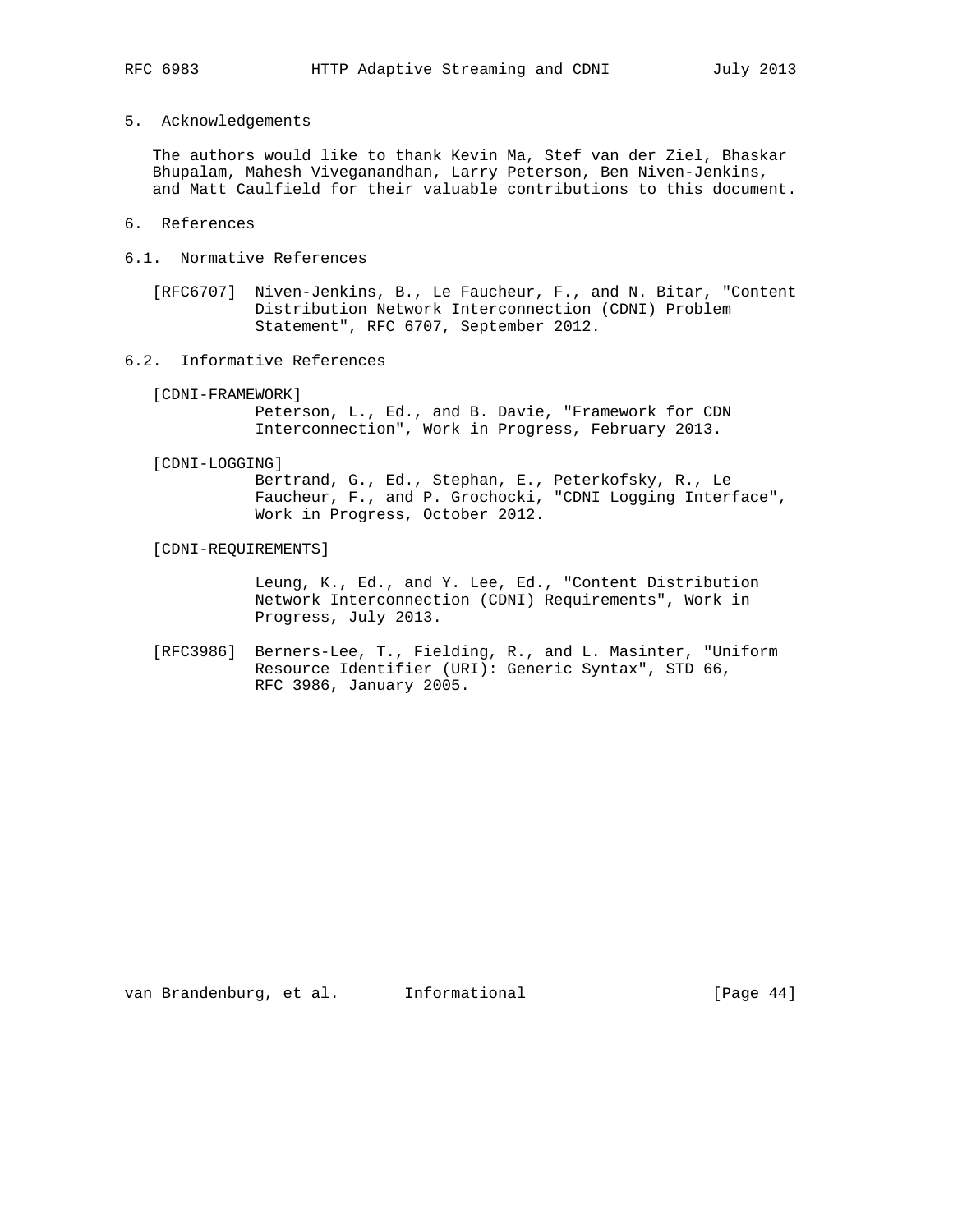5. Acknowledgements

 The authors would like to thank Kevin Ma, Stef van der Ziel, Bhaskar Bhupalam, Mahesh Viveganandhan, Larry Peterson, Ben Niven-Jenkins, and Matt Caulfield for their valuable contributions to this document.

- 6. References
- 6.1. Normative References

 [RFC6707] Niven-Jenkins, B., Le Faucheur, F., and N. Bitar, "Content Distribution Network Interconnection (CDNI) Problem Statement", RFC 6707, September 2012.

6.2. Informative References

[CDNI-FRAMEWORK]

 Peterson, L., Ed., and B. Davie, "Framework for CDN Interconnection", Work in Progress, February 2013.

[CDNI-LOGGING]

 Bertrand, G., Ed., Stephan, E., Peterkofsky, R., Le Faucheur, F., and P. Grochocki, "CDNI Logging Interface", Work in Progress, October 2012.

[CDNI-REQUIREMENTS]

 Leung, K., Ed., and Y. Lee, Ed., "Content Distribution Network Interconnection (CDNI) Requirements", Work in Progress, July 2013.

 [RFC3986] Berners-Lee, T., Fielding, R., and L. Masinter, "Uniform Resource Identifier (URI): Generic Syntax", STD 66, RFC 3986, January 2005.